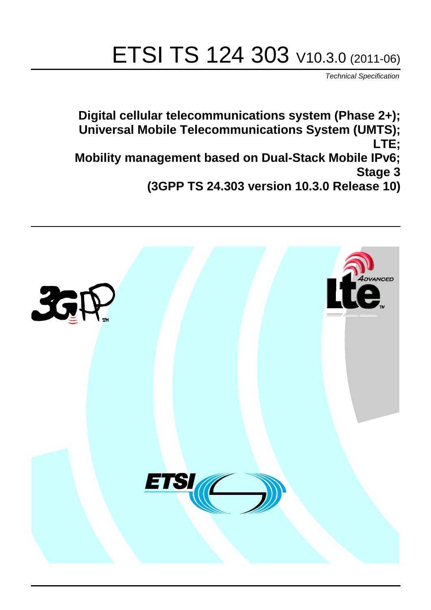# ETSI TS 124 303 V10.3.0 (2011-06)

*Technical Specification*

**Digital cellular telecommunications system (Phase 2+); Universal Mobile Telecommunications System (UMTS); LTE; Mobility management based on Dual-Stack Mobile IPv6; Stage 3 (3GPP TS 24.303 version 10.3.0 Release 10)**

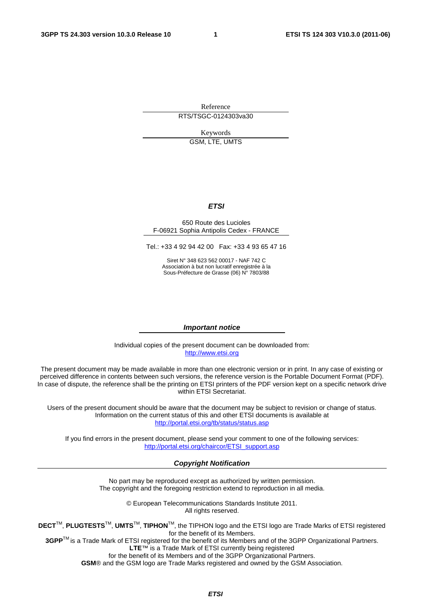Reference RTS/TSGC-0124303va30

Keywords

GSM, LTE, UMTS

#### *ETSI*

#### 650 Route des Lucioles F-06921 Sophia Antipolis Cedex - FRANCE

Tel.: +33 4 92 94 42 00 Fax: +33 4 93 65 47 16

Siret N° 348 623 562 00017 - NAF 742 C Association à but non lucratif enregistrée à la Sous-Préfecture de Grasse (06) N° 7803/88

#### *Important notice*

Individual copies of the present document can be downloaded from: [http://www.etsi.org](http://www.etsi.org/)

The present document may be made available in more than one electronic version or in print. In any case of existing or perceived difference in contents between such versions, the reference version is the Portable Document Format (PDF). In case of dispute, the reference shall be the printing on ETSI printers of the PDF version kept on a specific network drive within ETSI Secretariat.

Users of the present document should be aware that the document may be subject to revision or change of status. Information on the current status of this and other ETSI documents is available at <http://portal.etsi.org/tb/status/status.asp>

If you find errors in the present document, please send your comment to one of the following services: [http://portal.etsi.org/chaircor/ETSI\\_support.asp](http://portal.etsi.org/chaircor/ETSI_support.asp)

#### *Copyright Notification*

No part may be reproduced except as authorized by written permission. The copyright and the foregoing restriction extend to reproduction in all media.

> © European Telecommunications Standards Institute 2011. All rights reserved.

**DECT**TM, **PLUGTESTS**TM, **UMTS**TM, **TIPHON**TM, the TIPHON logo and the ETSI logo are Trade Marks of ETSI registered for the benefit of its Members.

**3GPP**TM is a Trade Mark of ETSI registered for the benefit of its Members and of the 3GPP Organizational Partners. **LTE**™ is a Trade Mark of ETSI currently being registered

for the benefit of its Members and of the 3GPP Organizational Partners.

**GSM**® and the GSM logo are Trade Marks registered and owned by the GSM Association.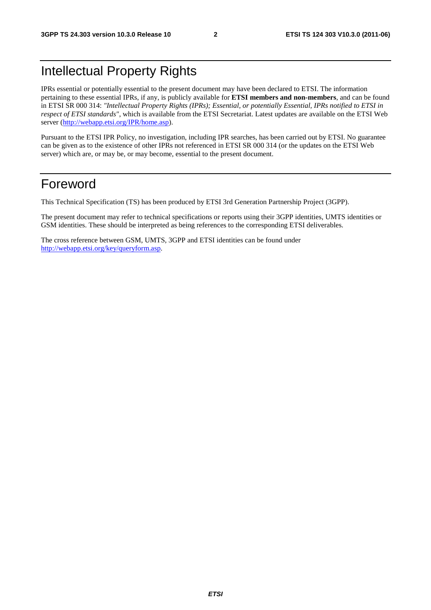## Intellectual Property Rights

IPRs essential or potentially essential to the present document may have been declared to ETSI. The information pertaining to these essential IPRs, if any, is publicly available for **ETSI members and non-members**, and can be found in ETSI SR 000 314: *"Intellectual Property Rights (IPRs); Essential, or potentially Essential, IPRs notified to ETSI in respect of ETSI standards"*, which is available from the ETSI Secretariat. Latest updates are available on the ETSI Web server ([http://webapp.etsi.org/IPR/home.asp\)](http://webapp.etsi.org/IPR/home.asp).

Pursuant to the ETSI IPR Policy, no investigation, including IPR searches, has been carried out by ETSI. No guarantee can be given as to the existence of other IPRs not referenced in ETSI SR 000 314 (or the updates on the ETSI Web server) which are, or may be, or may become, essential to the present document.

## Foreword

This Technical Specification (TS) has been produced by ETSI 3rd Generation Partnership Project (3GPP).

The present document may refer to technical specifications or reports using their 3GPP identities, UMTS identities or GSM identities. These should be interpreted as being references to the corresponding ETSI deliverables.

The cross reference between GSM, UMTS, 3GPP and ETSI identities can be found under [http://webapp.etsi.org/key/queryform.asp.](http://webapp.etsi.org/key/queryform.asp)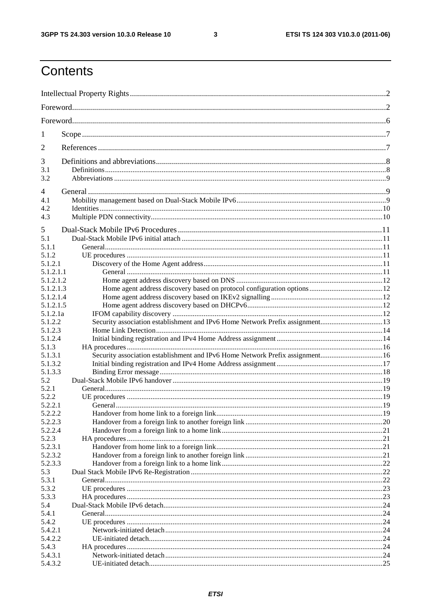$\mathbf{3}$ 

## Contents

| 1                      |                                                                               |  |  |
|------------------------|-------------------------------------------------------------------------------|--|--|
| $\overline{2}$         |                                                                               |  |  |
| 3                      |                                                                               |  |  |
| 3.1                    |                                                                               |  |  |
| 3.2                    |                                                                               |  |  |
| 4                      |                                                                               |  |  |
| 4.1<br>4.2             |                                                                               |  |  |
| 4.3                    |                                                                               |  |  |
| 5                      |                                                                               |  |  |
| 5.1                    |                                                                               |  |  |
| 5.1.1                  |                                                                               |  |  |
| 5.1.2                  |                                                                               |  |  |
| 5.1.2.1                |                                                                               |  |  |
| 5.1.2.1.1              |                                                                               |  |  |
| 5.1.2.1.2              |                                                                               |  |  |
| 5.1.2.1.3<br>5.1.2.1.4 |                                                                               |  |  |
| 5.1.2.1.5              |                                                                               |  |  |
| 5.1.2.1a               |                                                                               |  |  |
| 5.1.2.2                | Security association establishment and IPv6 Home Network Prefix assignment13  |  |  |
| 5.1.2.3                |                                                                               |  |  |
| 5.1.2.4                |                                                                               |  |  |
| 5.1.3                  |                                                                               |  |  |
| 5.1.3.1                | Security association establishment and IPv6 Home Network Prefix assignment 16 |  |  |
| 5.1.3.2                |                                                                               |  |  |
| 5.1.3.3                |                                                                               |  |  |
| 5.2                    |                                                                               |  |  |
| 5.2.1                  |                                                                               |  |  |
| 5.2.2                  |                                                                               |  |  |
| 5.2.2.1                |                                                                               |  |  |
| 5.2.2.2                |                                                                               |  |  |
| 5.2.2.3                |                                                                               |  |  |
| 5.2.2.4                |                                                                               |  |  |
| 5.2.3<br>5.2.3.1       |                                                                               |  |  |
| 5.2.3.2                |                                                                               |  |  |
| 5.2.3.3                |                                                                               |  |  |
| 5.3                    |                                                                               |  |  |
| 5.3.1                  |                                                                               |  |  |
| 5.3.2                  |                                                                               |  |  |
| 5.3.3                  |                                                                               |  |  |
| 5.4                    |                                                                               |  |  |
| 5.4.1                  |                                                                               |  |  |
| 5.4.2                  |                                                                               |  |  |
| 5.4.2.1                |                                                                               |  |  |
| 5.4.2.2                |                                                                               |  |  |
| 5.4.3                  |                                                                               |  |  |
| 5.4.3.1                |                                                                               |  |  |
| 5.4.3.2                |                                                                               |  |  |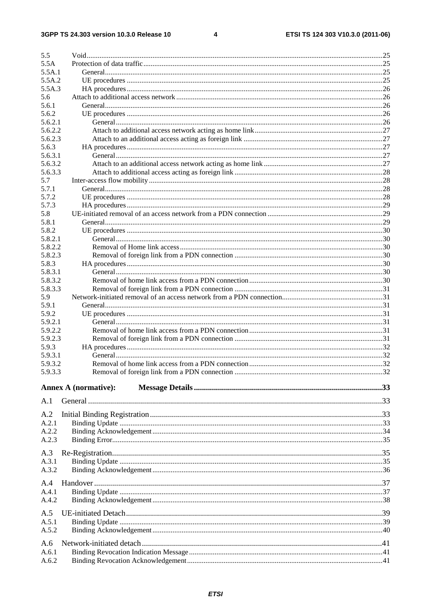$\overline{\mathbf{4}}$ 

| 5.5                |                             |  |
|--------------------|-----------------------------|--|
| 5.5A               |                             |  |
| 5.5A.1             |                             |  |
| 5.5A.2             |                             |  |
| 5.5A.3             |                             |  |
| 5.6                |                             |  |
| 5.6.1              |                             |  |
| 5.6.2              |                             |  |
| 5.6.2.1<br>5.6.2.2 |                             |  |
| 5.6.2.3            |                             |  |
| 5.6.3              |                             |  |
| 5.6.3.1            |                             |  |
| 5.6.3.2            |                             |  |
| 5.6.3.3            |                             |  |
| 5.7                |                             |  |
| 5.7.1              |                             |  |
| 5.7.2              |                             |  |
| 5.7.3              |                             |  |
| 5.8                |                             |  |
| 5.8.1              |                             |  |
| 5.8.2              |                             |  |
| 5.8.2.1            |                             |  |
| 5.8.2.2            |                             |  |
| 5.8.2.3            |                             |  |
| 5.8.3              |                             |  |
| 5.8.3.1            |                             |  |
| 5.8.3.2            |                             |  |
| 5.8.3.3            |                             |  |
| 5.9                |                             |  |
| 5.9.1              |                             |  |
| 5.9.2              |                             |  |
| 5.9.2.1            |                             |  |
| 5.9.2.2            |                             |  |
| 5.9.2.3            |                             |  |
| 5.9.3              |                             |  |
| 5.9.3.1            |                             |  |
| 5.9.3.2            |                             |  |
| 5.9.3.3            |                             |  |
|                    |                             |  |
|                    | <b>Annex A (normative):</b> |  |
| A.1                |                             |  |
|                    |                             |  |
| A.2                |                             |  |
| A.2.1              |                             |  |
| A.2.2              |                             |  |
| A.2.3              |                             |  |
| A.3                |                             |  |
| A.3.1              |                             |  |
| A.3.2              |                             |  |
|                    |                             |  |
| A.4                |                             |  |
| A.4.1              |                             |  |
| A.4.2              |                             |  |
| A.5                |                             |  |
| A.5.1              |                             |  |
| A.5.2              |                             |  |
|                    |                             |  |
| A.6                |                             |  |
| A.6.1              |                             |  |
| A.6.2              |                             |  |
|                    |                             |  |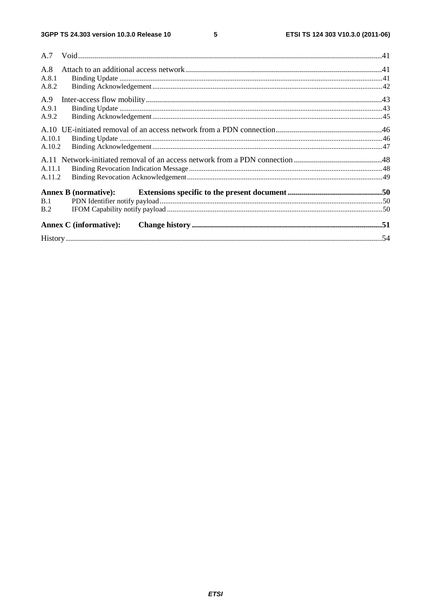| A.8    |                               |  |
|--------|-------------------------------|--|
| A.8.1  |                               |  |
| A.8.2  |                               |  |
| A.9    |                               |  |
| A.9.1  |                               |  |
| A.9.2  |                               |  |
|        |                               |  |
| A.10.1 |                               |  |
| A.10.2 |                               |  |
|        |                               |  |
| A.11.1 |                               |  |
| A.11.2 |                               |  |
|        | <b>Annex B (normative):</b>   |  |
| B.1    |                               |  |
| B.2    |                               |  |
|        | <b>Annex C</b> (informative): |  |
|        |                               |  |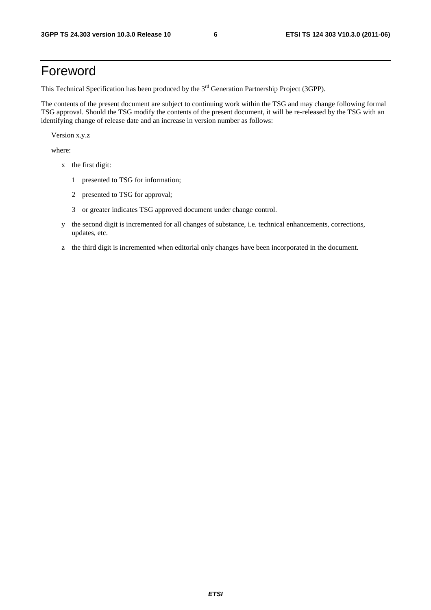## Foreword

This Technical Specification has been produced by the 3<sup>rd</sup> Generation Partnership Project (3GPP).

The contents of the present document are subject to continuing work within the TSG and may change following formal TSG approval. Should the TSG modify the contents of the present document, it will be re-released by the TSG with an identifying change of release date and an increase in version number as follows:

Version x.y.z

where:

- x the first digit:
	- 1 presented to TSG for information;
	- 2 presented to TSG for approval;
	- 3 or greater indicates TSG approved document under change control.
- y the second digit is incremented for all changes of substance, i.e. technical enhancements, corrections, updates, etc.
- z the third digit is incremented when editorial only changes have been incorporated in the document.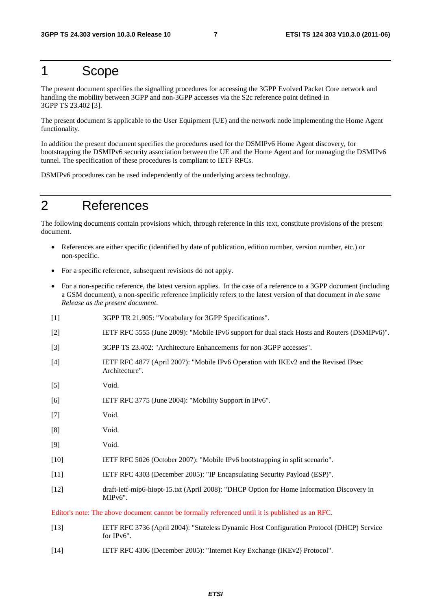### 1 Scope

The present document specifies the signalling procedures for accessing the 3GPP Evolved Packet Core network and handling the mobility between 3GPP and non-3GPP accesses via the S2c reference point defined in 3GPP TS 23.402 [3].

The present document is applicable to the User Equipment (UE) and the network node implementing the Home Agent functionality.

In addition the present document specifies the procedures used for the DSMIPv6 Home Agent discovery, for bootstrapping the DSMIPv6 security association between the UE and the Home Agent and for managing the DSMIPv6 tunnel. The specification of these procedures is compliant to IETF RFCs.

DSMIPv6 procedures can be used independently of the underlying access technology.

## 2 References

The following documents contain provisions which, through reference in this text, constitute provisions of the present document.

- References are either specific (identified by date of publication, edition number, version number, etc.) or non-specific.
- For a specific reference, subsequent revisions do not apply.
- For a non-specific reference, the latest version applies. In the case of a reference to a 3GPP document (including a GSM document), a non-specific reference implicitly refers to the latest version of that document *in the same Release as the present document*.
- [1] 3GPP TR 21.905: "Vocabulary for 3GPP Specifications".
- [2] IETF RFC 5555 (June 2009): "Mobile IPv6 support for dual stack Hosts and Routers (DSMIPv6)".
- [3] 3GPP TS 23.402: "Architecture Enhancements for non-3GPP accesses".
- [4] IETF RFC 4877 (April 2007): "Mobile IPv6 Operation with IKEv2 and the Revised IPsec Architecture".
- [5] Void.
- [6] IETF RFC 3775 (June 2004): "Mobility Support in IPv6".
- [7] Void.
- [8] Void.
- [9] Void.
- [10] IETF RFC 5026 (October 2007): "Mobile IPv6 bootstrapping in split scenario".
- [11] IETF RFC 4303 (December 2005): "IP Encapsulating Security Payload (ESP)".
- [12] draft-ietf-mip6-hiopt-15.txt (April 2008): "DHCP Option for Home Information Discovery in MIPv6".

Editor's note: The above document cannot be formally referenced until it is published as an RFC.

- [13] IETF RFC 3736 (April 2004): "Stateless Dynamic Host Configuration Protocol (DHCP) Service for IPv6".
- [14] IETF RFC 4306 (December 2005): "Internet Key Exchange (IKEv2) Protocol".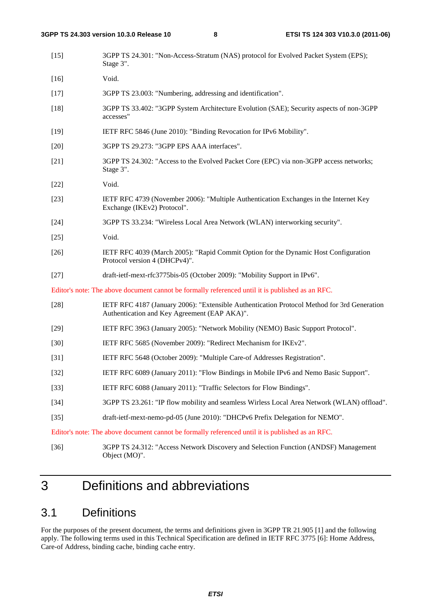- [15] 3GPP TS 24.301: "Non-Access-Stratum (NAS) protocol for Evolved Packet System (EPS); Stage 3". [16] Void. [17] 3GPP TS 23.003: "Numbering, addressing and identification". [18] 3GPP TS 33.402: "3GPP System Architecture Evolution (SAE); Security aspects of non-3GPP accesses" [19] IETF RFC 5846 (June 2010): "Binding Revocation for IPv6 Mobility". [20] 3GPP TS 29.273: "3GPP EPS AAA interfaces". [21] 3GPP TS 24.302: "Access to the Evolved Packet Core (EPC) via non-3GPP access networks; Stage 3". [22] Void. [23] IETF RFC 4739 (November 2006): "Multiple Authentication Exchanges in the Internet Key Exchange (IKEv2) Protocol". [24] 3GPP TS 33.234: "Wireless Local Area Network (WLAN) interworking security". [25] Void. [26] IETF RFC 4039 (March 2005): "Rapid Commit Option for the Dynamic Host Configuration Protocol version 4 (DHCPv4)". [27] draft-ietf-mext-rfc3775bis-05 (October 2009): "Mobility Support in IPv6". Editor's note: The above document cannot be formally referenced until it is published as an RFC. [28] IETF RFC 4187 (January 2006): "Extensible Authentication Protocol Method for 3rd Generation Authentication and Key Agreement (EAP AKA)". [29] IETF RFC 3963 (January 2005): "Network Mobility (NEMO) Basic Support Protocol". [30] IETF RFC 5685 (November 2009): "Redirect Mechanism for IKEv2". [31] IETF RFC 5648 (October 2009): "Multiple Care-of Addresses Registration". [32] IETF RFC 6089 (January 2011): "Flow Bindings in Mobile IPv6 and Nemo Basic Support". [33] IETF RFC 6088 (January 2011): "Traffic Selectors for Flow Bindings". [34] 3GPP TS 23.261: "IP flow mobility and seamless Wirless Local Area Network (WLAN) offload". [35] draft-ietf-mext-nemo-pd-05 (June 2010): "DHCPv6 Prefix Delegation for NEMO". Editor's note: The above document cannot be formally referenced until it is published as an RFC. [36] 3GPP TS 24.312: "Access Network Discovery and Selection Function (ANDSF) Management
	- Object (MO)".

## 3 Definitions and abbreviations

### 3.1 Definitions

For the purposes of the present document, the terms and definitions given in 3GPP TR 21.905 [1] and the following apply. The following terms used in this Technical Specification are defined in IETF RFC 3775 [6]: Home Address, Care-of Address, binding cache, binding cache entry.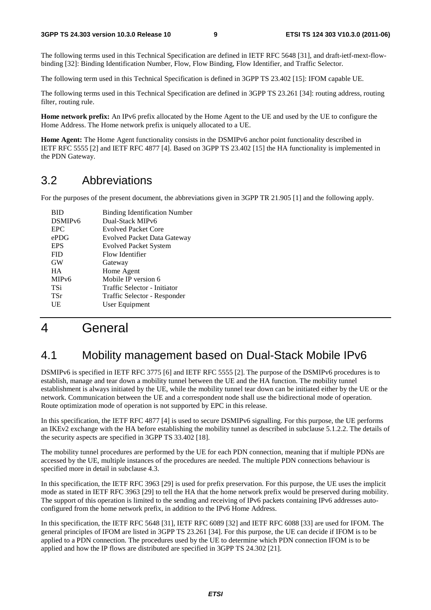The following terms used in this Technical Specification are defined in IETF RFC 5648 [31], and draft-ietf-mext-flowbinding [32]: Binding Identification Number, Flow, Flow Binding, Flow Identifier, and Traffic Selector.

The following term used in this Technical Specification is defined in 3GPP TS 23.402 [15]: IFOM capable UE.

The following terms used in this Technical Specification are defined in 3GPP TS 23.261 [34]: routing address, routing filter, routing rule.

**Home network prefix:** An IPv6 prefix allocated by the Home Agent to the UE and used by the UE to configure the Home Address. The Home network prefix is uniquely allocated to a UE.

**Home Agent:** The Home Agent functionality consists in the DSMIPv6 anchor point functionality described in IETF RFC 5555 [2] and IETF RFC 4877 [4]. Based on 3GPP TS 23.402 [15] the HA functionality is implemented in the PDN Gateway.

### 3.2 Abbreviations

For the purposes of the present document, the abbreviations given in 3GPP TR 21.905 [1] and the following apply.

| <b>BID</b>          | <b>Binding Identification Number</b> |
|---------------------|--------------------------------------|
| DSMIP <sub>v6</sub> | Dual-Stack MIPv6                     |
| <b>EPC</b>          | <b>Evolved Packet Core</b>           |
| ePDG                | Evolved Packet Data Gateway          |
| <b>EPS</b>          | <b>Evolved Packet System</b>         |
| <b>FID</b>          | Flow Identifier                      |
| <b>GW</b>           | Gateway                              |
| <b>HA</b>           | Home Agent                           |
| MIP <sub>v</sub> 6  | Mobile IP version 6                  |
| TSi                 | Traffic Selector - Initiator         |
| TSr                 | Traffic Selector - Responder         |
| UE                  | User Equipment                       |
|                     |                                      |

## 4 General

### 4.1 Mobility management based on Dual-Stack Mobile IPv6

DSMIPv6 is specified in IETF RFC 3775 [6] and IETF RFC 5555 [2]. The purpose of the DSMIPv6 procedures is to establish, manage and tear down a mobility tunnel between the UE and the HA function. The mobility tunnel establishment is always initiated by the UE, while the mobility tunnel tear down can be initiated either by the UE or the network. Communication between the UE and a correspondent node shall use the bidirectional mode of operation. Route optimization mode of operation is not supported by EPC in this release.

In this specification, the IETF RFC 4877 [4] is used to secure DSMIPv6 signalling. For this purpose, the UE performs an IKEv2 exchange with the HA before establishing the mobility tunnel as described in subclause 5.1.2.2. The details of the security aspects are specified in 3GPP TS 33.402 [18].

The mobility tunnel procedures are performed by the UE for each PDN connection, meaning that if multiple PDNs are accessed by the UE, multiple instances of the procedures are needed. The multiple PDN connections behaviour is specified more in detail in subclause 4.3.

In this specification, the IETF RFC 3963 [29] is used for prefix preservation. For this purpose, the UE uses the implicit mode as stated in IETF RFC 3963 [29] to tell the HA that the home network prefix would be preserved during mobility. The support of this operation is limited to the sending and receiving of IPv6 packets containing IPv6 addresses autoconfigured from the home network prefix, in addition to the IPv6 Home Address.

In this specification, the IETF RFC 5648 [31], IETF RFC 6089 [32] and IETF RFC 6088 [33] are used for IFOM. The general principles of IFOM are listed in 3GPP TS 23.261 [34]. For this purpose, the UE can decide if IFOM is to be applied to a PDN connection. The procedures used by the UE to determine which PDN connection IFOM is to be applied and how the IP flows are distributed are specified in 3GPP TS 24.302 [21].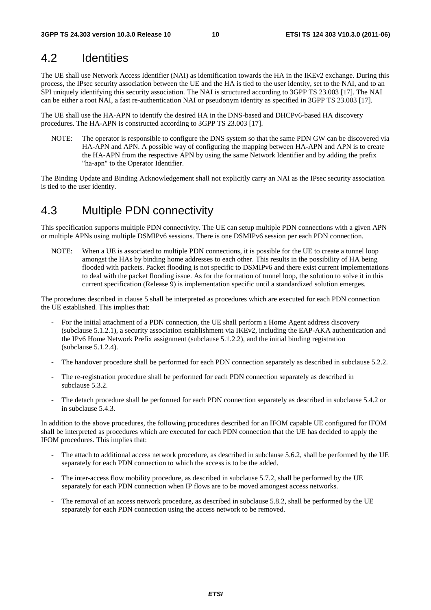### 4.2 Identities

The UE shall use Network Access Identifier (NAI) as identification towards the HA in the IKEv2 exchange. During this process, the IPsec security association between the UE and the HA is tied to the user identity, set to the NAI, and to an SPI uniquely identifying this security association. The NAI is structured according to 3GPP TS 23.003 [17]. The NAI can be either a root NAI, a fast re-authentication NAI or pseudonym identity as specified in 3GPP TS 23.003 [17].

The UE shall use the HA-APN to identify the desired HA in the DNS-based and DHCPv6-based HA discovery procedures. The HA-APN is constructed according to 3GPP TS 23.003 [17].

NOTE: The operator is responsible to configure the DNS system so that the same PDN GW can be discovered via HA-APN and APN. A possible way of configuring the mapping between HA-APN and APN is to create the HA-APN from the respective APN by using the same Network Identifier and by adding the prefix "ha-apn" to the Operator Identifier.

The Binding Update and Binding Acknowledgement shall not explicitly carry an NAI as the IPsec security association is tied to the user identity.

### 4.3 Multiple PDN connectivity

This specification supports multiple PDN connectivity. The UE can setup multiple PDN connections with a given APN or multiple APNs using multiple DSMIPv6 sessions. There is one DSMIPv6 session per each PDN connection.

NOTE: When a UE is associated to multiple PDN connections, it is possible for the UE to create a tunnel loop amongst the HAs by binding home addresses to each other. This results in the possibility of HA being flooded with packets. Packet flooding is not specific to DSMIPv6 and there exist current implementations to deal with the packet flooding issue. As for the formation of tunnel loop, the solution to solve it in this current specification (Release 9) is implementation specific until a standardized solution emerges.

The procedures described in clause 5 shall be interpreted as procedures which are executed for each PDN connection the UE established. This implies that:

- For the initial attachment of a PDN connection, the UE shall perform a Home Agent address discovery (subclause 5.1.2.1), a security association establishment via IKEv2, including the EAP-AKA authentication and the IPv6 Home Network Prefix assignment (subclause 5.1.2.2), and the initial binding registration (subclause 5.1.2.4).
- The handover procedure shall be performed for each PDN connection separately as described in subclause 5.2.2.
- The re-registration procedure shall be performed for each PDN connection separately as described in subclause 5.3.2.
- The detach procedure shall be performed for each PDN connection separately as described in subclause 5.4.2 or in subclause 5.4.3.

In addition to the above procedures, the following procedures described for an IFOM capable UE configured for IFOM shall be interpreted as procedures which are executed for each PDN connection that the UE has decided to apply the IFOM procedures. This implies that:

- The attach to additional access network procedure, as described in subclause 5.6.2, shall be performed by the UE separately for each PDN connection to which the access is to be the added.
- The inter-access flow mobility procedure, as described in subclause 5.7.2, shall be performed by the UE separately for each PDN connection when IP flows are to be moved amongest access networks.
- The removal of an access network procedure, as described in subclause 5.8.2, shall be performed by the UE separately for each PDN connection using the access network to be removed.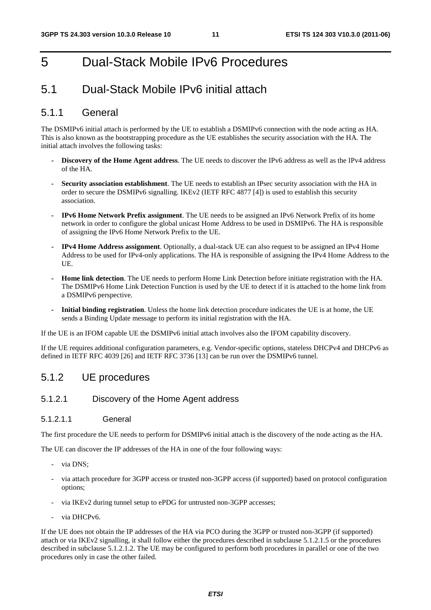## 5 Dual-Stack Mobile IPv6 Procedures

### 5.1 Dual-Stack Mobile IPv6 initial attach

#### 5.1.1 General

The DSMIPv6 initial attach is performed by the UE to establish a DSMIPv6 connection with the node acting as HA. This is also known as the bootstrapping procedure as the UE establishes the security association with the HA. The initial attach involves the following tasks:

- **Discovery of the Home Agent address**. The UE needs to discover the IPv6 address as well as the IPv4 address of the HA.
- **Security association establishment**. The UE needs to establish an IPsec security association with the HA in order to secure the DSMIPv6 signalling. IKEv2 (IETF RFC 4877 [4]) is used to establish this security association.
- **IPv6 Home Network Prefix assignment**. The UE needs to be assigned an IPv6 Network Prefix of its home network in order to configure the global unicast Home Address to be used in DSMIPv6. The HA is responsible of assigning the IPv6 Home Network Prefix to the UE.
- **IPv4 Home Address assignment**. Optionally, a dual-stack UE can also request to be assigned an IPv4 Home Address to be used for IPv4-only applications. The HA is responsible of assigning the IPv4 Home Address to the UE.
- **Home link detection**. The UE needs to perform Home Link Detection before initiate registration with the HA. The DSMIPv6 Home Link Detection Function is used by the UE to detect if it is attached to the home link from a DSMIPv6 perspective.
- **Initial binding registration**. Unless the home link detection procedure indicates the UE is at home, the UE sends a Binding Update message to perform its initial registration with the HA.

If the UE is an IFOM capable UE the DSMIPv6 initial attach involves also the IFOM capability discovery.

If the UE requires additional configuration parameters, e.g. Vendor-specific options, stateless DHCPv4 and DHCPv6 as defined in IETF RFC 4039 [26] and IETF RFC 3736 [13] can be run over the DSMIPv6 tunnel.

#### 5.1.2 UE procedures

#### 5.1.2.1 Discovery of the Home Agent address

#### 5.1.2.1.1 General

The first procedure the UE needs to perform for DSMIPv6 initial attach is the discovery of the node acting as the HA.

The UE can discover the IP addresses of the HA in one of the four following ways:

- via DNS;
- via attach procedure for 3GPP access or trusted non-3GPP access (if supported) based on protocol configuration options;
- via IKEv2 during tunnel setup to ePDG for untrusted non-3GPP accesses;
- via DHCPv6.

If the UE does not obtain the IP addresses of the HA via PCO during the 3GPP or trusted non-3GPP (if supported) attach or via IKEv2 signalling, it shall follow either the procedures described in subclause 5.1.2.1.5 or the procedures described in subclause 5.1.2.1.2. The UE may be configured to perform both procedures in parallel or one of the two procedures only in case the other failed.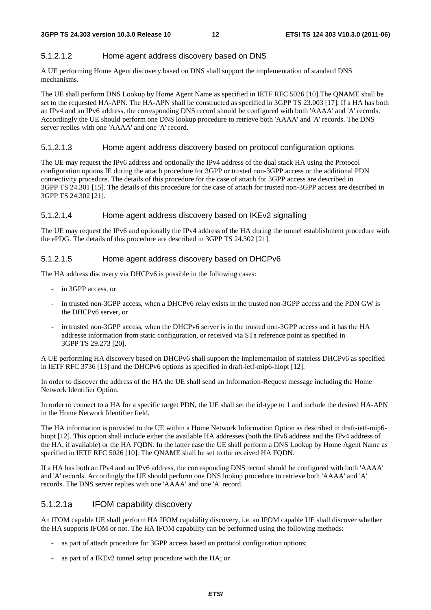#### 5.1.2.1.2 Home agent address discovery based on DNS

A UE performing Home Agent discovery based on DNS shall support the implementation of standard DNS mechanisms.

The UE shall perform DNS Lookup by Home Agent Name as specified in IETF RFC 5026 [10].The QNAME shall be set to the requested HA-APN. The HA-APN shall be constructed as specified in 3GPP TS 23.003 [17]. If a HA has both an IPv4 and an IPv6 address, the corresponding DNS record should be configured with both 'AAAA' and 'A' records. Accordingly the UE should perform one DNS lookup procedure to retrieve both 'AAAA' and 'A' records. The DNS server replies with one 'AAAA' and one 'A' record.

#### 5.1.2.1.3 Home agent address discovery based on protocol configuration options

The UE may request the IPv6 address and optionally the IPv4 address of the dual stack HA using the Protocol configuration options IE during the attach procedure for 3GPP or trusted non-3GPP access or the additional PDN connectivity procedure. The details of this procedure for the case of attach for 3GPP access are described in 3GPP TS 24.301 [15]. The details of this procedure for the case of attach for trusted non-3GPP access are described in 3GPP TS 24.302 [21].

#### 5.1.2.1.4 Home agent address discovery based on IKEv2 signalling

The UE may request the IPv6 and optionally the IPv4 address of the HA during the tunnel establishment procedure with the ePDG. The details of this procedure are described in 3GPP TS 24.302 [21].

#### 5.1.2.1.5 Home agent address discovery based on DHCPv6

The HA address discovery via DHCPv6 is possible in the following cases:

- in 3GPP access, or
- in trusted non-3GPP access, when a DHCPv6 relay exists in the trusted non-3GPP access and the PDN GW is the DHCPv6 server, or
- in trusted non-3GPP access, when the DHCPv6 server is in the trusted non-3GPP access and it has the HA addresse information from static configuration, or received via STa reference point as specified in 3GPP TS 29.273 [20].

A UE performing HA discovery based on DHCPv6 shall support the implementation of stateless DHCPv6 as specified in IETF RFC 3736 [13] and the DHCPv6 options as specified in draft-ietf-mip6-hiopt [12].

In order to discover the address of the HA the UE shall send an Information-Request message including the Home Network Identifier Option.

In order to connect to a HA for a specific target PDN, the UE shall set the id-type to 1 and include the desired HA-APN in the Home Network Identifier field.

The HA information is provided to the UE within a Home Network Information Option as described in draft-ietf-mip6 hiopt [12]. This option shall include either the available HA addresses (both the IPv6 address and the IPv4 address of the HA, if available) or the HA FQDN. In the latter case the UE shall perform a DNS Lookup by Home Agent Name as specified in IETF RFC 5026 [10]. The QNAME shall be set to the received HA FQDN.

If a HA has both an IPv4 and an IPv6 address, the corresponding DNS record should be configured with both 'AAAA' and 'A' records. Accordingly the UE should perform one DNS lookup procedure to retrieve both 'AAAA' and 'A' records. The DNS server replies with one 'AAAA' and one 'A' record.

#### 5.1.2.1a IFOM capability discovery

An IFOM capable UE shall perform HA IFOM capability discovery, i.e. an IFOM capable UE shall discover whether the HA supports IFOM or not. The HA IFOM capability can be performed using the following methods:

- as part of attach procedure for 3GPP access based on protocol configuration options;
- as part of a IKEv2 tunnel setup procedure with the HA; or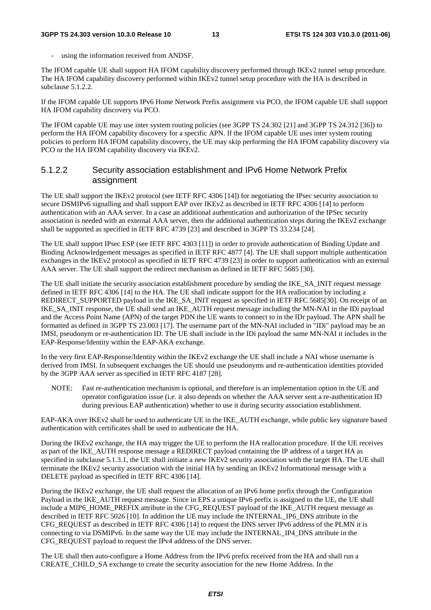using the information received from ANDSF.

The IFOM capable UE shall support HA IFOM capability discovery performed through IKEv2 tunnel setup procedure. The HA IFOM capability discovery performed within IKEv2 tunnel setup procedure with the HA is described in subclause 5.1.2.2.

If the IFOM capable UE supports IPv6 Home Network Prefix assignment via PCO, the IFOM capable UE shall support HA IFOM capability discovery via PCO.

The IFOM capable UE may use inter system routing policies (see 3GPP TS 24.302 [21] and 3GPP TS 24.312 [36]) to perform the HA IFOM capability discovery for a specific APN. If the IFOM capable UE uses inter system routing policies to perform HA IFOM capability discovery, the UE may skip performing the HA IFOM capability discovery via PCO or the HA IFOM capability discovery via IKEv2.

#### 5.1.2.2 Security association establishment and IPv6 Home Network Prefix assignment

The UE shall support the IKEv2 protocol (see IETF RFC 4306 [14]) for negotiating the IPsec security association to secure DSMIPv6 signalling and shall support EAP over IKEv2 as described in IETF RFC 4306 [14] to perform authentication with an AAA server. In a case an additional authentication and authorization of the IPSec security association is needed with an external AAA server, then the additional authentication steps during the IKEv2 exchange shall be supported as specified in IETF RFC 4739 [23] and described in 3GPP TS 33.234 [24].

The UE shall support IPsec ESP (see IETF RFC 4303 [11]) in order to provide authentication of Binding Update and Binding Acknowledgement messages as specified in IETF RFC 4877 [4]. The UE shall support multiple authentication exchanges in the IKEv2 protocol as specified in IETF RFC 4739 [23] in order to support authentication with an external AAA server. The UE shall support the redirect mechanism as defined in IETF RFC 5685 [30].

The UE shall initiate the security association establishment procedure by sending the IKE\_SA\_INIT request message defined in IETF RFC 4306 [14] to the HA. The UE shall indicate support for the HA reallocation by including a REDIRECT\_SUPPORTED payload in the IKE\_SA\_INIT request as specified in IETF RFC 5685[30]. On receipt of an IKE\_SA\_INIT response, the UE shall send an IKE\_AUTH request message including the MN-NAI in the IDi payload and the Access Point Name (APN) of the target PDN the UE wants to connect to in the IDr payload. The APN shall be formatted as defined in 3GPP TS 23.003 [17]. The username part of the MN-NAI included in "IDi" payload may be an IMSI, pseudonym or re-authentication ID. The UE shall include in the IDi payload the same MN-NAI it includes in the EAP-Response/Identity within the EAP-AKA exchange.

In the very first EAP-Response/Identity within the IKEv2 exchange the UE shall include a NAI whose username is derived from IMSI. In subsequent exchanges the UE should use pseudonyms and re-authentication identities provided by the 3GPP AAA server as specified in IETF RFC 4187 [28].

NOTE: Fast re-authentication mechanism is optional, and therefore is an implementation option in the UE and operator configuration issue (i.e. it also depends on whether the AAA server sent a re-authentication ID during previous EAP authentication) whether to use it during security association establishment.

EAP-AKA over IKEv2 shall be used to authenticate UE in the IKE\_AUTH exchange, while public key signature based authentication with certificates shall be used to authenticate the HA.

During the IKEv2 exchange, the HA may trigger the UE to perform the HA reallocation procedure. If the UE receives as part of the IKE\_AUTH response message a REDIRECT payload containing the IP address of a target HA as specified in subclause 5.1.3.1, the UE shall initiate a new IKEv2 security association with the target HA. The UE shall terminate the IKEv2 security association with the initial HA by sending an IKEv2 Informational message with a DELETE payload as specified in IETF RFC 4306 [14].

During the IKEv2 exchange, the UE shall request the allocation of an IPv6 home prefix through the Configuration Payload in the IKE\_AUTH request message. Since in EPS a unique IPv6 prefix is assigned to the UE, the UE shall include a MIP6\_HOME\_PREFIX attribute in the CFG\_REQUEST payload of the IKE\_AUTH request message as described in IETF RFC 5026 [10]. In addition the UE may include the INTERNAL\_IP6\_DNS attribute in the CFG\_REQUEST as described in IETF RFC 4306 [14] to request the DNS server IPv6 address of the PLMN it is connecting to via DSMIPv6. In the same way the UE may include the INTERNAL\_IP4\_DNS attribute in the CFG\_REQUEST payload to request the IPv4 address of the DNS server.

The UE shall then auto-configure a Home Address from the IPv6 prefix received from the HA and shall run a CREATE\_CHILD\_SA exchange to create the security association for the new Home Address. In the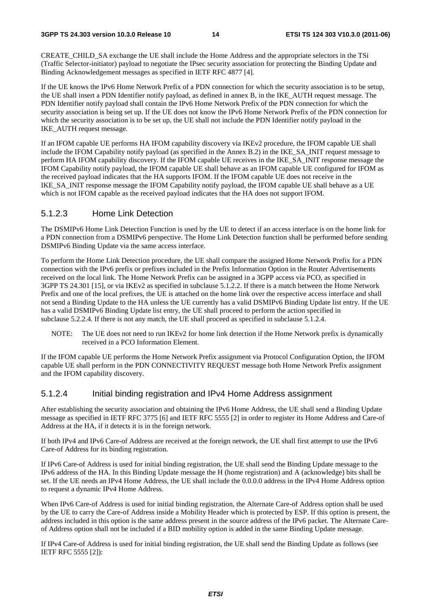CREATE\_CHILD\_SA exchange the UE shall include the Home Address and the appropriate selectors in the TSi (Traffic Selector-initiator) payload to negotiate the IPsec security association for protecting the Binding Update and Binding Acknowledgement messages as specified in IETF RFC 4877 [4].

If the UE knows the IPv6 Home Network Prefix of a PDN connection for which the security association is to be setup, the UE shall insert a PDN Identifier notify payload, as defined in annex B, in the IKE\_AUTH request message. The PDN Identifier notify payload shall contain the IPv6 Home Network Prefix of the PDN connection for which the security association is being set up. If the UE does not know the IPv6 Home Network Prefix of the PDN connection for which the security association is to be set up, the UE shall not include the PDN Identifier notify payload in the IKE\_AUTH request message.

If an IFOM capable UE performs HA IFOM capability discovery via IKEv2 procedure, the IFOM capable UE shall include the IFOM Capability notify payload (as specified in the Annex B.2) in the IKE\_SA\_INIT request message to perform HA IFOM capability discovery. If the IFOM capable UE receives in the IKE\_SA\_INIT response message the IFOM Capability notify payload, the IFOM capable UE shall behave as an IFOM capable UE configured for IFOM as the received payload indicates that the HA supports IFOM. If the IFOM capable UE does not receive in the IKE\_SA\_INIT response message the IFOM Capability notify payload, the IFOM capable UE shall behave as a UE which is not IFOM capable as the received payload indicates that the HA does not support IFOM.

#### 5.1.2.3 Home Link Detection

The DSMIPv6 Home Link Detection Function is used by the UE to detect if an access interface is on the home link for a PDN connection from a DSMIPv6 perspective. The Home Link Detection function shall be performed before sending DSMIPv6 Binding Update via the same access interface.

To perform the Home Link Detection procedure, the UE shall compare the assigned Home Network Prefix for a PDN connection with the IPv6 prefix or prefixes included in the Prefix Information Option in the Router Advertisements received on the local link. The Home Network Prefix can be assigned in a 3GPP access via PCO, as specified in 3GPP TS 24.301 [15], or via IKEv2 as specified in subclause 5.1.2.2. If there is a match between the Home Network Prefix and one of the local prefixes, the UE is attached on the home link over the respective access interface and shall not send a Binding Update to the HA unless the UE currently has a valid DSMIPv6 Binding Update list entry. If the UE has a valid DSMIPv6 Binding Update list entry, the UE shall proceed to perform the action specified in subclause 5.2.2.4. If there is not any match, the UE shall proceed as specified in subclause 5.1.2.4.

NOTE: The UE does not need to run IKEv2 for home link detection if the Home Network prefix is dynamically received in a PCO Information Element.

If the IFOM capable UE performs the Home Network Prefix assignment via Protocol Configuration Option, the IFOM capable UE shall perform in the PDN CONNECTIVITY REQUEST message both Home Network Prefix assignment and the IFOM capability discovery.

#### 5.1.2.4 Initial binding registration and IPv4 Home Address assignment

After establishing the security association and obtaining the IPv6 Home Address, the UE shall send a Binding Update message as specified in IETF RFC 3775 [6] and IETF RFC 5555 [2] in order to register its Home Address and Care-of Address at the HA, if it detects it is in the foreign network.

If both IPv4 and IPv6 Care-of Address are received at the foreign network, the UE shall first attempt to use the IPv6 Care-of Address for its binding registration.

If IPv6 Care-of Address is used for initial binding registration, the UE shall send the Binding Update message to the IPv6 address of the HA. In this Binding Update message the H (home registration) and A (acknowledge) bits shall be set. If the UE needs an IPv4 Home Address, the UE shall include the 0.0.0.0 address in the IPv4 Home Address option to request a dynamic IPv4 Home Address.

When IPv6 Care-of Address is used for initial binding registration, the Alternate Care-of Address option shall be used by the UE to carry the Care-of Address inside a Mobility Header which is protected by ESP. If this option is present, the address included in this option is the same address present in the source address of the IPv6 packet. The Alternate Careof Address option shall not be included if a BID mobility option is added in the same Binding Update message.

If IPv4 Care-of Address is used for initial binding registration, the UE shall send the Binding Update as follows (see IETF RFC 5555 [2]):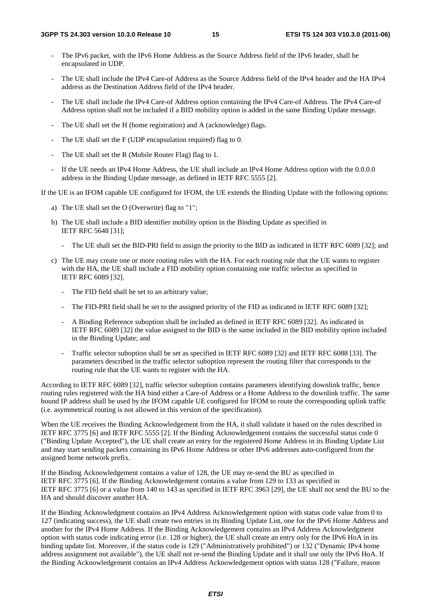- The IPv6 packet, with the IPv6 Home Address as the Source Address field of the IPv6 header, shall be encapsulated in UDP.
- The UE shall include the IPv4 Care-of Address as the Source Address field of the IPv4 header and the HA IPv4 address as the Destination Address field of the IPv4 header.
- The UE shall include the IPv4 Care-of Address option containing the IPv4 Care-of Address. The IPv4 Care-of Address option shall not be included if a BID mobility option is added in the same Binding Update message.
- The UE shall set the H (home registration) and A (acknowledge) flags.
- The UE shall set the F (UDP encapsulation required) flag to 0.
- The UE shall set the R (Mobile Router Flag) flag to 1.
- If the UE needs an IPv4 Home Address, the UE shall include an IPv4 Home Address option with the 0.0.0.0 address in the Binding Update message, as defined in IETF RFC 5555 [2].

If the UE is an IFOM capable UE configured for IFOM, the UE extends the Binding Update with the following options:

- a) The UE shall set the O (Overwrite) flag to "1";
- b) The UE shall include a BID identifier mobility option in the Binding Update as specified in IETF RFC 5648 [31];
	- The UE shall set the BID-PRI field to assign the priority to the BID as indicated in IETF RFC 6089 [32]; and
- c) The UE may create one or more routing rules with the HA. For each routing rule that the UE wants to register with the HA, the UE shall include a FID mobility option containing one traffic selector as specified in IETF RFC 6089 [32].
	- The FID field shall be set to an arbitrary value;
	- The FID-PRI field shall be set to the assigned priority of the FID as indicated in IETF RFC 6089 [32];
	- A Binding Reference suboption shall be included as defined in IETF RFC 6089 [32]. As indicated in IETF RFC 6089 [32] the value assigned to the BID is the same included in the BID mobility option included in the Binding Update; and
	- Traffic selector suboption shall be set as specified in IETF RFC 6089 [32] and IETF RFC 6088 [33]. The parameters described in the traffic selector suboption represent the routing filter that corresponds to the routing rule that the UE wants to register with the HA.

According to IETF RFC 6089 [32], traffic selector suboption contains parameters identifying downlink traffic, hence routing rules registered with the HA bind either a Care-of Address or a Home Address to the downlink traffic. The same bound IP address shall be used by the IFOM capable UE configured for IFOM to route the corresponding uplink traffic (i.e. asymmetrical routing is not allowed in this version of the specification).

When the UE receives the Binding Acknowledgement from the HA, it shall validate it based on the rules described in IETF RFC 3775 [6] and IETF RFC 5555 [2]. If the Binding Acknowledgement contains the successful status code 0 ("Binding Update Accepted"), the UE shall create an entry for the registered Home Address in its Binding Update List and may start sending packets containing its IPv6 Home Address or other IPv6 addresses auto-configured from the assigned home network prefix.

If the Binding Acknowledgement contains a value of 128, the UE may re-send the BU as specified in IETF RFC 3775 [6]. If the Binding Acknowledgement contains a value from 129 to 133 as specified in IETF RFC 3775 [6] or a value from 140 to 143 as specified in IETF RFC 3963 [29], the UE shall not send the BU to the HA and should discover another HA.

If the Binding Acknowledgment contains an IPv4 Address Acknowledgement option with status code value from 0 to 127 (indicating success), the UE shall create two entries in its Binding Update List, one for the IPv6 Home Address and another for the IPv4 Home Address. If the Binding Acknowledgement contains an IPv4 Address Acknowledgment option with status code indicating error (i.e. 128 or higher), the UE shall create an entry only for the IPv6 HoA in its binding update list. Moreover, if the status code is 129 ("Administratively prohibited") or 132 ("Dynamic IPv4 home address assignment not available"), the UE shall not re-send the Binding Update and it shall use only the IPv6 HoA. If the Binding Acknowledgement contains an IPv4 Address Acknowledgement option with status 128 ("Failure, reason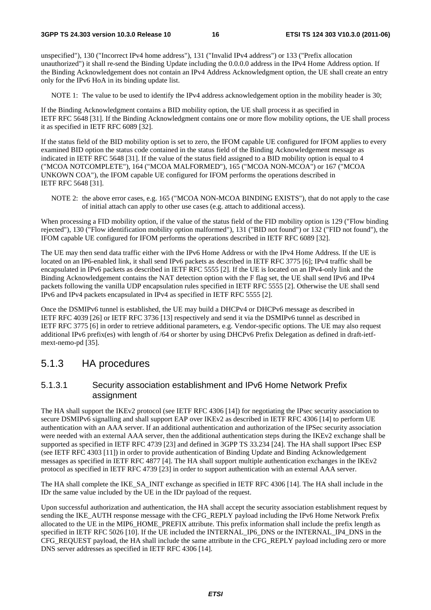unspecified"), 130 ("Incorrect IPv4 home address"), 131 ("Invalid IPv4 address") or 133 ("Prefix allocation unauthorized") it shall re-send the Binding Update including the 0.0.0.0 address in the IPv4 Home Address option. If the Binding Acknowledgement does not contain an IPv4 Address Acknowledgment option, the UE shall create an entry only for the IPv6 HoA in its binding update list.

NOTE 1: The value to be used to identify the IPv4 address acknowledgement option in the mobility header is 30;

If the Binding Acknowledgment contains a BID mobility option, the UE shall process it as specified in IETF RFC 5648 [31]. If the Binding Acknowledgment contains one or more flow mobility options, the UE shall process it as specified in IETF RFC 6089 [32].

If the status field of the BID mobility option is set to zero, the IFOM capable UE configured for IFOM applies to every examined BID option the status code contained in the status field of the Binding Acknowledgement message as indicated in IETF RFC 5648 [31]. If the value of the status field assigned to a BID mobility option is equal to 4 ("MCOA NOTCOMPLETE"), 164 ("MCOA MALFORMED"), 165 ("MCOA NON-MCOA") or 167 ("MCOA UNKOWN COA"), the IFOM capable UE configured for IFOM performs the operations described in IETF RFC 5648 [31].

NOTE 2: the above error cases, e.g. 165 ("MCOA NON-MCOA BINDING EXISTS"), that do not apply to the case of initial attach can apply to other use cases (e.g. attach to additional access).

When processing a FID mobility option, if the value of the status field of the FID mobility option is 129 ("Flow binding") rejected"), 130 ("Flow identification mobility option malformed"), 131 ("BID not found") or 132 ("FID not found"), the IFOM capable UE configured for IFOM performs the operations described in IETF RFC 6089 [32].

The UE may then send data traffic either with the IPv6 Home Address or with the IPv4 Home Address. If the UE is located on an IP6-enabled link, it shall send IPv6 packets as described in IETF RFC 3775 [6]; IPv4 traffic shall be encapsulated in IPv6 packets as described in IETF RFC 5555 [2]. If the UE is located on an IPv4-only link and the Binding Acknowledgement contains the NAT detection option with the F flag set, the UE shall send IPv6 and IPv4 packets following the vanilla UDP encapsulation rules specified in IETF RFC 5555 [2]. Otherwise the UE shall send IPv6 and IPv4 packets encapsulated in IPv4 as specified in IETF RFC 5555 [2].

Once the DSMIPv6 tunnel is established, the UE may build a DHCPv4 or DHCPv6 message as described in IETF RFC 4039 [26] or IETF RFC 3736 [13] respectively and send it via the DSMIPv6 tunnel as described in IETF RFC 3775 [6] in order to retrieve additional parameters, e.g. Vendor-specific options. The UE may also request additional IPv6 prefix(es) with length of /64 or shorter by using DHCPv6 Prefix Delegation as defined in draft-ietfmext-nemo-pd [35].

#### 5.1.3 HA procedures

#### 5.1.3.1 Security association establishment and IPv6 Home Network Prefix assignment

The HA shall support the IKEv2 protocol (see IETF RFC 4306 [14]) for negotiating the IPsec security association to secure DSMIPv6 signalling and shall support EAP over IKEv2 as described in IETF RFC 4306 [14] to perform UE authentication with an AAA server. If an additional authentication and authorization of the IPSec security association were needed with an external AAA server, then the additional authentication steps during the IKEv2 exchange shall be supported as specified in IETF RFC 4739 [23] and defined in 3GPP TS 33.234 [24]. The HA shall support IPsec ESP (see IETF RFC 4303 [11]) in order to provide authentication of Binding Update and Binding Acknowledgement messages as specified in IETF RFC 4877 [4]. The HA shall support multiple authentication exchanges in the IKEv2 protocol as specified in IETF RFC 4739 [23] in order to support authentication with an external AAA server.

The HA shall complete the IKE\_SA\_INIT exchange as specified in IETF RFC 4306 [14]. The HA shall include in the IDr the same value included by the UE in the IDr payload of the request.

Upon successful authorization and authentication, the HA shall accept the security association establishment request by sending the IKE\_AUTH response message with the CFG\_REPLY payload including the IPv6 Home Network Prefix allocated to the UE in the MIP6\_HOME\_PREFIX attribute. This prefix information shall include the prefix length as specified in IETF RFC 5026 [10]. If the UE included the INTERNAL IP6 DNS or the INTERNAL IP4 DNS in the CFG\_REQUEST payload, the HA shall include the same attribute in the CFG\_REPLY payload including zero or more DNS server addresses as specified in IETF RFC 4306 [14].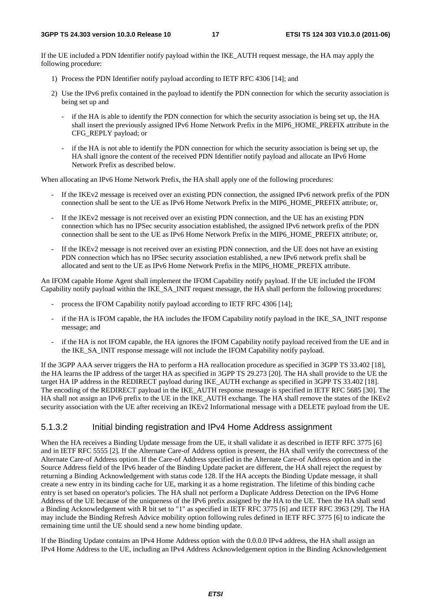If the UE included a PDN Identifier notify payload within the IKE\_AUTH request message, the HA may apply the following procedure:

- 1) Process the PDN Identifier notify payload according to IETF RFC 4306 [14]; and
- 2) Use the IPv6 prefix contained in the payload to identify the PDN connection for which the security association is being set up and
	- if the HA is able to identify the PDN connection for which the security association is being set up, the HA shall insert the previously assigned IPv6 Home Network Prefix in the MIP6\_HOME\_PREFIX attribute in the CFG\_REPLY payload; or
	- if the HA is not able to identify the PDN connection for which the security association is being set up, the HA shall ignore the content of the received PDN Identifier notify payload and allocate an IPv6 Home Network Prefix as described below.

When allocating an IPv6 Home Network Prefix, the HA shall apply one of the following procedures:

- If the IKEv2 message is received over an existing PDN connection, the assigned IPv6 network prefix of the PDN connection shall be sent to the UE as IPv6 Home Network Prefix in the MIP6\_HOME\_PREFIX attribute; or,
- If the IKEv2 message is not received over an existing PDN connection, and the UE has an existing PDN connection which has no IPSec security association established, the assigned IPv6 network prefix of the PDN connection shall be sent to the UE as IPv6 Home Network Prefix in the MIP6\_HOME\_PREFIX attribute; or,
- If the IKEv2 message is not received over an existing PDN connection, and the UE does not have an existing PDN connection which has no IPSec security association established, a new IPv6 network prefix shall be allocated and sent to the UE as IPv6 Home Network Prefix in the MIP6\_HOME\_PREFIX attribute.

An IFOM capable Home Agent shall implement the IFOM Capability notify payload. If the UE included the IFOM Capability notify payload within the IKE\_SA\_INIT request message, the HA shall perform the following procedures:

- process the IFOM Capability notify payload according to IETF RFC 4306 [14];
- if the HA is IFOM capable, the HA includes the IFOM Capability notify payload in the IKE\_SA\_INIT response message; and
- if the HA is not IFOM capable, the HA ignores the IFOM Capability notify payload received from the UE and in the IKE\_SA\_INIT response message will not include the IFOM Capability notify payload.

If the 3GPP AAA server triggers the HA to perform a HA reallocation procedure as specified in 3GPP TS 33.402 [18], the HA learns the IP address of the target HA as specified in 3GPP TS 29.273 [20]. The HA shall provide to the UE the target HA IP address in the REDIRECT payload during IKE\_AUTH exchange as specified in 3GPP TS 33.402 [18]. The encoding of the REDIRECT payload in the IKE\_AUTH response message is specified in IETF RFC 5685 [30]. The HA shall not assign an IPv6 prefix to the UE in the IKE\_AUTH exchange. The HA shall remove the states of the IKEv2 security association with the UE after receiving an IKEv2 Informational message with a DELETE payload from the UE.

#### 5.1.3.2 Initial binding registration and IPv4 Home Address assignment

When the HA receives a Binding Update message from the UE, it shall validate it as described in IETF RFC 3775 [6] and in IETF RFC 5555 [2]. If the Alternate Care-of Address option is present, the HA shall verify the correctness of the Alternate Care-of Address option. If the Care-of Address specified in the Alternate Care-of Address option and in the Source Address field of the IPv6 header of the Binding Update packet are different, the HA shall reject the request by returning a Binding Acknowledgement with status code 128. If the HA accepts the Binding Update message, it shall create a new entry in its binding cache for UE, marking it as a home registration. The lifetime of this binding cache entry is set based on operator's policies. The HA shall not perform a Duplicate Address Detection on the IPv6 Home Address of the UE because of the uniqueness of the IPv6 prefix assigned by the HA to the UE. Then the HA shall send a Binding Acknowledgement with R bit set to "1" as specified in IETF RFC 3775 [6] and IETF RFC 3963 [29]. The HA may include the Binding Refresh Advice mobility option following rules defined in IETF RFC 3775 [6] to indicate the remaining time until the UE should send a new home binding update.

If the Binding Update contains an IPv4 Home Address option with the 0.0.0.0 IPv4 address, the HA shall assign an IPv4 Home Address to the UE, including an IPv4 Address Acknowledgement option in the Binding Acknowledgement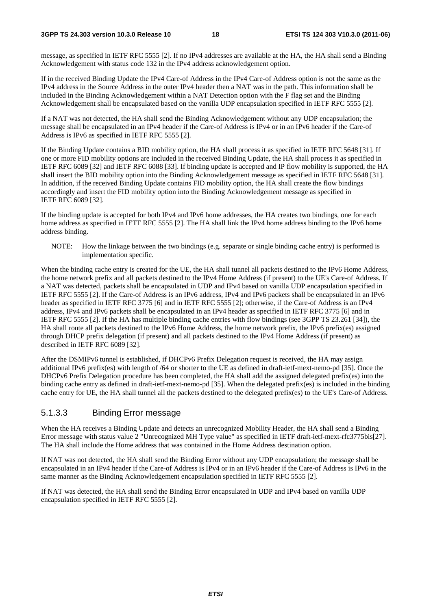message, as specified in IETF RFC 5555 [2]. If no IPv4 addresses are available at the HA, the HA shall send a Binding Acknowledgement with status code 132 in the IPv4 address acknowledgement option.

If in the received Binding Update the IPv4 Care-of Address in the IPv4 Care-of Address option is not the same as the IPv4 address in the Source Address in the outer IPv4 header then a NAT was in the path. This information shall be included in the Binding Acknowledgement within a NAT Detection option with the F flag set and the Binding Acknowledgement shall be encapsulated based on the vanilla UDP encapsulation specified in IETF RFC 5555 [2].

If a NAT was not detected, the HA shall send the Binding Acknowledgement without any UDP encapsulation; the message shall be encapsulated in an IPv4 header if the Care-of Address is IPv4 or in an IPv6 header if the Care-of Address is IPv6 as specified in IETF RFC 5555 [2].

If the Binding Update contains a BID mobility option, the HA shall process it as specified in IETF RFC 5648 [31]. If one or more FID mobility options are included in the received Binding Update, the HA shall process it as specified in IETF RFC 6089 [32] and IETF RFC 6088 [33]. If binding update is accepted and IP flow mobility is supported, the HA shall insert the BID mobility option into the Binding Acknowledgement message as specified in IETF RFC 5648 [31]. In addition, if the received Binding Update contains FID mobility option, the HA shall create the flow bindings accordingly and insert the FID mobility option into the Binding Acknowledgement message as specified in IETF RFC 6089 [32].

If the binding update is accepted for both IPv4 and IPv6 home addresses, the HA creates two bindings, one for each home address as specified in IETF RFC 5555 [2]. The HA shall link the IPv4 home address binding to the IPv6 home address binding.

NOTE: How the linkage between the two bindings (e.g. separate or single binding cache entry) is performed is implementation specific.

When the binding cache entry is created for the UE, the HA shall tunnel all packets destined to the IPv6 Home Address, the home network prefix and all packets destined to the IPv4 Home Address (if present) to the UE's Care-of Address. If a NAT was detected, packets shall be encapsulated in UDP and IPv4 based on vanilla UDP encapsulation specified in IETF RFC 5555 [2]. If the Care-of Address is an IPv6 address, IPv4 and IPv6 packets shall be encapsulated in an IPv6 header as specified in IETF RFC 3775 [6] and in IETF RFC 5555 [2]; otherwise, if the Care-of Address is an IPv4 address, IPv4 and IPv6 packets shall be encapsulated in an IPv4 header as specified in IETF RFC 3775 [6] and in IETF RFC 5555 [2]. If the HA has multiple binding cache entries with flow bindings (see 3GPP TS 23.261 [34]), the HA shall route all packets destined to the IPv6 Home Address, the home network prefix, the IPv6 prefix(es) assigned through DHCP prefix delegation (if present) and all packets destined to the IPv4 Home Address (if present) as described in IETF RFC 6089 [32].

After the DSMIPv6 tunnel is established, if DHCPv6 Prefix Delegation request is received, the HA may assign additional IPv6 prefix(es) with length of /64 or shorter to the UE as defined in draft-ietf-mext-nemo-pd [35]. Once the DHCPv6 Prefix Delegation procedure has been completed, the HA shall add the assigned delegated prefix(es) into the binding cache entry as defined in draft-ietf-mext-nemo-pd [35]. When the delegated prefix(es) is included in the binding cache entry for UE, the HA shall tunnel all the packets destined to the delegated prefix(es) to the UE's Care-of Address.

#### 5.1.3.3 Binding Error message

When the HA receives a Binding Update and detects an unrecognized Mobility Header, the HA shall send a Binding Error message with status value 2 "Unrecognized MH Type value" as specified in IETF draft-ietf-mext-rfc3775bis[27]. The HA shall include the Home address that was contained in the Home Address destination option.

If NAT was not detected, the HA shall send the Binding Error without any UDP encapsulation; the message shall be encapsulated in an IPv4 header if the Care-of Address is IPv4 or in an IPv6 header if the Care-of Address is IPv6 in the same manner as the Binding Acknowledgement encapsulation specified in IETF RFC 5555 [2].

If NAT was detected, the HA shall send the Binding Error encapsulated in UDP and IPv4 based on vanilla UDP encapsulation specified in IETF RFC 5555 [2].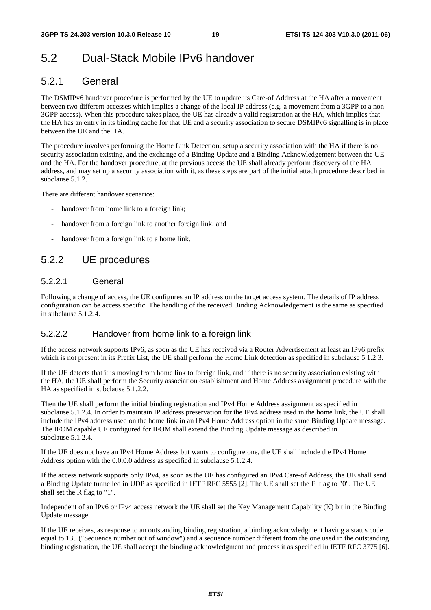### 5.2 Dual-Stack Mobile IPv6 handover

### 5.2.1 General

The DSMIPv6 handover procedure is performed by the UE to update its Care-of Address at the HA after a movement between two different accesses which implies a change of the local IP address (e.g. a movement from a 3GPP to a non-3GPP access). When this procedure takes place, the UE has already a valid registration at the HA, which implies that the HA has an entry in its binding cache for that UE and a security association to secure DSMIPv6 signalling is in place between the UE and the HA.

The procedure involves performing the Home Link Detection, setup a security association with the HA if there is no security association existing, and the exchange of a Binding Update and a Binding Acknowledgement between the UE and the HA. For the handover procedure, at the previous access the UE shall already perform discovery of the HA address, and may set up a security association with it, as these steps are part of the initial attach procedure described in subclause 5.1.2.

There are different handover scenarios:

- handover from home link to a foreign link;
- handover from a foreign link to another foreign link; and
- handover from a foreign link to a home link.

### 5.2.2 UE procedures

#### 5.2.2.1 General

Following a change of access, the UE configures an IP address on the target access system. The details of IP address configuration can be access specific. The handling of the received Binding Acknowledgement is the same as specified in subclause 5.1.2.4.

#### 5.2.2.2 Handover from home link to a foreign link

If the access network supports IPv6, as soon as the UE has received via a Router Advertisement at least an IPv6 prefix which is not present in its Prefix List, the UE shall perform the Home Link detection as specified in subclause 5.1.2.3.

If the UE detects that it is moving from home link to foreign link, and if there is no security association existing with the HA, the UE shall perform the Security association establishment and Home Address assignment procedure with the HA as specified in subclause 5.1.2.2.

Then the UE shall perform the initial binding registration and IPv4 Home Address assignment as specified in subclause 5.1.2.4. In order to maintain IP address preservation for the IPv4 address used in the home link, the UE shall include the IPv4 address used on the home link in an IPv4 Home Address option in the same Binding Update message. The IFOM capable UE configured for IFOM shall extend the Binding Update message as described in subclause 5.1.2.4.

If the UE does not have an IPv4 Home Address but wants to configure one, the UE shall include the IPv4 Home Address option with the 0.0.0.0 address as specified in subclause 5.1.2.4.

If the access network supports only IPv4, as soon as the UE has configured an IPv4 Care-of Address, the UE shall send a Binding Update tunnelled in UDP as specified in IETF RFC 5555 [2]. The UE shall set the F flag to "0". The UE shall set the R flag to "1".

Independent of an IPv6 or IPv4 access network the UE shall set the Key Management Capability (K) bit in the Binding Update message.

If the UE receives, as response to an outstanding binding registration, a binding acknowledgment having a status code equal to 135 ("Sequence number out of window") and a sequence number different from the one used in the outstanding binding registration, the UE shall accept the binding acknowledgment and process it as specified in IETF RFC 3775 [6].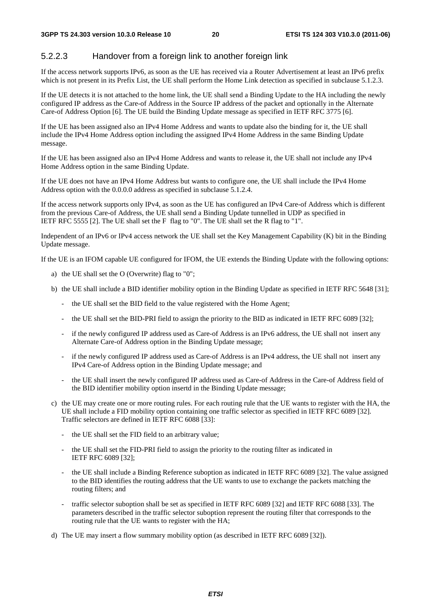#### 5.2.2.3 Handover from a foreign link to another foreign link

If the access network supports IPv6, as soon as the UE has received via a Router Advertisement at least an IPv6 prefix which is not present in its Prefix List, the UE shall perform the Home Link detection as specified in subclause 5.1.2.3.

If the UE detects it is not attached to the home link, the UE shall send a Binding Update to the HA including the newly configured IP address as the Care-of Address in the Source IP address of the packet and optionally in the Alternate Care-of Address Option [6]. The UE build the Binding Update message as specified in IETF RFC 3775 [6].

If the UE has been assigned also an IPv4 Home Address and wants to update also the binding for it, the UE shall include the IPv4 Home Address option including the assigned IPv4 Home Address in the same Binding Update message.

If the UE has been assigned also an IPv4 Home Address and wants to release it, the UE shall not include any IPv4 Home Address option in the same Binding Update.

If the UE does not have an IPv4 Home Address but wants to configure one, the UE shall include the IPv4 Home Address option with the 0.0.0.0 address as specified in subclause 5.1.2.4.

If the access network supports only IPv4, as soon as the UE has configured an IPv4 Care-of Address which is different from the previous Care-of Address, the UE shall send a Binding Update tunnelled in UDP as specified in IETF RFC 5555 [2]. The UE shall set the F flag to "0". The UE shall set the R flag to "1".

Independent of an IPv6 or IPv4 access network the UE shall set the Key Management Capability (K) bit in the Binding Update message.

If the UE is an IFOM capable UE configured for IFOM, the UE extends the Binding Update with the following options:

- a) the UE shall set the O (Overwrite) flag to "0";
- b) the UE shall include a BID identifier mobility option in the Binding Update as specified in IETF RFC 5648 [31];
	- the UE shall set the BID field to the value registered with the Home Agent;
	- the UE shall set the BID-PRI field to assign the priority to the BID as indicated in IETF RFC 6089 [32];
	- if the newly configured IP address used as Care-of Address is an IPv6 address, the UE shall not insert any Alternate Care-of Address option in the Binding Update message;
	- if the newly configured IP address used as Care-of Address is an IPv4 address, the UE shall not insert any IPv4 Care-of Address option in the Binding Update message; and
	- the UE shall insert the newly configured IP address used as Care-of Address in the Care-of Address field of the BID identifier mobility option insertd in the Binding Update message;
- c) the UE may create one or more routing rules. For each routing rule that the UE wants to register with the HA, the UE shall include a FID mobility option containing one traffic selector as specified in IETF RFC 6089 [32]. Traffic selectors are defined in IETF RFC 6088 [33]:
	- the UE shall set the FID field to an arbitrary value;
	- the UE shall set the FID-PRI field to assign the priority to the routing filter as indicated in IETF RFC 6089 [32];
	- the UE shall include a Binding Reference suboption as indicated in IETF RFC 6089 [32]. The value assigned to the BID identifies the routing address that the UE wants to use to exchange the packets matching the routing filters; and
	- traffic selector suboption shall be set as specified in IETF RFC 6089 [32] and IETF RFC 6088 [33]. The parameters described in the traffic selector suboption represent the routing filter that corresponds to the routing rule that the UE wants to register with the HA;
- d) The UE may insert a flow summary mobility option (as described in IETF RFC 6089 [32]).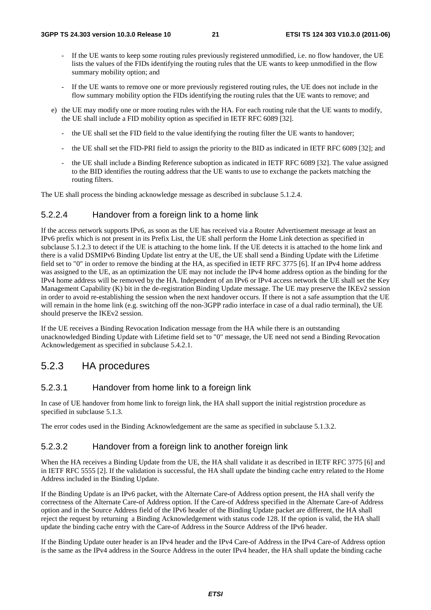- If the UE wants to keep some routing rules previously registered unmodified, i.e. no flow handover, the UE lists the values of the FIDs identifying the routing rules that the UE wants to keep unmodified in the flow summary mobility option; and
- If the UE wants to remove one or more previously registered routing rules, the UE does not include in the flow summary mobility option the FIDs identifying the routing rules that the UE wants to remove; and
- e) the UE may modify one or more routing rules with the HA. For each routing rule that the UE wants to modify, the UE shall include a FID mobility option as specified in IETF RFC 6089 [32].
	- the UE shall set the FID field to the value identifying the routing filter the UE wants to handover;
	- the UE shall set the FID-PRI field to assign the priority to the BID as indicated in IETF RFC 6089 [32]; and
	- the UE shall include a Binding Reference suboption as indicated in IETF RFC 6089 [32]. The value assigned to the BID identifies the routing address that the UE wants to use to exchange the packets matching the routing filters.

The UE shall process the binding acknowledge message as described in subclause 5.1.2.4.

#### 5.2.2.4 Handover from a foreign link to a home link

If the access network supports IPv6, as soon as the UE has received via a Router Advertisement message at least an IPv6 prefix which is not present in its Prefix List, the UE shall perform the Home Link detection as specified in subclause 5.1.2.3 to detect if the UE is attaching to the home link. If the UE detects it is attached to the home link and there is a valid DSMIPv6 Binding Update list entry at the UE, the UE shall send a Binding Update with the Lifetime field set to "0" in order to remove the binding at the HA, as specified in IETF RFC 3775 [6]. If an IPv4 home address was assigned to the UE, as an optimization the UE may not include the IPv4 home address option as the binding for the IPv4 home address will be removed by the HA. Independent of an IPv6 or IPv4 access network the UE shall set the Key Management Capability (K) bit in the de-registration Binding Update message. The UE may preserve the IKEv2 session in order to avoid re-establishing the session when the next handover occurs. If there is not a safe assumption that the UE will remain in the home link (e.g. switching off the non-3GPP radio interface in case of a dual radio terminal), the UE should preserve the IKEv2 session.

If the UE receives a Binding Revocation Indication message from the HA while there is an outstanding unacknowledged Binding Update with Lifetime field set to "0" message, the UE need not send a Binding Revocation Acknowledgement as specified in subclause 5.4.2.1.

#### 5.2.3 HA procedures

#### 5.2.3.1 Handover from home link to a foreign link

In case of UE handover from home link to foreign link, the HA shall support the initial registrstion procedure as specified in subclause 5.1.3.

The error codes used in the Binding Acknowledgement are the same as specified in subclause 5.1.3.2.

#### 5.2.3.2 Handover from a foreign link to another foreign link

When the HA receives a Binding Update from the UE, the HA shall validate it as described in IETF RFC 3775 [6] and in IETF RFC 5555 [2]. If the validation is successful, the HA shall update the binding cache entry related to the Home Address included in the Binding Update.

If the Binding Update is an IPv6 packet, with the Alternate Care-of Address option present, the HA shall verify the correctness of the Alternate Care-of Address option. If the Care-of Address specified in the Alternate Care-of Address option and in the Source Address field of the IPv6 header of the Binding Update packet are different, the HA shall reject the request by returning a Binding Acknowledgement with status code 128. If the option is valid, the HA shall update the binding cache entry with the Care-of Address in the Source Address of the IPv6 header.

If the Binding Update outer header is an IPv4 header and the IPv4 Care-of Address in the IPv4 Care-of Address option is the same as the IPv4 address in the Source Address in the outer IPv4 header, the HA shall update the binding cache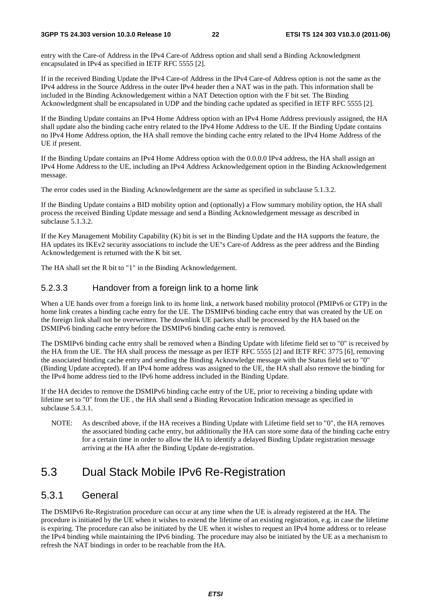entry with the Care-of Address in the IPv4 Care-of Address option and shall send a Binding Acknowledgment encapsulated in IPv4 as specified in IETF RFC 5555 [2].

If in the received Binding Update the IPv4 Care-of Address in the IPv4 Care-of Address option is not the same as the IPv4 address in the Source Address in the outer IPv4 header then a NAT was in the path. This information shall be included in the Binding Acknowledgement within a NAT Detection option with the F bit set. The Binding Acknowledgment shall be encapsulated in UDP and the binding cache updated as specified in IETF RFC 5555 [2].

If the Binding Update contains an IPv4 Home Address option with an IPv4 Home Address previously assigned, the HA shall update also the binding cache entry related to the IPv4 Home Address to the UE. If the Binding Update contains no IPv4 Home Address option, the HA shall remove the binding cache entry related to the IPv4 Home Address of the UE if present.

If the Binding Update contains an IPv4 Home Address option with the 0.0.0.0 IPv4 address, the HA shall assign an IPv4 Home Address to the UE, including an IPv4 Address Acknowledgement option in the Binding Acknowledgement message.

The error codes used in the Binding Acknowledgement are the same as specified in subclause 5.1.3.2.

If the Binding Update contains a BID mobility option and (optionally) a Flow summary mobility option, the HA shall process the received Binding Update message and send a Binding Acknowledgement message as described in subclause 5.1.3.2.

If the Key Management Mobility Capability (K) bit is set in the Binding Update and the HA supports the feature, the HA updates its IKEv2 security associations to include the UE"s Care-of Address as the peer address and the Binding Acknowledgement is returned with the K bit set.

The HA shall set the R bit to "1" in the Binding Acknowledgement.

#### 5.2.3.3 Handover from a foreign link to a home link

When a UE hands over from a foreign link to its home link, a network based mobility protocol (PMIPv6 or GTP) in the home link creates a binding cache entry for the UE. The DSMIPv6 binding cache entry that was created by the UE on the foreign link shall not be overwritten. The downlink UE packets shall be processed by the HA based on the DSMIPv6 binding cache entry before the DSMIPv6 binding cache entry is removed.

The DSMIPv6 binding cache entry shall be removed when a Binding Update with lifetime field set to "0" is received by the HA from the UE. The HA shall process the message as per IETF RFC 5555 [2] and IETF RFC 3775 [6], removing the associated binding cache entry and sending the Binding Acknowledge message with the Status field set to "0" (Binding Update accepted). If an IPv4 home address was assigned to the UE, the HA shall also remove the binding for the IPv4 home address tied to the IPv6 home address included in the Binding Update.

If the HA decides to remove the DSMIPv6 binding cache entry of the UE, prior to receiving a binding update with lifetime set to "0" from the UE , the HA shall send a Binding Revocation Indication message as specified in subclause 5.4.3.1.

NOTE: As described above, if the HA receives a Binding Update with Lifetime field set to "0", the HA removes the associated binding cache entry, but additionally the HA can store some data of the binding cache entry for a certain time in order to allow the HA to identify a delayed Binding Update registration message arriving at the HA after the Binding Update de-registration.

### 5.3 Dual Stack Mobile IPv6 Re-Registration

#### 5.3.1 General

The DSMIPv6 Re-Registration procedure can occur at any time when the UE is already registered at the HA. The procedure is initiated by the UE when it wishes to extend the lifetime of an existing registration, e.g. in case the lifetime is expiring. The procedure can also be initiated by the UE when it wishes to request an IPv4 home address or to release the IPv4 binding while maintaining the IPv6 binding. The procedure may also be initiated by the UE as a mechanism to refresh the NAT bindings in order to be reachable from the HA.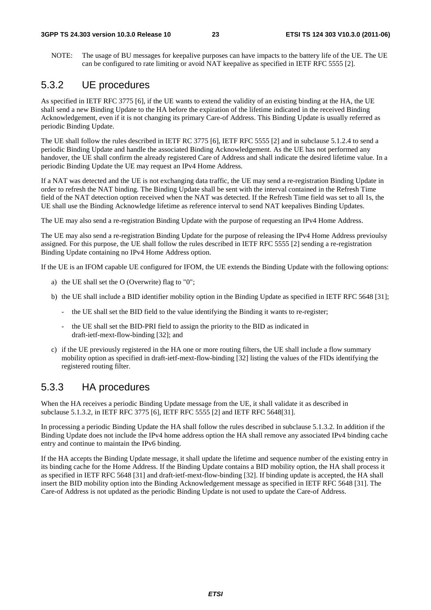NOTE: The usage of BU messages for keepalive purposes can have impacts to the battery life of the UE. The UE can be configured to rate limiting or avoid NAT keepalive as specified in IETF RFC 5555 [2].

### 5.3.2 UE procedures

As specified in IETF RFC 3775 [6], if the UE wants to extend the validity of an existing binding at the HA, the UE shall send a new Binding Update to the HA before the expiration of the lifetime indicated in the received Binding Acknowledgement, even if it is not changing its primary Care-of Address. This Binding Update is usually referred as periodic Binding Update.

The UE shall follow the rules described in IETF RC 3775 [6], IETF RFC 5555 [2] and in subclause 5.1.2.4 to send a periodic Binding Update and handle the associated Binding Acknowledgement. As the UE has not performed any handover, the UE shall confirm the already registered Care of Address and shall indicate the desired lifetime value. In a periodic Binding Update the UE may request an IPv4 Home Address.

If a NAT was detected and the UE is not exchanging data traffic, the UE may send a re-registration Binding Update in order to refresh the NAT binding. The Binding Update shall be sent with the interval contained in the Refresh Time field of the NAT detection option received when the NAT was detected. If the Refresh Time field was set to all 1s, the UE shall use the Binding Acknowledge lifetime as reference interval to send NAT keepalives Binding Updates.

The UE may also send a re-registration Binding Update with the purpose of requesting an IPv4 Home Address.

The UE may also send a re-registration Binding Update for the purpose of releasing the IPv4 Home Address previoulsy assigned. For this purpose, the UE shall follow the rules described in IETF RFC 5555 [2] sending a re-registration Binding Update containing no IPv4 Home Address option.

If the UE is an IFOM capable UE configured for IFOM, the UE extends the Binding Update with the following options:

- a) the UE shall set the O (Overwrite) flag to "0";
- b) the UE shall include a BID identifier mobility option in the Binding Update as specified in IETF RFC 5648 [31];
	- the UE shall set the BID field to the value identifying the Binding it wants to re-register;
	- the UE shall set the BID-PRI field to assign the priority to the BID as indicated in draft-ietf-mext-flow-binding [32]; and
- c) if the UE previously registered in the HA one or more routing filters, the UE shall include a flow summary mobility option as specified in draft-ietf-mext-flow-binding [32] listing the values of the FIDs identifying the registered routing filter.

### 5.3.3 HA procedures

When the HA receives a periodic Binding Update message from the UE, it shall validate it as described in subclause 5.1.3.2, in IETF RFC 3775 [6], IETF RFC 5555 [2] and IETF RFC 5648[31].

In processing a periodic Binding Update the HA shall follow the rules described in subclause 5.1.3.2. In addition if the Binding Update does not include the IPv4 home address option the HA shall remove any associated IPv4 binding cache entry and continue to maintain the IPv6 binding.

If the HA accepts the Binding Update message, it shall update the lifetime and sequence number of the existing entry in its binding cache for the Home Address. If the Binding Update contains a BID mobility option, the HA shall process it as specified in IETF RFC 5648 [31] and draft-ietf-mext-flow-binding [32]. If binding update is accepted, the HA shall insert the BID mobility option into the Binding Acknowledgement message as specified in IETF RFC 5648 [31]. The Care-of Address is not updated as the periodic Binding Update is not used to update the Care-of Address.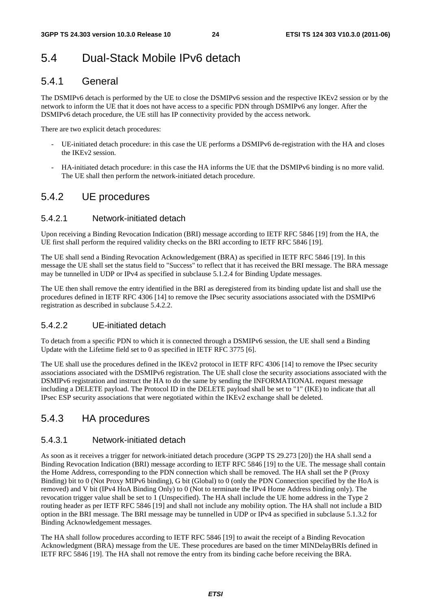## 5.4 Dual-Stack Mobile IPv6 detach

### 5.4.1 General

The DSMIPv6 detach is performed by the UE to close the DSMIPv6 session and the respective IKEv2 session or by the network to inform the UE that it does not have access to a specific PDN through DSMIPv6 any longer. After the DSMIPv6 detach procedure, the UE still has IP connectivity provided by the access network.

There are two explicit detach procedures:

- UE-initiated detach procedure: in this case the UE performs a DSMIPv6 de-registration with the HA and closes the IKEv2 session.
- HA-initiated detach procedure: in this case the HA informs the UE that the DSMIPv6 binding is no more valid. The UE shall then perform the network-initiated detach procedure.

### 5.4.2 UE procedures

#### 5.4.2.1 Network-initiated detach

Upon receiving a Binding Revocation Indication (BRI) message according to IETF RFC 5846 [19] from the HA, the UE first shall perform the required validity checks on the BRI according to IETF RFC 5846 [19].

The UE shall send a Binding Revocation Acknowledgement (BRA) as specified in IETF RFC 5846 [19]. In this message the UE shall set the status field to "Success" to reflect that it has received the BRI message. The BRA message may be tunnelled in UDP or IPv4 as specified in subclause 5.1.2.4 for Binding Update messages.

The UE then shall remove the entry identified in the BRI as deregistered from its binding update list and shall use the procedures defined in IETF RFC 4306 [14] to remove the IPsec security associations associated with the DSMIPv6 registration as described in subclause 5.4.2.2.

#### 5.4.2.2 UE-initiated detach

To detach from a specific PDN to which it is connected through a DSMIPv6 session, the UE shall send a Binding Update with the Lifetime field set to 0 as specified in IETF RFC 3775 [6].

The UE shall use the procedures defined in the IKEv2 protocol in IETF RFC 4306 [14] to remove the IPsec security associations associated with the DSMIPv6 registration. The UE shall close the security associations associated with the DSMIPv6 registration and instruct the HA to do the same by sending the INFORMATIONAL request message including a DELETE payload. The Protocol ID in the DELETE payload shall be set to "1" (IKE) to indicate that all IPsec ESP security associations that were negotiated within the IKEv2 exchange shall be deleted.

### 5.4.3 HA procedures

#### 5.4.3.1 Network-initiated detach

As soon as it receives a trigger for network-initiated detach procedure (3GPP TS 29.273 [20]) the HA shall send a Binding Revocation Indication (BRI) message according to IETF RFC 5846 [19] to the UE. The message shall contain the Home Address, corresponding to the PDN connection which shall be removed. The HA shall set the P (Proxy Binding) bit to 0 (Not Proxy MIPv6 binding), G bit (Global) to 0 (only the PDN Connection specified by the HoA is removed) and V bit (IPv4 HoA Binding Only) to 0 (Not to terminate the IPv4 Home Address binding only). The revocation trigger value shall be set to 1 (Unspecified). The HA shall include the UE home address in the Type 2 routing header as per IETF RFC 5846 [19] and shall not include any mobility option. The HA shall not include a BID option in the BRI message. The BRI message may be tunnelled in UDP or IPv4 as specified in subclause 5.1.3.2 for Binding Acknowledgement messages.

The HA shall follow procedures according to IETF RFC 5846 [19] to await the receipt of a Binding Revocation Acknowledgment (BRA) message from the UE. These procedures are based on the timer MINDelayBRIs defined in IETF RFC 5846 [19]. The HA shall not remove the entry from its binding cache before receiving the BRA.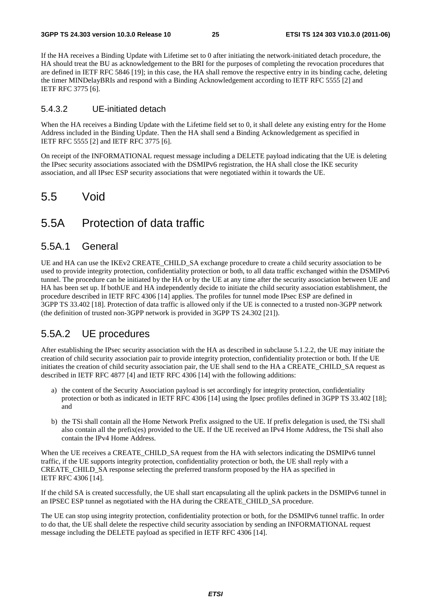If the HA receives a Binding Update with Lifetime set to 0 after initiating the network-initiated detach procedure, the HA should treat the BU as acknowledgement to the BRI for the purposes of completing the revocation procedures that are defined in IETF RFC 5846 [19]; in this case, the HA shall remove the respective entry in its binding cache, deleting the timer MINDelayBRIs and respond with a Binding Acknowledgement according to IETF RFC 5555 [2] and IETF RFC 3775 [6].

#### 5.4.3.2 UE-initiated detach

When the HA receives a Binding Update with the Lifetime field set to 0, it shall delete any existing entry for the Home Address included in the Binding Update. Then the HA shall send a Binding Acknowledgement as specified in IETF RFC 5555 [2] and IETF RFC 3775 [6].

On receipt of the INFORMATIONAL request message including a DELETE payload indicating that the UE is deleting the IPsec security associations associated with the DSMIPv6 registration, the HA shall close the IKE security association, and all IPsec ESP security associations that were negotiated within it towards the UE.

### 5.5 Void

### 5.5A Protection of data traffic

#### 5.5A.1 General

UE and HA can use the IKEv2 CREATE\_CHILD\_SA exchange procedure to create a child security association to be used to provide integrity protection, confidentiality protection or both, to all data traffic exchanged within the DSMIPv6 tunnel. The procedure can be initiated by the HA or by the UE at any time after the security association between UE and HA has been set up. If bothUE and HA independently decide to initiate the child security association establishment, the procedure described in IETF RFC 4306 [14] applies. The profiles for tunnel mode IPsec ESP are defined in 3GPP TS 33.402 [18]. Protection of data traffic is allowed only if the UE is connected to a trusted non-3GPP network (the definition of trusted non-3GPP network is provided in 3GPP TS 24.302 [21]).

### 5.5A.2 UE procedures

After establishing the IPsec security association with the HA as described in subclause 5.1.2.2, the UE may initiate the creation of child security association pair to provide integrity protection, confidentiality protection or both. If the UE initiates the creation of child security association pair, the UE shall send to the HA a CREATE\_CHILD\_SA request as described in IETF RFC 4877 [4] and IETF RFC 4306 [14] with the following additions:

- a) the content of the Security Association payload is set accordingly for integrity protection, confidentiality protection or both as indicated in IETF RFC 4306 [14] using the Ipsec profiles defined in 3GPP TS 33.402 [18]; and
- b) the TSi shall contain all the Home Network Prefix assigned to the UE. If prefix delegation is used, the TSi shall also contain all the prefix(es) provided to the UE. If the UE received an IPv4 Home Address, the TSi shall also contain the IPv4 Home Address.

When the UE receives a CREATE\_CHILD\_SA request from the HA with selectors indicating the DSMIPv6 tunnel traffic, if the UE supports integrity protection, confidentiality protection or both, the UE shall reply with a CREATE\_CHILD\_SA response selecting the preferred transform proposed by the HA as specified in IETF RFC 4306 [14].

If the child SA is created successfully, the UE shall start encapsulating all the uplink packets in the DSMIPv6 tunnel in an IPSEC ESP tunnel as negotiated with the HA during the CREATE\_CHILD\_SA procedure.

The UE can stop using integrity protection, confidentiality protection or both, for the DSMIPv6 tunnel traffic. In order to do that, the UE shall delete the respective child security association by sending an INFORMATIONAL request message including the DELETE payload as specified in IETF RFC 4306 [14].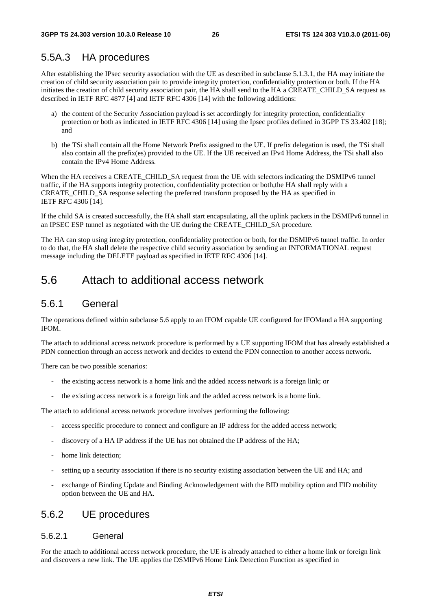### 5.5A.3 HA procedures

After establishing the IPsec security association with the UE as described in subclause 5.1.3.1, the HA may initiate the creation of child security association pair to provide integrity protection, confidentiality protection or both. If the HA initiates the creation of child security association pair, the HA shall send to the HA a CREATE\_CHILD\_SA request as described in IETF RFC 4877 [4] and IETF RFC 4306 [14] with the following additions:

- a) the content of the Security Association payload is set accordingly for integrity protection, confidentiality protection or both as indicated in IETF RFC 4306 [14] using the Ipsec profiles defined in 3GPP TS 33.402 [18]; and
- b) the TSi shall contain all the Home Network Prefix assigned to the UE. If prefix delegation is used, the TSi shall also contain all the prefix(es) provided to the UE. If the UE received an IPv4 Home Address, the TSi shall also contain the IPv4 Home Address.

When the HA receives a CREATE\_CHILD\_SA request from the UE with selectors indicating the DSMIPv6 tunnel traffic, if the HA supports integrity protection, confidentiality protection or both,the HA shall reply with a CREATE\_CHILD\_SA response selecting the preferred transform proposed by the HA as specified in IETF RFC 4306 [14].

If the child SA is created successfully, the HA shall start encapsulating, all the uplink packets in the DSMIPv6 tunnel in an IPSEC ESP tunnel as negotiated with the UE during the CREATE\_CHILD\_SA procedure.

The HA can stop using integrity protection, confidentiality protection or both, for the DSMIPv6 tunnel traffic. In order to do that, the HA shall delete the respective child security association by sending an INFORMATIONAL request message including the DELETE payload as specified in IETF RFC 4306 [14].

### 5.6 Attach to additional access network

### 5.6.1 General

The operations defined within subclause 5.6 apply to an IFOM capable UE configured for IFOMand a HA supporting IFOM.

The attach to additional access network procedure is performed by a UE supporting IFOM that has already established a PDN connection through an access network and decides to extend the PDN connection to another access network.

There can be two possible scenarios:

- the existing access network is a home link and the added access network is a foreign link; or
- the existing access network is a foreign link and the added access network is a home link.

The attach to additional access network procedure involves performing the following:

- access specific procedure to connect and configure an IP address for the added access network;
- discovery of a HA IP address if the UE has not obtained the IP address of the HA;
- home link detection;
- setting up a security association if there is no security existing association between the UE and HA; and
- exchange of Binding Update and Binding Acknowledgement with the BID mobility option and FID mobility option between the UE and HA.

### 5.6.2 UE procedures

#### 5.6.2.1 General

For the attach to additional access network procedure, the UE is already attached to either a home link or foreign link and discovers a new link. The UE applies the DSMIPv6 Home Link Detection Function as specified in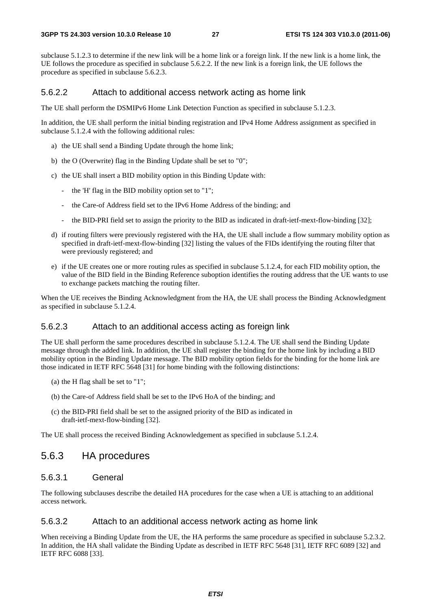subclause 5.1.2.3 to determine if the new link will be a home link or a foreign link. If the new link is a home link, the UE follows the procedure as specified in subclause 5.6.2.2. If the new link is a foreign link, the UE follows the procedure as specified in subclause 5.6.2.3.

#### 5.6.2.2 Attach to additional access network acting as home link

The UE shall perform the DSMIPv6 Home Link Detection Function as specified in subclause 5.1.2.3.

In addition, the UE shall perform the initial binding registration and IPv4 Home Address assignment as specified in subclause 5.1.2.4 with the following additional rules:

- a) the UE shall send a Binding Update through the home link;
- b) the O (Overwrite) flag in the Binding Update shall be set to "0";
- c) the UE shall insert a BID mobility option in this Binding Update with:
	- the 'H' flag in the BID mobility option set to "1";
	- the Care-of Address field set to the IPv6 Home Address of the binding; and
	- the BID-PRI field set to assign the priority to the BID as indicated in draft-ietf-mext-flow-binding [32];
- d) if routing filters were previously registered with the HA, the UE shall include a flow summary mobility option as specified in draft-ietf-mext-flow-binding [32] listing the values of the FIDs identifying the routing filter that were previously registered; and
- e) if the UE creates one or more routing rules as specified in subclause 5.1.2.4, for each FID mobility option, the value of the BID field in the Binding Reference suboption identifies the routing address that the UE wants to use to exchange packets matching the routing filter.

When the UE receives the Binding Acknowledgment from the HA, the UE shall process the Binding Acknowledgment as specified in subclause 5.1.2.4.

#### 5.6.2.3 Attach to an additional access acting as foreign link

The UE shall perform the same procedures described in subclause 5.1.2.4. The UE shall send the Binding Update message through the added link. In addition, the UE shall register the binding for the home link by including a BID mobility option in the Binding Update message. The BID mobility option fields for the binding for the home link are those indicated in IETF RFC 5648 [31] for home binding with the following distinctions:

- (a) the H flag shall be set to "1";
- (b) the Care-of Address field shall be set to the IPv6 HoA of the binding; and
- (c) the BID-PRI field shall be set to the assigned priority of the BID as indicated in draft-ietf-mext-flow-binding [32].

The UE shall process the received Binding Acknowledgement as specified in subclause 5.1.2.4.

#### 5.6.3 HA procedures

#### 5.6.3.1 General

The following subclauses describe the detailed HA procedures for the case when a UE is attaching to an additional access network.

#### 5.6.3.2 Attach to an additional access network acting as home link

When receiving a Binding Update from the UE, the HA performs the same procedure as specified in subclause 5.2.3.2. In addition, the HA shall validate the Binding Update as described in IETF RFC 5648 [31], IETF RFC 6089 [32] and IETF RFC 6088 [33].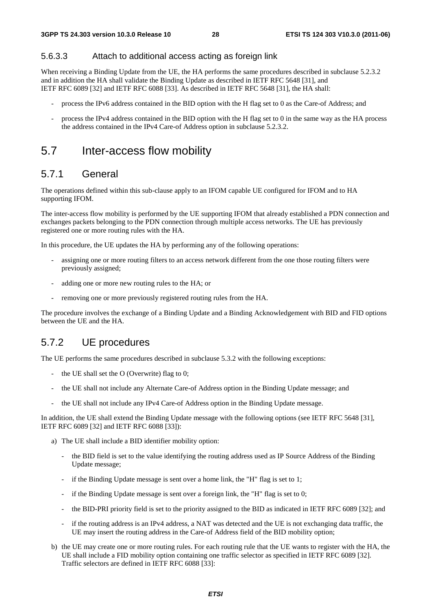#### 5.6.3.3 Attach to additional access acting as foreign link

When receiving a Binding Update from the UE, the HA performs the same procedures described in subclause 5.2.3.2 and in addition the HA shall validate the Binding Update as described in IETF RFC 5648 [31], and IETF RFC 6089 [32] and IETF RFC 6088 [33]. As described in IETF RFC 5648 [31], the HA shall:

- process the IPv6 address contained in the BID option with the H flag set to 0 as the Care-of Address; and
- process the IPv4 address contained in the BID option with the H flag set to 0 in the same way as the HA process the address contained in the IPv4 Care-of Address option in subclause 5.2.3.2.

### 5.7 Inter-access flow mobility

### 5.7.1 General

The operations defined within this sub-clause apply to an IFOM capable UE configured for IFOM and to HA supporting IFOM.

The inter-access flow mobility is performed by the UE supporting IFOM that already established a PDN connection and exchanges packets belonging to the PDN connection through multiple access networks. The UE has previously registered one or more routing rules with the HA.

In this procedure, the UE updates the HA by performing any of the following operations:

- assigning one or more routing filters to an access network different from the one those routing filters were previously assigned;
- adding one or more new routing rules to the HA; or
- removing one or more previously registered routing rules from the HA.

The procedure involves the exchange of a Binding Update and a Binding Acknowledgement with BID and FID options between the UE and the HA.

### 5.7.2 UE procedures

The UE performs the same procedures described in subclause 5.3.2 with the following exceptions:

- the UE shall set the  $O$  (Overwrite) flag to 0;
- the UE shall not include any Alternate Care-of Address option in the Binding Update message; and
- the UE shall not include any IPv4 Care-of Address option in the Binding Update message.

In addition, the UE shall extend the Binding Update message with the following options (see IETF RFC 5648 [31], IETF RFC 6089 [32] and IETF RFC 6088 [33]):

- a) The UE shall include a BID identifier mobility option:
	- the BID field is set to the value identifying the routing address used as IP Source Address of the Binding Update message;
	- if the Binding Update message is sent over a home link, the "H" flag is set to 1;
	- if the Binding Update message is sent over a foreign link, the "H" flag is set to  $0$ ;
	- the BID-PRI priority field is set to the priority assigned to the BID as indicated in IETF RFC 6089 [32]; and
	- if the routing address is an IPv4 address, a NAT was detected and the UE is not exchanging data traffic, the UE may insert the routing address in the Care-of Address field of the BID mobility option;
- b) the UE may create one or more routing rules. For each routing rule that the UE wants to register with the HA, the UE shall include a FID mobility option containing one traffic selector as specified in IETF RFC 6089 [32]. Traffic selectors are defined in IETF RFC 6088 [33]: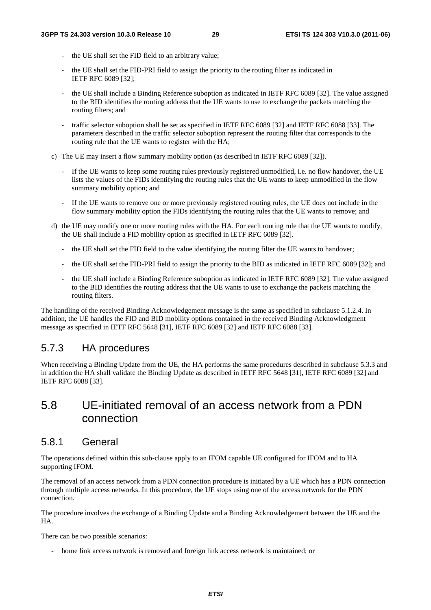- the UE shall set the FID field to an arbitrary value:
- the UE shall set the FID-PRI field to assign the priority to the routing filter as indicated in IETF RFC 6089 [32];
- the UE shall include a Binding Reference suboption as indicated in IETF RFC 6089 [32]. The value assigned to the BID identifies the routing address that the UE wants to use to exchange the packets matching the routing filters; and
- traffic selector suboption shall be set as specified in IETF RFC 6089 [32] and IETF RFC 6088 [33]. The parameters described in the traffic selector suboption represent the routing filter that corresponds to the routing rule that the UE wants to register with the HA;
- c) The UE may insert a flow summary mobility option (as described in IETF RFC 6089 [32]).
	- If the UE wants to keep some routing rules previously registered unmodified, i.e. no flow handover, the UE lists the values of the FIDs identifying the routing rules that the UE wants to keep unmodified in the flow summary mobility option; and
	- If the UE wants to remove one or more previously registered routing rules, the UE does not include in the flow summary mobility option the FIDs identifying the routing rules that the UE wants to remove; and
- d) the UE may modify one or more routing rules with the HA. For each routing rule that the UE wants to modify, the UE shall include a FID mobility option as specified in IETF RFC 6089 [32].
	- the UE shall set the FID field to the value identifying the routing filter the UE wants to handover;
	- the UE shall set the FID-PRI field to assign the priority to the BID as indicated in IETF RFC 6089 [32]; and
	- the UE shall include a Binding Reference suboption as indicated in IETF RFC 6089 [32]. The value assigned to the BID identifies the routing address that the UE wants to use to exchange the packets matching the routing filters.

The handling of the received Binding Acknowledgement message is the same as specified in subclause 5.1.2.4. In addition, the UE handles the FID and BID mobility options contained in the received Binding Acknowledgment message as specified in IETF RFC 5648 [31], IETF RFC 6089 [32] and IETF RFC 6088 [33].

### 5.7.3 HA procedures

When receiving a Binding Update from the UE, the HA performs the same procedures described in subclause 5.3.3 and in addition the HA shall validate the Binding Update as described in IETF RFC 5648 [31], IETF RFC 6089 [32] and IETF RFC 6088 [33].

### 5.8 UE-initiated removal of an access network from a PDN connection

### 5.8.1 General

The operations defined within this sub-clause apply to an IFOM capable UE configured for IFOM and to HA supporting IFOM.

The removal of an access network from a PDN connection procedure is initiated by a UE which has a PDN connection through multiple access networks. In this procedure, the UE stops using one of the access network for the PDN connection.

The procedure involves the exchange of a Binding Update and a Binding Acknowledgement between the UE and the  $HA$ 

There can be two possible scenarios:

home link access network is removed and foreign link access network is maintained; or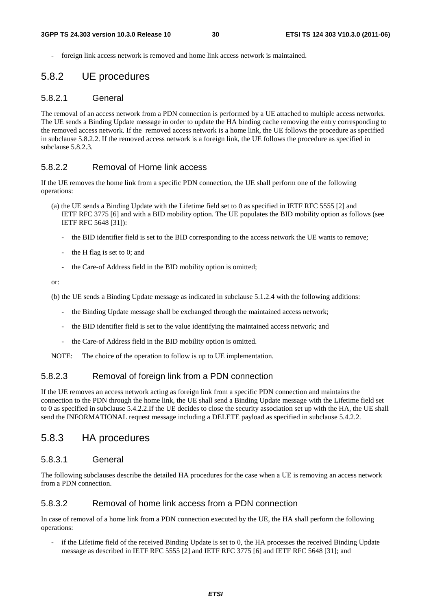- foreign link access network is removed and home link access network is maintained.

#### 5.8.2 UE procedures

#### 5.8.2.1 General

The removal of an access network from a PDN connection is performed by a UE attached to multiple access networks. The UE sends a Binding Update message in order to update the HA binding cache removing the entry corresponding to the removed access network. If the removed access network is a home link, the UE follows the procedure as specified in subclause 5.8.2.2. If the removed access network is a foreign link, the UE follows the procedure as specified in subclause 5.8.2.3.

#### 5.8.2.2 Removal of Home link access

If the UE removes the home link from a specific PDN connection, the UE shall perform one of the following operations:

- (a) the UE sends a Binding Update with the Lifetime field set to 0 as specified in IETF RFC 5555 [2] and IETF RFC 3775 [6] and with a BID mobility option. The UE populates the BID mobility option as follows (see IETF RFC 5648 [31]):
	- the BID identifier field is set to the BID corresponding to the access network the UE wants to remove;
	- the H flag is set to 0; and
	- the Care-of Address field in the BID mobility option is omitted;

or:

(b) the UE sends a Binding Update message as indicated in subclause 5.1.2.4 with the following additions:

- the Binding Update message shall be exchanged through the maintained access network;
- the BID identifier field is set to the value identifying the maintained access network; and
- the Care-of Address field in the BID mobility option is omitted.

NOTE: The choice of the operation to follow is up to UE implementation.

#### 5.8.2.3 Removal of foreign link from a PDN connection

If the UE removes an access network acting as foreign link from a specific PDN connection and maintains the connection to the PDN through the home link, the UE shall send a Binding Update message with the Lifetime field set to 0 as specified in subclause 5.4.2.2.If the UE decides to close the security association set up with the HA, the UE shall send the INFORMATIONAL request message including a DELETE payload as specified in subclause 5.4.2.2.

#### 5.8.3 HA procedures

#### 5.8.3.1 General

The following subclauses describe the detailed HA procedures for the case when a UE is removing an access network from a PDN connection.

#### 5.8.3.2 Removal of home link access from a PDN connection

In case of removal of a home link from a PDN connection executed by the UE, the HA shall perform the following operations:

if the Lifetime field of the received Binding Update is set to 0, the HA processes the received Binding Update message as described in IETF RFC 5555 [2] and IETF RFC 3775 [6] and IETF RFC 5648 [31]; and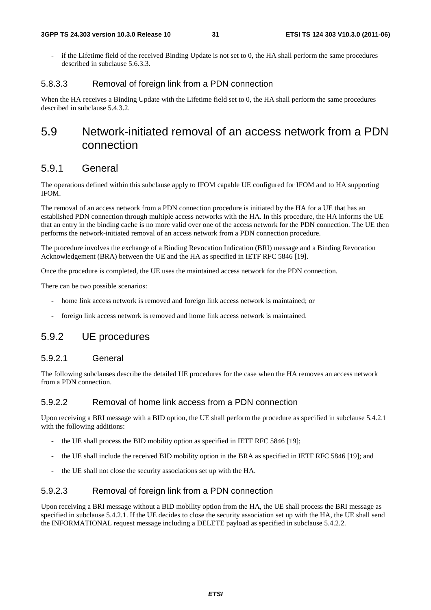if the Lifetime field of the received Binding Update is not set to 0, the HA shall perform the same procedures described in subclause 5.6.3.3.

#### 5.8.3.3 Removal of foreign link from a PDN connection

When the HA receives a Binding Update with the Lifetime field set to 0, the HA shall perform the same procedures described in subclause 5.4.3.2.

### 5.9 Network-initiated removal of an access network from a PDN connection

#### 5.9.1 General

The operations defined within this subclause apply to IFOM capable UE configured for IFOM and to HA supporting IFOM.

The removal of an access network from a PDN connection procedure is initiated by the HA for a UE that has an established PDN connection through multiple access networks with the HA. In this procedure, the HA informs the UE that an entry in the binding cache is no more valid over one of the access network for the PDN connection. The UE then performs the network-initiated removal of an access network from a PDN connection procedure.

The procedure involves the exchange of a Binding Revocation Indication (BRI) message and a Binding Revocation Acknowledgement (BRA) between the UE and the HA as specified in IETF RFC 5846 [19].

Once the procedure is completed, the UE uses the maintained access network for the PDN connection.

There can be two possible scenarios:

- home link access network is removed and foreign link access network is maintained; or
- foreign link access network is removed and home link access network is maintained.

#### 5.9.2 UE procedures

#### 5.9.2.1 General

The following subclauses describe the detailed UE procedures for the case when the HA removes an access network from a PDN connection.

#### 5.9.2.2 Removal of home link access from a PDN connection

Upon receiving a BRI message with a BID option, the UE shall perform the procedure as specified in subclause 5.4.2.1 with the following additions:

- the UE shall process the BID mobility option as specified in IETF RFC 5846 [19];
- the UE shall include the received BID mobility option in the BRA as specified in IETF RFC 5846 [19]; and
- the UE shall not close the security associations set up with the HA.

#### 5.9.2.3 Removal of foreign link from a PDN connection

Upon receiving a BRI message without a BID mobility option from the HA, the UE shall process the BRI message as specified in subclause 5.4.2.1. If the UE decides to close the security association set up with the HA, the UE shall send the INFORMATIONAL request message including a DELETE payload as specified in subclause 5.4.2.2.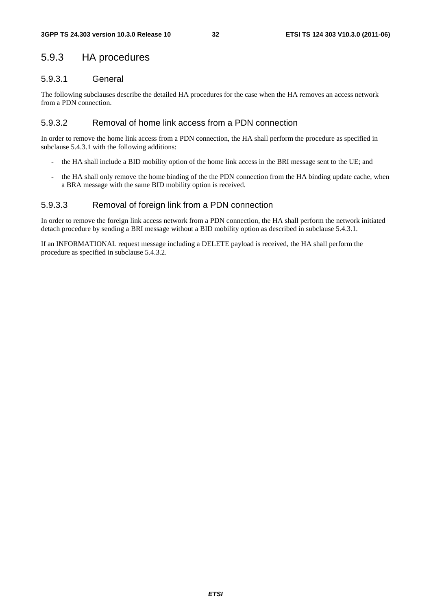### 5.9.3 HA procedures

#### 5.9.3.1 General

The following subclauses describe the detailed HA procedures for the case when the HA removes an access network from a PDN connection.

#### 5.9.3.2 Removal of home link access from a PDN connection

In order to remove the home link access from a PDN connection, the HA shall perform the procedure as specified in subclause 5.4.3.1 with the following additions:

- the HA shall include a BID mobility option of the home link access in the BRI message sent to the UE; and
- the HA shall only remove the home binding of the the PDN connection from the HA binding update cache, when a BRA message with the same BID mobility option is received.

#### 5.9.3.3 Removal of foreign link from a PDN connection

In order to remove the foreign link access network from a PDN connection, the HA shall perform the network initiated detach procedure by sending a BRI message without a BID mobility option as described in subclause 5.4.3.1.

If an INFORMATIONAL request message including a DELETE payload is received, the HA shall perform the procedure as specified in subclause 5.4.3.2.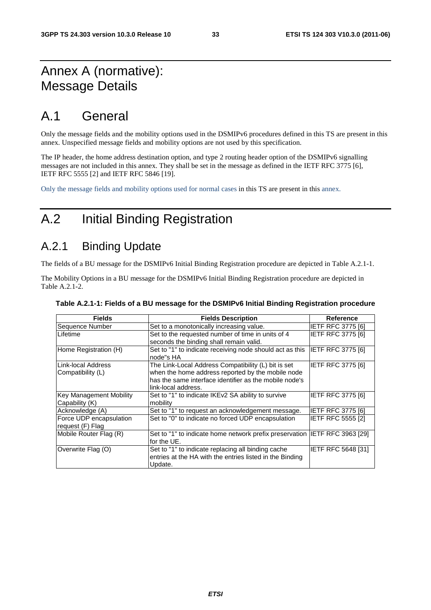## Annex A (normative): Message Details

## A.1 General

Only the message fields and the mobility options used in the DSMIPv6 procedures defined in this TS are present in this annex. Unspecified message fields and mobility options are not used by this specification.

The IP header, the home address destination option, and type 2 routing header option of the DSMIPv6 signalling messages are not included in this annex. They shall be set in the message as defined in the IETF RFC 3775 [6], IETF RFC 5555 [2] and IETF RFC 5846 [19].

Only the message fields and mobility options used for normal cases in this TS are present in this annex.

## A.2 Initial Binding Registration

### A.2.1 Binding Update

The fields of a BU message for the DSMIPv6 Initial Binding Registration procedure are depicted in Table A.2.1-1.

The Mobility Options in a BU message for the DSMIPv6 Initial Binding Registration procedure are depicted in Table A.2.1-2.

| <b>Fields</b>                                    | <b>Fields Description</b>                                                                                                                                                                 | <b>Reference</b>         |
|--------------------------------------------------|-------------------------------------------------------------------------------------------------------------------------------------------------------------------------------------------|--------------------------|
| Sequence Number                                  | Set to a monotonically increasing value.                                                                                                                                                  | <b>IETF RFC 3775 [6]</b> |
| Lifetime                                         | Set to the requested number of time in units of 4<br>seconds the binding shall remain valid.                                                                                              | IETF RFC 3775 [6]        |
| Home Registration (H)                            | Set to "1" to indicate receiving node should act as this<br>node"s HA                                                                                                                     | <b>IETF RFC 3775 [6]</b> |
| Link-local Address<br>Compatibility (L)          | The Link-Local Address Compatibility (L) bit is set<br>when the home address reported by the mobile node<br>has the same interface identifier as the mobile node's<br>link-local address. | <b>IETF RFC 3775 [6]</b> |
| <b>Key Management Mobility</b><br>Capability (K) | Set to "1" to indicate IKEv2 SA ability to survive<br>mobility                                                                                                                            | <b>IETF RFC 3775 [6]</b> |
| Acknowledge (A)                                  | Set to "1" to request an acknowledgement message.                                                                                                                                         | IETF RFC 3775 [6]        |
| Force UDP encapsulation<br>request (F) Flag      | Set to "0" to indicate no forced UDP encapsulation                                                                                                                                        | <b>IETF RFC 5555 [2]</b> |
| Mobile Router Flag (R)                           | Set to "1" to indicate home network prefix preservation IETF RFC 3963 [29]<br>for the UE.                                                                                                 |                          |
| Overwrite Flag (O)                               | Set to "1" to indicate replacing all binding cache<br>entries at the HA with the entries listed in the Binding<br>Update.                                                                 | IETF RFC 5648 [31]       |

**Table A.2.1-1: Fields of a BU message for the DSMIPv6 Initial Binding Registration procedure**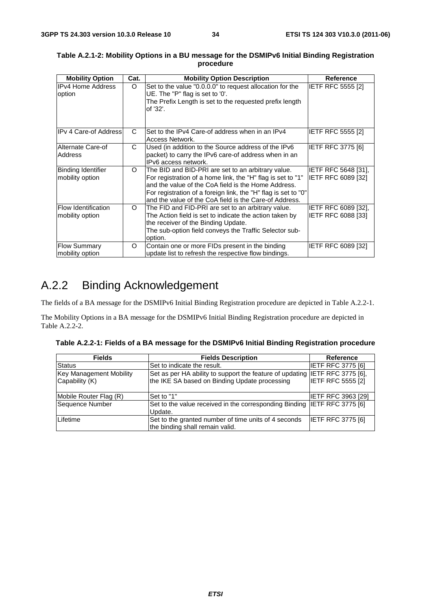| <b>Mobility Option</b>                        | Cat. | <b>Mobility Option Description</b>                                                                                                                                                                                                                                                                   | Reference                                        |
|-----------------------------------------------|------|------------------------------------------------------------------------------------------------------------------------------------------------------------------------------------------------------------------------------------------------------------------------------------------------------|--------------------------------------------------|
| <b>IPv4 Home Address</b><br>option            | O    | Set to the value "0.0.0.0" to request allocation for the<br>UE. The "P" flag is set to '0'.<br>The Prefix Length is set to the requested prefix length<br>of '32'.                                                                                                                                   | <b>IETF RFC 5555 [2]</b>                         |
| <b>IPv 4 Care-of Address</b>                  | C.   | Set to the IPv4 Care-of address when in an IPv4<br>Access Network.                                                                                                                                                                                                                                   | <b>IETF RFC 5555 [2]</b>                         |
| Alternate Care-of<br><b>Address</b>           | C    | Used (in addition to the Source address of the IPv6<br>packet) to carry the IPv6 care-of address when in an<br>IPv6 access network.                                                                                                                                                                  | IETF RFC 3775 [6]                                |
| <b>Binding Identifier</b><br>mobility option  | O    | The BID and BID-PRI are set to an arbitrary value.<br>For registration of a home link, the "H" flag is set to "1"<br>and the value of the CoA field is the Home Address.<br>For registration of a foreign link, the "H" flag is set to "0"<br>and the value of the CoA field is the Care-of Address. | <b>IETF RFC 5648 [31].</b><br>IETF RFC 6089 [32] |
| <b>Flow Identification</b><br>mobility option | O    | The FID and FID-PRI are set to an arbitrary value.<br>The Action field is set to indicate the action taken by<br>the receiver of the Binding Update.<br>The sub-option field conveys the Traffic Selector sub-<br>option.                                                                            | <b>IETF RFC 6089 [32].</b><br>IETF RFC 6088 [33] |
| <b>Flow Summary</b><br>mobility option        | O    | Contain one or more FIDs present in the binding<br>update list to refresh the respective flow bindings.                                                                                                                                                                                              | <b>IETF RFC 6089 [32]</b>                        |

#### **Table A.2.1-2: Mobility Options in a BU message for the DSMIPv6 Initial Binding Registration procedure**

## A.2.2 Binding Acknowledgement

The fields of a BA message for the DSMIPv6 Initial Binding Registration procedure are depicted in Table A.2.2-1.

The Mobility Options in a BA message for the DSMIPv6 Initial Binding Registration procedure are depicted in Table A.2.2-2.

|  | Table A.2.2-1: Fields of a BA message for the DSMIPv6 Initial Binding Registration procedure |  |
|--|----------------------------------------------------------------------------------------------|--|
|  |                                                                                              |  |

| <b>Fields</b>                                    | <b>Fields Description</b>                                                                                                    | Reference                |
|--------------------------------------------------|------------------------------------------------------------------------------------------------------------------------------|--------------------------|
| <b>Status</b>                                    | Set to indicate the result.                                                                                                  | IETF RFC 3775 [6]        |
| <b>Key Management Mobility</b><br>Capability (K) | Set as per HA ability to support the feature of updating IETF RFC 3775 [6],<br>the IKE SA based on Binding Update processing | <b>IETF RFC 5555 [2]</b> |
| Mobile Router Flag (R)                           | Set to "1"                                                                                                                   | IETF RFC 3963 [29]       |
| Sequence Number                                  | Set to the value received in the corresponding Binding IETF RFC 3775 [6]<br>Update.                                          |                          |
| Lifetime                                         | Set to the granted number of time units of 4 seconds<br>the binding shall remain valid.                                      | <b>IETF RFC 3775 [6]</b> |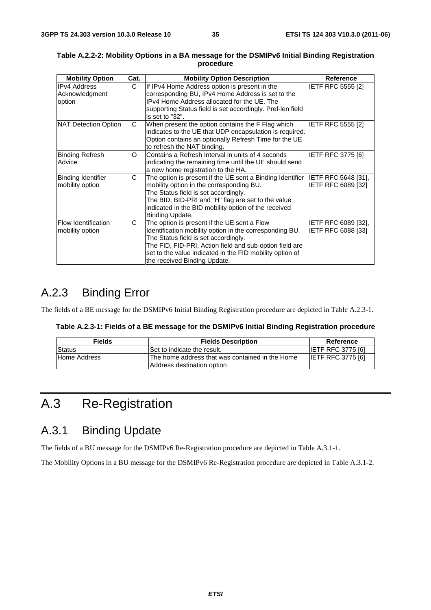| <b>Mobility Option</b>                          | Cat. | <b>Mobility Option Description</b>                                                                                                                                                                                                                                                                    | Reference                                 |
|-------------------------------------------------|------|-------------------------------------------------------------------------------------------------------------------------------------------------------------------------------------------------------------------------------------------------------------------------------------------------------|-------------------------------------------|
| <b>IPv4 Address</b><br>Acknowledgment<br>option | C    | If IPv4 Home Address option is present in the<br>corresponding BU, IPv4 Home Address is set to the<br>IPv4 Home Address allocated for the UE. The<br>supporting Status field is set accordingly. Pref-len field<br>is set to "32".                                                                    | <b>IETF RFC 5555 [2]</b>                  |
| NAT Detection Option                            | C    | When present the option contains the F Flag which<br>indicates to the UE that UDP encapsulation is required.<br>Option contains an optionally Refresh Time for the UE<br>to refresh the NAT binding.                                                                                                  | <b>IETF RFC 5555 [2]</b>                  |
| Binding Refresh<br>Advice                       | Ω    | Contains a Refresh Interval in units of 4 seconds<br>indicating the remaining time until the UE should send<br>a new home registration to the HA.                                                                                                                                                     | <b>IETF RFC 3775 [6]</b>                  |
| <b>Binding Identifier</b><br>mobility option    | C    | The option is present if the UE sent a Binding Identifier $ IETF$ RFC 5648 [31],<br>mobility option in the corresponding BU.<br>The Status field is set accordingly.<br>The BID, BID-PRI and "H" flag are set to the value<br>indicated in the BID mobility option of the received<br>Binding Update. | IETF RFC 6089 [32]                        |
| <b>Flow Identification</b><br>mobility option   | C    | The option is present if the UE sent a Flow<br>Identification mobility option in the corresponding BU.<br>The Status field is set accordingly.<br>The FID, FID-PRI, Action field and sub-option field are<br>set to the value indicated in the FID mobility option of<br>the received Binding Update. | IETF RFC 6089 [32],<br>IETF RFC 6088 [33] |

#### **Table A.2.2-2: Mobility Options in a BA message for the DSMIPv6 Initial Binding Registration procedure**

## A.2.3 Binding Error

The fields of a BE message for the DSMIPv6 Initial Binding Registration procedure are depicted in Table A.2.3-1.

| Table A.2.3-1: Fields of a BE message for the DSMIPv6 Initial Binding Registration procedure |  |  |
|----------------------------------------------------------------------------------------------|--|--|
|----------------------------------------------------------------------------------------------|--|--|

| <b>Fields</b> | <b>Fields Description</b>                                                      | Reference                |
|---------------|--------------------------------------------------------------------------------|--------------------------|
| <b>Status</b> | Set to indicate the result.                                                    | <b>IETF RFC 3775 [6]</b> |
| Home Address  | IThe home address that was contained in the Home<br>Address destination option | <b>IETF RFC 3775 [6]</b> |

## A.3 Re-Registration

### A.3.1 Binding Update

The fields of a BU message for the DSMIPv6 Re-Registration procedure are depicted in Table A.3.1-1.

The Mobility Options in a BU message for the DSMIPv6 Re-Registration procedure are depicted in Table A.3.1-2.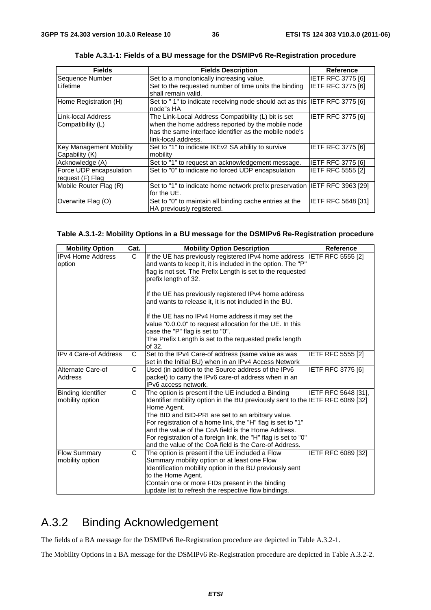| <b>Fields</b>                               | <b>Fields Description</b>                                                                                                                                          | Reference                 |
|---------------------------------------------|--------------------------------------------------------------------------------------------------------------------------------------------------------------------|---------------------------|
| Sequence Number                             | Set to a monotonically increasing value.                                                                                                                           | <b>IETF RFC 3775 [6]</b>  |
| Lifetime                                    | Set to the requested number of time units the binding                                                                                                              | <b>IETF RFC 3775 [6]</b>  |
|                                             | shall remain valid.                                                                                                                                                |                           |
| Home Registration (H)                       | Set to "1" to indicate receiving node should act as this IETF RFC 3775 [6]<br>node"s HA                                                                            |                           |
| Link-local Address<br>Compatibility (L)     | The Link-Local Address Compatibility (L) bit is set<br>when the home address reported by the mobile node<br>has the same interface identifier as the mobile node's | IETF RFC 3775 [6]         |
|                                             | link-local address.                                                                                                                                                |                           |
| Key Management Mobility<br>Capability (K)   | Set to "1" to indicate IKEv2 SA ability to survive<br>mobility                                                                                                     | IETF RFC 3775 [6]         |
| Acknowledge (A)                             | Set to "1" to request an acknowledgement message.                                                                                                                  | IETF RFC 3775 [6]         |
| Force UDP encapsulation<br>request (F) Flag | Set to "0" to indicate no forced UDP encapsulation                                                                                                                 | <b>IETF RFC 5555 [2]</b>  |
| Mobile Router Flag (R)                      | Set to "1" to indicate home network prefix preservation  IETF RFC 3963 [29]<br>for the UE.                                                                         |                           |
| Overwrite Flag (O)                          | Set to "0" to maintain all binding cache entries at the<br>HA previously registered.                                                                               | <b>IETF RFC 5648 [31]</b> |

**Table A.3.1-1: Fields of a BU message for the DSMIPv6 Re-Registration procedure** 

#### **Table A.3.1-2: Mobility Options in a BU message for the DSMIPv6 Re-Registration procedure**

| <b>Mobility Option</b>                       | Cat.         | <b>Mobility Option Description</b>                                                                                                                                                                                                                                                                                                                                                                                                                          | <b>Reference</b>           |
|----------------------------------------------|--------------|-------------------------------------------------------------------------------------------------------------------------------------------------------------------------------------------------------------------------------------------------------------------------------------------------------------------------------------------------------------------------------------------------------------------------------------------------------------|----------------------------|
| <b>IPv4 Home Address</b><br>option           | $\mathsf{C}$ | If the UE has previously registered IPv4 home address<br>and wants to keep it, it is included in the option. The "P"<br>flag is not set. The Prefix Length is set to the requested<br>prefix length of 32.                                                                                                                                                                                                                                                  | <b>IETF RFC 5555 [2]</b>   |
|                                              |              | If the UE has previously registered IPv4 home address<br>and wants to release it, it is not included in the BU.<br>If the UE has no IPv4 Home address it may set the<br>value "0.0.0.0" to request allocation for the UE. In this<br>case the "P" flag is set to "0".<br>The Prefix Length is set to the requested prefix length<br>of 32.                                                                                                                  |                            |
| <b>IPv 4 Care-of Address</b>                 | C            | Set to the IPv4 Care-of address (same value as was<br>set in the Initial BU) when in an IPv4 Access Network                                                                                                                                                                                                                                                                                                                                                 | IETF RFC 5555 [2]          |
| Alternate Care-of<br>Address                 | $\mathsf{C}$ | Used (in addition to the Source address of the IPv6<br>packet) to carry the IPv6 care-of address when in an<br>IPv6 access network.                                                                                                                                                                                                                                                                                                                         | IETF RFC 3775 [6]          |
| <b>Binding Identifier</b><br>mobility option | C            | The option is present if the UE included a Binding<br>Identifier mobility option in the BU previously sent to the IETF RFC 6089 [32]<br>Home Agent.<br>The BID and BID-PRI are set to an arbitrary value.<br>For registration of a home link, the "H" flag is set to "1"<br>and the value of the CoA field is the Home Address.<br>For registration of a foreign link, the "H" flag is set to "0"<br>and the value of the CoA field is the Care-of Address. | <b>IETF RFC 5648 [31].</b> |
| <b>Flow Summary</b><br>mobility option       | C            | The option is present if the UE included a Flow<br>Summary mobility option or at least one Flow<br>Identification mobility option in the BU previously sent<br>to the Home Agent.<br>Contain one or more FIDs present in the binding<br>update list to refresh the respective flow bindings.                                                                                                                                                                | <b>IETF RFC 6089 [32]</b>  |

## A.3.2 Binding Acknowledgement

The fields of a BA message for the DSMIPv6 Re-Registration procedure are depicted in Table A.3.2-1.

The Mobility Options in a BA message for the DSMIPv6 Re-Registration procedure are depicted in Table A.3.2-2.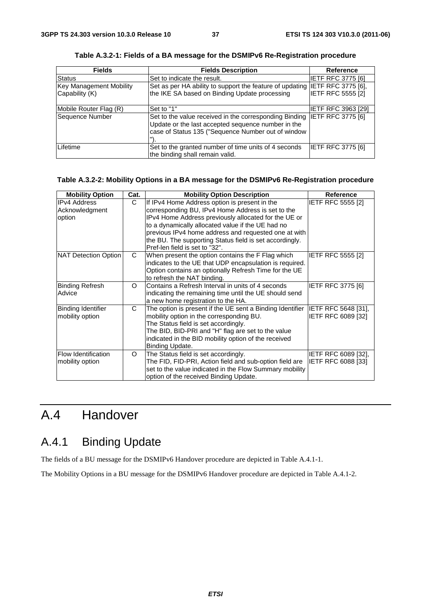| <b>Fields</b>                  | <b>Fields Description</b>                                                                                                                                                            | <b>Reference</b>          |
|--------------------------------|--------------------------------------------------------------------------------------------------------------------------------------------------------------------------------------|---------------------------|
| Status                         | Set to indicate the result.                                                                                                                                                          | <b>IETF RFC 3775 [6]</b>  |
| <b>Key Management Mobility</b> | Set as per HA ability to support the feature of updating IETF RFC 3775 [6],                                                                                                          |                           |
| Capability (K)                 | the IKE SA based on Binding Update processing                                                                                                                                        | <b>IETF RFC 5555 [2]</b>  |
| Mobile Router Flag (R)         | Set to "1"                                                                                                                                                                           | <b>IETF RFC 3963 [29]</b> |
| Sequence Number                | Set to the value received in the corresponding Binding IETF RFC 3775 [6]<br>Update or the last accepted sequence number in the<br>case of Status 135 ("Sequence Number out of window |                           |
| Lifetime                       | Set to the granted number of time units of 4 seconds<br>the binding shall remain valid.                                                                                              | IETF RFC 3775 [6]         |

**Table A.3.2-1: Fields of a BA message for the DSMIPv6 Re-Registration procedure** 

#### **Table A.3.2-2: Mobility Options in a BA message for the DSMIPv6 Re-Registration procedure**

| <b>Mobility Option</b>                          | Cat.     | <b>Mobility Option Description</b>                                                                                                                                                                                                                                                                                                                                   | <b>Reference</b>                                        |
|-------------------------------------------------|----------|----------------------------------------------------------------------------------------------------------------------------------------------------------------------------------------------------------------------------------------------------------------------------------------------------------------------------------------------------------------------|---------------------------------------------------------|
| <b>IPv4 Address</b><br>Acknowledgment<br>option | C        | If IPv4 Home Address option is present in the<br>corresponding BU, IPv4 Home Address is set to the<br>IPv4 Home Address previously allocated for the UE or<br>to a dynamically allocated value if the UE had no<br>previous IPv4 home address and requested one at with<br>the BU. The supporting Status field is set accordingly.<br>Pref-len field is set to "32". | <b>IETF RFC 5555 [2]</b>                                |
| NAT Detection Option                            | C        | When present the option contains the F Flag which<br>indicates to the UE that UDP encapsulation is required.<br>Option contains an optionally Refresh Time for the UE<br>to refresh the NAT binding.                                                                                                                                                                 | <b>IETF RFC 5555 [2]</b>                                |
| <b>Binding Refresh</b><br>Advice                | $\Omega$ | Contains a Refresh Interval in units of 4 seconds<br>indicating the remaining time until the UE should send<br>a new home registration to the HA.                                                                                                                                                                                                                    | <b>IETF RFC 3775 [6]</b>                                |
| <b>Binding Identifier</b><br>mobility option    | C        | The option is present if the UE sent a Binding Identifier  IETF RFC 5648 [31],<br>mobility option in the corresponding BU.<br>The Status field is set accordingly.<br>The BID, BID-PRI and "H" flag are set to the value<br>indicated in the BID mobility option of the received<br>Binding Update.                                                                  | IETF RFC 6089 [32]                                      |
| Flow Identification<br>mobility option          | O        | The Status field is set accordingly.<br>The FID, FID-PRI, Action field and sub-option field are<br>set to the value indicated in the Flow Summary mobility<br>option of the received Binding Update.                                                                                                                                                                 | <b>IETF RFC 6089 [32].</b><br><b>IETF RFC 6088 [33]</b> |

## A.4 Handover

## A.4.1 Binding Update

The fields of a BU message for the DSMIPv6 Handover procedure are depicted in Table A.4.1-1.

The Mobility Options in a BU message for the DSMIPv6 Handover procedure are depicted in Table A.4.1-2.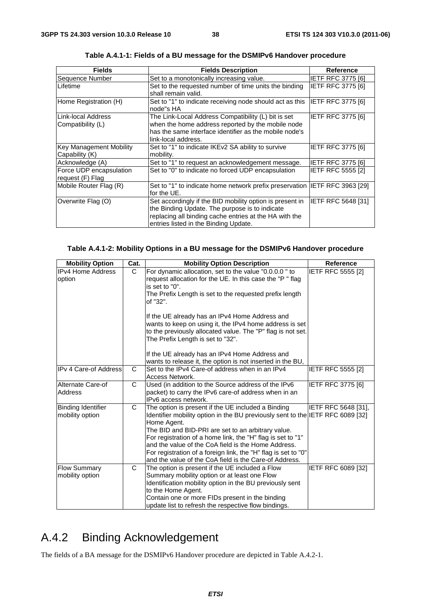| <b>Fields</b>                  | <b>Fields Description</b>                                                  | <b>Reference</b>         |
|--------------------------------|----------------------------------------------------------------------------|--------------------------|
| Sequence Number                | Set to a monotonically increasing value.                                   | <b>IETF RFC 3775 [6]</b> |
| ILifetime                      | Set to the requested number of time units the binding                      | <b>IETF RFC 3775 [6]</b> |
|                                | shall remain valid.                                                        |                          |
| Home Registration (H)          | Set to "1" to indicate receiving node should act as this<br>node"s HA      | IETF RFC 3775 [6]        |
| ILink-local Address            | The Link-Local Address Compatibility (L) bit is set                        | <b>IETF RFC 3775 [6]</b> |
| Compatibility (L)              | when the home address reported by the mobile node                          |                          |
|                                | has the same interface identifier as the mobile node's                     |                          |
|                                | link-local address.                                                        |                          |
| <b>Key Management Mobility</b> | Set to "1" to indicate IKEv2 SA ability to survive                         | <b>IETF RFC 3775 [6]</b> |
| Capability (K)                 | mobility.                                                                  |                          |
| Acknowledge (A)                | Set to "1" to request an acknowledgement message.                          | <b>IETF RFC 3775 [6]</b> |
| Force UDP encapsulation        | Set to "0" to indicate no forced UDP encapsulation                         | IETF RFC 5555 [2]        |
| request (F) Flag               |                                                                            |                          |
| Mobile Router Flag (R)         | Set to "1" to indicate home network prefix preservation IETF RFC 3963 [29] |                          |
|                                | for the UE.                                                                |                          |
| Overwrite Flag (O)             | Set accordingly if the BID mobility option is present in                   | IETF RFC 5648 [31]       |
|                                | the Binding Update. The purpose is to indicate                             |                          |
|                                | replacing all binding cache entries at the HA with the                     |                          |
|                                | entries listed in the Binding Update.                                      |                          |

**Table A.4.1-1: Fields of a BU message for the DSMIPv6 Handover procedure** 

#### **Table A.4.1-2: Mobility Options in a BU message for the DSMIPv6 Handover procedure**

| <b>Mobility Option</b>                       | Cat. | <b>Mobility Option Description</b>                                                                                                                                                                                                                                                                                                                                                                                                                          | <b>Reference</b>         |
|----------------------------------------------|------|-------------------------------------------------------------------------------------------------------------------------------------------------------------------------------------------------------------------------------------------------------------------------------------------------------------------------------------------------------------------------------------------------------------------------------------------------------------|--------------------------|
| <b>IPv4 Home Address</b><br>option           | C    | For dynamic allocation, set to the value "0.0.0.0" to<br>request allocation for the UE. In this case the "P" flag<br>is set to "0".<br>The Prefix Length is set to the requested prefix length<br>of "32".<br>If the UE already has an IPv4 Home Address and<br>wants to keep on using it, the IPv4 home address is set<br>to the previously allocated value. The "P" flag is not set.<br>The Prefix Length is set to "32".                                 | <b>IETF RFC 5555 [2]</b> |
|                                              |      | If the UE already has an IPv4 Home Address and<br>wants to release it, the option is not inserted in the BU,                                                                                                                                                                                                                                                                                                                                                |                          |
| IIPv 4 Care-of Address                       | C    | Set to the IPv4 Care-of address when in an IPv4<br>Access Network.                                                                                                                                                                                                                                                                                                                                                                                          | <b>IETF RFC 5555 [2]</b> |
| Alternate Care-of<br>Address                 | C    | Used (in addition to the Source address of the IPv6<br>packet) to carry the IPv6 care-of address when in an<br>IPv6 access network.                                                                                                                                                                                                                                                                                                                         | <b>IETF RFC 3775 [6]</b> |
| <b>Binding Identifier</b><br>mobility option | C    | The option is present if the UE included a Binding<br>Identifier mobility option in the BU previously sent to the IETF RFC 6089 [32]<br>Home Agent.<br>The BID and BID-PRI are set to an arbitrary value.<br>For registration of a home link, the "H" flag is set to "1"<br>and the value of the CoA field is the Home Address.<br>For registration of a foreign link, the "H" flag is set to "0"<br>and the value of the CoA field is the Care-of Address. | IETF RFC 5648 [31],      |
| <b>Flow Summary</b><br>mobility option       | C    | The option is present if the UE included a Flow<br>Summary mobility option or at least one Flow<br>Identification mobility option in the BU previously sent<br>to the Home Agent.<br>Contain one or more FIDs present in the binding<br>update list to refresh the respective flow bindings.                                                                                                                                                                | IETF RFC 6089 [32]       |

## A.4.2 Binding Acknowledgement

The fields of a BA message for the DSMIPv6 Handover procedure are depicted in Table A.4.2-1.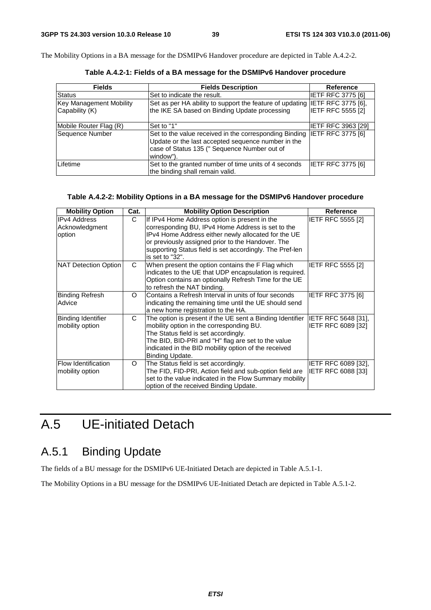The Mobility Options in a BA message for the DSMIPv6 Handover procedure are depicted in Table A.4.2-2.

| <b>Fields</b>                  | <b>Fields Description</b>                                                                                                                                                                   | <b>Reference</b>          |
|--------------------------------|---------------------------------------------------------------------------------------------------------------------------------------------------------------------------------------------|---------------------------|
| <b>Status</b>                  | Set to indicate the result.                                                                                                                                                                 | <b>IETF RFC 3775 [6]</b>  |
| <b>Key Management Mobility</b> | Set as per HA ability to support the feature of updating IETF RFC 3775 [6],                                                                                                                 |                           |
| Capability (K)                 | the IKE SA based on Binding Update processing                                                                                                                                               | <b>IETF RFC 5555 [2]</b>  |
| Mobile Router Flag (R)         | Set to "1"                                                                                                                                                                                  | <b>IETF RFC 3963 [29]</b> |
| Sequence Number                | Set to the value received in the corresponding Binding IETF RFC 3775 [6]<br>Update or the last accepted sequence number in the<br>case of Status 135 (" Sequence Number out of<br>window"). |                           |
| Lifetime                       | Set to the granted number of time units of 4 seconds<br>the binding shall remain valid.                                                                                                     | IETF RFC 3775 [6]         |

**Table A.4.2-1: Fields of a BA message for the DSMIPv6 Handover procedure** 

#### **Table A.4.2-2: Mobility Options in a BA message for the DSMIPv6 Handover procedure**

| <b>Mobility Option</b>                        | Cat.     | <b>Mobility Option Description</b>                                                                                                                                                                                                                                             | Reference                                        |
|-----------------------------------------------|----------|--------------------------------------------------------------------------------------------------------------------------------------------------------------------------------------------------------------------------------------------------------------------------------|--------------------------------------------------|
| <b>IPv4 Address</b><br>Acknowledgment         | C        | If IPv4 Home Address option is present in the<br>corresponding BU, IPv4 Home Address is set to the                                                                                                                                                                             | <b>IETF RFC 5555 [2]</b>                         |
| option                                        |          | IPv4 Home Address either newly allocated for the UE<br>or previously assigned prior to the Handover. The<br>supporting Status field is set accordingly. The Pref-len<br>is set to "32".                                                                                        |                                                  |
| NAT Detection Option                          | C        | When present the option contains the F Flag which<br>indicates to the UE that UDP encapsulation is required.<br>Option contains an optionally Refresh Time for the UE<br>to refresh the NAT binding.                                                                           | <b>IETF RFC 5555 [2]</b>                         |
| Binding Refresh<br>Advice                     | $\Omega$ | Contains a Refresh Interval in units of four seconds<br>indicating the remaining time until the UE should send<br>a new home registration to the HA.                                                                                                                           | <b>IETF RFC 3775 [6]</b>                         |
| <b>Binding Identifier</b><br>mobility option  | C        | The option is present if the UE sent a Binding Identifier<br>mobility option in the corresponding BU.<br>The Status field is set accordingly.<br>The BID, BID-PRI and "H" flag are set to the value<br>indicated in the BID mobility option of the received<br>Binding Update. | IETF RFC 5648 [31],<br>IETF RFC 6089 [32]        |
| <b>Flow Identification</b><br>mobility option | $\circ$  | The Status field is set accordingly.<br>The FID, FID-PRI, Action field and sub-option field are<br>set to the value indicated in the Flow Summary mobility<br>option of the received Binding Update.                                                                           | IETF RFC 6089 [32],<br><b>IETF RFC 6088 [33]</b> |

## A.5 UE-initiated Detach

## A.5.1 Binding Update

The fields of a BU message for the DSMIPv6 UE-Initiated Detach are depicted in Table A.5.1-1.

The Mobility Options in a BU message for the DSMIPv6 UE-Initiated Detach are depicted in Table A.5.1-2.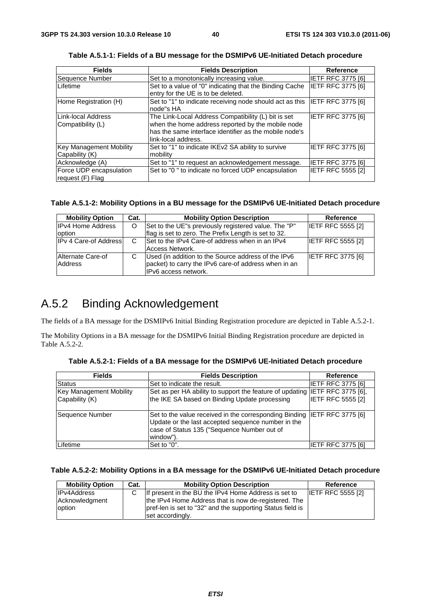| <b>Fields</b>                               | <b>Fields Description</b>                                                                                                                                                                 | Reference                |
|---------------------------------------------|-------------------------------------------------------------------------------------------------------------------------------------------------------------------------------------------|--------------------------|
| Sequence Number                             | Set to a monotonically increasing value.                                                                                                                                                  | IETF RFC 3775 [6]        |
| Lifetime                                    | Set to a value of "0" indicating that the Binding Cache<br>entry for the UE is to be deleted.                                                                                             | <b>IETF RFC 3775 [6]</b> |
| Home Registration (H)                       | Set to "1" to indicate receiving node should act as this IETF RFC 3775 [6]<br>node"s HA                                                                                                   |                          |
| Link-local Address<br>Compatibility (L)     | The Link-Local Address Compatibility (L) bit is set<br>when the home address reported by the mobile node<br>has the same interface identifier as the mobile node's<br>link-local address. | <b>IETF RFC 3775 [6]</b> |
| Key Management Mobility<br>Capability (K)   | Set to "1" to indicate IKEv2 SA ability to survive<br>mobility                                                                                                                            | <b>IETF RFC 3775 [6]</b> |
| Acknowledge (A)                             | Set to "1" to request an acknowledgement message.                                                                                                                                         | IETF RFC 3775 [6]        |
| Force UDP encapsulation<br>request (F) Flag | Set to "0" to indicate no forced UDP encapsulation                                                                                                                                        | <b>IETF RFC 5555 [2]</b> |

**Table A.5.1-1: Fields of a BU message for the DSMIPv6 UE-Initiated Detach procedure** 

#### **Table A.5.1-2: Mobility Options in a BU message for the DSMIPv6 UE-Initiated Detach procedure**

| <b>Mobility Option</b>       | Cat. | <b>Mobility Option Description</b>                                                                          | Reference                |
|------------------------------|------|-------------------------------------------------------------------------------------------------------------|--------------------------|
| <b>IPv4 Home Address</b>     | O    | Set to the UE"s previously registered value. The "P"                                                        | <b>IETF RFC 5555 [2]</b> |
| option                       |      | flag is set to zero. The Prefix Length is set to 32.                                                        |                          |
| <b>IPv 4 Care-of Address</b> | C    | Set to the IPv4 Care-of address when in an IPv4                                                             | <b>IETF RFC 5555 [2]</b> |
|                              |      | Access Network.                                                                                             |                          |
| Alternate Care-of<br>Address | С    | Used (in addition to the Source address of the IPv6<br>packet) to carry the IPv6 care-of address when in an | <b>IETF RFC 3775 [6]</b> |
|                              |      | IPv6 access network.                                                                                        |                          |

### A.5.2 Binding Acknowledgement

The fields of a BA message for the DSMIPv6 Initial Binding Registration procedure are depicted in Table A.5.2-1.

The Mobility Options in a BA message for the DSMIPv6 Initial Binding Registration procedure are depicted in Table A.5.2-2.

| <b>Fields</b>                  | <b>Fields Description</b>                                                                                                                                                                  | Reference                |
|--------------------------------|--------------------------------------------------------------------------------------------------------------------------------------------------------------------------------------------|--------------------------|
| Status                         | Set to indicate the result.                                                                                                                                                                | IETF RFC 3775 [6]        |
| <b>Key Management Mobility</b> | Set as per HA ability to support the feature of updating IETF RFC 3775 [6],                                                                                                                |                          |
| Capability (K)                 | the IKE SA based on Binding Update processing                                                                                                                                              | <b>IETF RFC 5555 [2]</b> |
| Sequence Number                | Set to the value received in the corresponding Binding IETF RFC 3775 [6]<br>Update or the last accepted sequence number in the<br>case of Status 135 ("Sequence Number out of<br>window"). |                          |
| Lifetime                       | Set to "0".                                                                                                                                                                                | <b>IETF RFC 3775 [6]</b> |

**Table A.5.2-1: Fields of a BA message for the DSMIPv6 UE-Initiated Detach procedure** 

#### **Table A.5.2-2: Mobility Options in a BA message for the DSMIPv6 UE-Initiated Detach procedure**

| <b>Mobility Option</b> | Cat. | <b>Mobility Option Description</b>                         | Reference                |
|------------------------|------|------------------------------------------------------------|--------------------------|
| <b>IPv4Address</b>     | C.   | If present in the BU the IPv4 Home Address is set to       | <b>IETF RFC 5555 [2]</b> |
| Acknowledgment         |      | the IPv4 Home Address that is now de-registered. The       |                          |
| option                 |      | pref-len is set to "32" and the supporting Status field is |                          |
|                        |      | set accordingly.                                           |                          |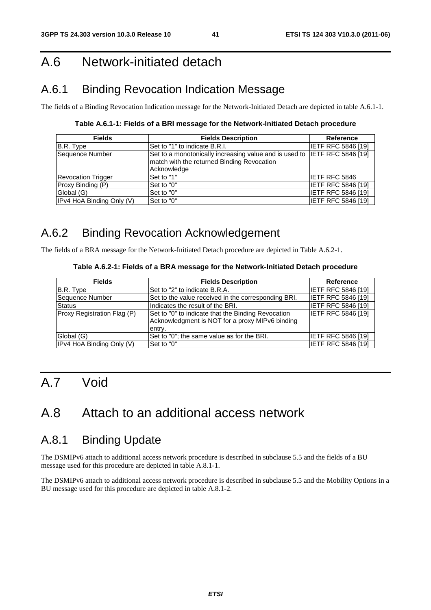## A.6 Network-initiated detach

## A.6.1 Binding Revocation Indication Message

The fields of a Binding Revocation Indication message for the Network-Initiated Detach are depicted in table A.6.1-1.

**Table A.6.1-1: Fields of a BRI message for the Network-Initiated Detach procedure** 

| <b>Fields</b>             | <b>Fields Description</b>                                                                                                              | Reference                 |
|---------------------------|----------------------------------------------------------------------------------------------------------------------------------------|---------------------------|
| B.R. Type                 | Set to "1" to indicate B.R.I.                                                                                                          | <b>IETF RFC 5846 [19]</b> |
| Sequence Number           | Set to a monotonically increasing value and is used to IETF RFC 5846 [19]<br>match with the returned Binding Revocation<br>Acknowledge |                           |
| <b>Revocation Trigger</b> | Set to "1"                                                                                                                             | <b>IIETF RFC 5846</b>     |
| Proxy Binding (P)         | Set to "0"                                                                                                                             | <b>IETF RFC 5846 [19]</b> |
| Global (G)                | Set to "0"                                                                                                                             | <b>IETF RFC 5846 [19]</b> |
| IPv4 HoA Binding Only (V) | Set to "0"                                                                                                                             | <b>IETF RFC 5846 [19]</b> |

## A.6.2 Binding Revocation Acknowledgement

The fields of a BRA message for the Network-Initiated Detach procedure are depicted in Table A.6.2-1.

#### **Table A.6.2-1: Fields of a BRA message for the Network-Initiated Detach procedure**

| <b>Fields</b>               | <b>Fields Description</b>                                                                                       | Reference                 |
|-----------------------------|-----------------------------------------------------------------------------------------------------------------|---------------------------|
| B.R. Type                   | ISet to "2" to indicate B.R.A.                                                                                  | <b>IETF RFC 5846 [19]</b> |
| Sequence Number             | Set to the value received in the corresponding BRI.                                                             | <b>IETF RFC 5846 [19]</b> |
| <b>Status</b>               | Indicates the result of the BRI.                                                                                | <b>IETF RFC 5846 [19]</b> |
| Proxy Registration Flag (P) | Set to "0" to indicate that the Binding Revocation<br>Acknowledgment is NOT for a proxy MIPv6 binding<br>entry. | <b>IETF RFC 5846 [19]</b> |
| Global (G)                  | Set to "0"; the same value as for the BRI.                                                                      | <b>IETF RFC 5846 [19]</b> |
| IPv4 HoA Binding Only (V)   | Set to "0"                                                                                                      | <b>IETF RFC 5846 [19]</b> |

## A.7 Void

## A.8 Attach to an additional access network

## A.8.1 Binding Update

The DSMIPv6 attach to additional access network procedure is described in subclause 5.5 and the fields of a BU message used for this procedure are depicted in table A.8.1-1.

The DSMIPv6 attach to additional access network procedure is described in subclause 5.5 and the Mobility Options in a BU message used for this procedure are depicted in table A.8.1-2.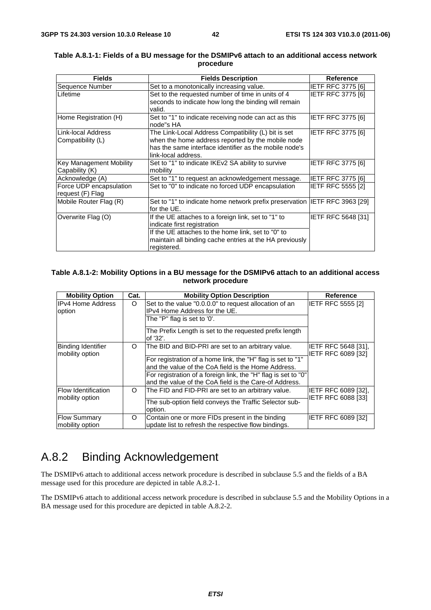| <b>Fields</b>                  | <b>Fields Description</b>                                                   | <b>Reference</b>          |
|--------------------------------|-----------------------------------------------------------------------------|---------------------------|
| Sequence Number                | Set to a monotonically increasing value.                                    | <b>IETF RFC 3775 [6]</b>  |
| Lifetime                       | Set to the requested number of time in units of 4                           | IETF RFC 3775 [6]         |
|                                | seconds to indicate how long the binding will remain                        |                           |
|                                | valid.                                                                      |                           |
| Home Registration (H)          | Set to "1" to indicate receiving node can act as this                       | <b>IETF RFC 3775 [6]</b>  |
|                                | node"s HA                                                                   |                           |
| Link-local Address             | The Link-Local Address Compatibility (L) bit is set                         | <b>IETF RFC 3775 [6]</b>  |
| Compatibility (L)              | when the home address reported by the mobile node                           |                           |
|                                | has the same interface identifier as the mobile node's                      |                           |
|                                | link-local address.                                                         |                           |
| <b>Key Management Mobility</b> | Set to "1" to indicate IKEv2 SA ability to survive                          | <b>IETF RFC 3775 [6]</b>  |
| Capability (K)                 | mobility                                                                    |                           |
| Acknowledge (A)                | Set to "1" to request an acknowledgement message.                           | <b>IETF RFC 3775 [6]</b>  |
| Force UDP encapsulation        | Set to "0" to indicate no forced UDP encapsulation                          | IETF RFC 5555 [2]         |
| request (F) Flag               |                                                                             |                           |
| Mobile Router Flag (R)         | Set to "1" to indicate home network prefix preservation IIETF RFC 3963 [29] |                           |
|                                | for the UE.                                                                 |                           |
| Overwrite Flag (O)             | If the UE attaches to a foreign link, set to "1" to                         | <b>IETF RFC 5648 [31]</b> |
|                                | indicate first registration                                                 |                           |
|                                | If the UE attaches to the home link, set to "0" to                          |                           |
|                                | maintain all binding cache entries at the HA previously                     |                           |
|                                | registered.                                                                 |                           |

#### **Table A.8.1-1: Fields of a BU message for the DSMIPv6 attach to an additional access network procedure**

#### **Table A.8.1-2: Mobility Options in a BU message for the DSMIPv6 attach to an additional access network procedure**

| <b>Mobility Option</b>                  | Cat.     | <b>Mobility Option Description</b>                                                      | Reference                  |
|-----------------------------------------|----------|-----------------------------------------------------------------------------------------|----------------------------|
| <b>IPv4 Home Address</b><br>O<br>option |          | Set to the value "0.0.0.0" to request allocation of an<br>IPv4 Home Address for the UE. | IETF RFC 5555 [2]          |
|                                         |          |                                                                                         |                            |
|                                         |          | The "P" flag is set to '0'.                                                             |                            |
|                                         |          | The Prefix Length is set to the requested prefix length                                 |                            |
|                                         |          | of '32'.                                                                                |                            |
| Binding Identifier                      | O        | The BID and BID-PRI are set to an arbitrary value.                                      | <b>IETF RFC 5648 [31].</b> |
| mobility option                         |          |                                                                                         | IETF RFC 6089 [32]         |
|                                         |          | For registration of a home link, the "H" flag is set to "1"                             |                            |
|                                         |          | and the value of the CoA field is the Home Address.                                     |                            |
|                                         |          | For registration of a foreign link, the "H" flag is set to "0"                          |                            |
|                                         |          | and the value of the CoA field is the Care-of Address.                                  |                            |
| <b>Flow Identification</b>              | $\Omega$ | The FID and FID-PRI are set to an arbitrary value.                                      | IETF RFC 6089 [32].        |
| mobility option                         |          |                                                                                         | IETF RFC 6088 [33]         |
|                                         |          | The sub-option field conveys the Traffic Selector sub-                                  |                            |
|                                         |          | option.                                                                                 |                            |
| <b>Flow Summary</b>                     | O        | Contain one or more FIDs present in the binding                                         | IETF RFC 6089 [32]         |
| mobility option                         |          | update list to refresh the respective flow bindings.                                    |                            |

## A.8.2 Binding Acknowledgement

The DSMIPv6 attach to additional access network procedure is described in subclause 5.5 and the fields of a BA message used for this procedure are depicted in table A.8.2-1.

The DSMIPv6 attach to additional access network procedure is described in subclause 5.5 and the Mobility Options in a BA message used for this procedure are depicted in table A.8.2-2.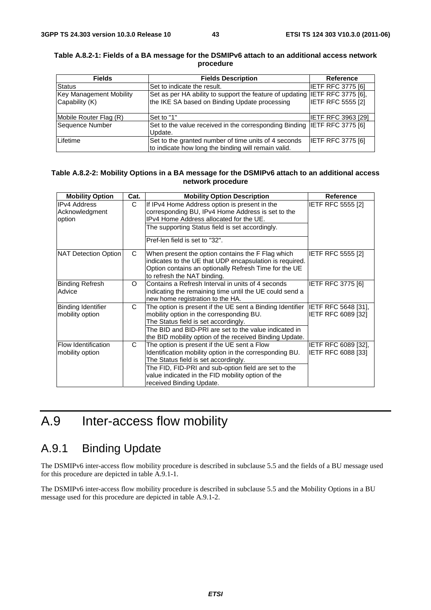| <b>Fields</b>                  | <b>Fields Description</b>                                                   | <b>Reference</b>          |
|--------------------------------|-----------------------------------------------------------------------------|---------------------------|
| <b>Status</b>                  | Set to indicate the result.                                                 | IETF RFC 3775 [6]         |
| <b>Key Management Mobility</b> | Set as per HA ability to support the feature of updating IETF RFC 3775 [6], |                           |
| Capability (K)                 | the IKE SA based on Binding Update processing                               | <b>IETF RFC 5555 [2]</b>  |
|                                |                                                                             |                           |
| Mobile Router Flag (R)         | Set to "1"                                                                  | <b>IETF RFC 3963 [29]</b> |
| Sequence Number                | Set to the value received in the corresponding Binding IETF RFC 3775 [6]    |                           |
|                                | Update.                                                                     |                           |
| Lifetime                       | Set to the granted number of time units of 4 seconds                        | <b>IETF RFC 3775 [6]</b>  |
|                                | to indicate how long the binding will remain valid.                         |                           |

#### **Table A.8.2-1: Fields of a BA message for the DSMIPv6 attach to an additional access network procedure**

#### **Table A.8.2-2: Mobility Options in a BA message for the DSMIPv6 attach to an additional access network procedure**

| <b>Mobility Option</b>                          | Cat. | <b>Mobility Option Description</b>                                                                                                                                                                                                                                                      | Reference                                        |
|-------------------------------------------------|------|-----------------------------------------------------------------------------------------------------------------------------------------------------------------------------------------------------------------------------------------------------------------------------------------|--------------------------------------------------|
| <b>IPv4 Address</b><br>Acknowledgment<br>option | C    | If IPv4 Home Address option is present in the<br>corresponding BU, IPv4 Home Address is set to the<br>IPv4 Home Address allocated for the UE.<br>The supporting Status field is set accordingly.<br>Pref-len field is set to "32".                                                      | <b>IETF RFC 5555 [2]</b>                         |
| NAT Detection Option                            | C    | When present the option contains the F Flag which<br>indicates to the UE that UDP encapsulation is required.<br>Option contains an optionally Refresh Time for the UE<br>to refresh the NAT binding.                                                                                    | <b>IETF RFC 5555 [2]</b>                         |
| <b>Binding Refresh</b><br>Advice                | O    | Contains a Refresh Interval in units of 4 seconds<br>indicating the remaining time until the UE could send a<br>new home registration to the HA.                                                                                                                                        | <b>IETF RFC 3775 [6]</b>                         |
| Binding Identifier<br>mobility option           | C.   | The option is present if the UE sent a Binding Identifier IETF RFC 5648 [31],<br>mobility option in the corresponding BU.<br>The Status field is set accordingly.<br>The BID and BID-PRI are set to the value indicated in<br>the BID mobility option of the received Binding Update.   | IETF RFC 6089 [32]                               |
| <b>Flow Identification</b><br>mobility option   | C    | The option is present if the UE sent a Flow<br>Identification mobility option in the corresponding BU.<br>The Status field is set accordingly.<br>The FID, FID-PRI and sub-option field are set to the<br>value indicated in the FID mobility option of the<br>received Binding Update. | <b>IETF RFC 6089 [32].</b><br>IETF RFC 6088 [33] |

## A.9 Inter-access flow mobility

## A.9.1 Binding Update

The DSMIPv6 inter-access flow mobility procedure is described in subclause 5.5 and the fields of a BU message used for this procedure are depicted in table A.9.1-1.

The DSMIPv6 inter-access flow mobility procedure is described in subclause 5.5 and the Mobility Options in a BU message used for this procedure are depicted in table A.9.1-2.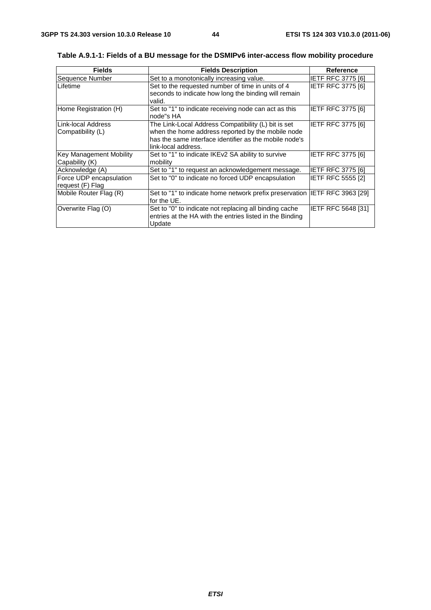| <b>Fields</b>                                    | <b>Fields Description</b>                                                                                                                                                                 | <b>Reference</b>          |
|--------------------------------------------------|-------------------------------------------------------------------------------------------------------------------------------------------------------------------------------------------|---------------------------|
| Sequence Number                                  | Set to a monotonically increasing value.                                                                                                                                                  | <b>IETF RFC 3775 [6]</b>  |
| Lifetime                                         | Set to the requested number of time in units of 4<br>seconds to indicate how long the binding will remain<br>valid.                                                                       | <b>IETF RFC 3775 [6]</b>  |
| Home Registration (H)                            | Set to "1" to indicate receiving node can act as this<br>node"s HA                                                                                                                        | IETF RFC 3775 [6]         |
| Link-local Address<br>Compatibility (L)          | The Link-Local Address Compatibility (L) bit is set<br>when the home address reported by the mobile node<br>has the same interface identifier as the mobile node's<br>link-local address. | <b>IETF RFC 3775 [6]</b>  |
| <b>Key Management Mobility</b><br>Capability (K) | Set to "1" to indicate IKEv2 SA ability to survive<br>mobility                                                                                                                            | <b>IETF RFC 3775 [6]</b>  |
| Acknowledge (A)                                  | Set to "1" to request an acknowledgement message.                                                                                                                                         | IETF RFC 3775 [6]         |
| Force UDP encapsulation<br>request (F) Flag      | Set to "0" to indicate no forced UDP encapsulation                                                                                                                                        | <b>IETF RFC 5555 [2]</b>  |
| Mobile Router Flag (R)                           | Set to "1" to indicate home network prefix preservation IETF RFC 3963 [29]<br>for the UE.                                                                                                 |                           |
| Overwrite Flag (O)                               | Set to "0" to indicate not replacing all binding cache<br>entries at the HA with the entries listed in the Binding<br>Update                                                              | <b>IETF RFC 5648 [31]</b> |

**Table A.9.1-1: Fields of a BU message for the DSMIPv6 inter-access flow mobility procedure**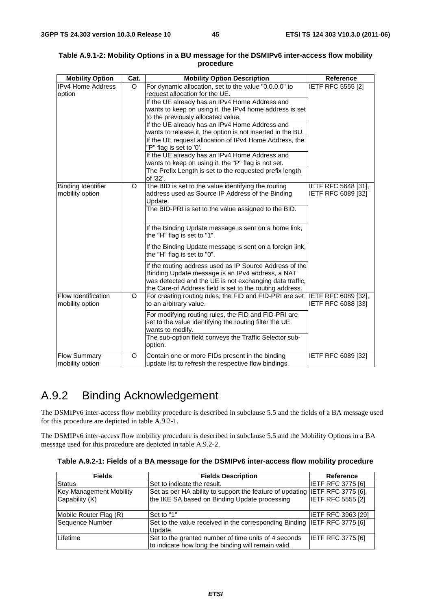| <b>Mobility Option</b>                 | Cat. | <b>Mobility Option Description</b>                                                                                                                                                                                                 | <b>Reference</b>                          |
|----------------------------------------|------|------------------------------------------------------------------------------------------------------------------------------------------------------------------------------------------------------------------------------------|-------------------------------------------|
| <b>IPv4 Home Address</b>               | O    | For dynamic allocation, set to the value "0.0.0.0" to                                                                                                                                                                              | <b>IETF RFC 5555 [2]</b>                  |
| option                                 |      | request allocation for the UE.                                                                                                                                                                                                     |                                           |
|                                        |      | If the UE already has an IPv4 Home Address and                                                                                                                                                                                     |                                           |
|                                        |      | wants to keep on using it, the IPv4 home address is set                                                                                                                                                                            |                                           |
|                                        |      | to the previously allocated value.                                                                                                                                                                                                 |                                           |
|                                        |      | If the UE already has an IPv4 Home Address and                                                                                                                                                                                     |                                           |
|                                        |      | wants to release it, the option is not inserted in the BU.                                                                                                                                                                         |                                           |
|                                        |      | If the UE request allocation of IPv4 Home Address, the                                                                                                                                                                             |                                           |
|                                        |      | "P" flag is set to '0'.                                                                                                                                                                                                            |                                           |
|                                        |      | If the UE already has an IPv4 Home Address and                                                                                                                                                                                     |                                           |
|                                        |      | wants to keep on using it, the "P" flag is not set.                                                                                                                                                                                |                                           |
|                                        |      | The Prefix Length is set to the requested prefix length<br>of '32'.                                                                                                                                                                |                                           |
| <b>Binding Identifier</b>              | O    | The BID is set to the value identifying the routing                                                                                                                                                                                | IETF RFC 5648 [31],                       |
| mobility option                        |      | address used as Source IP Address of the Binding                                                                                                                                                                                   | IETF RFC 6089 [32]                        |
|                                        |      | Update.                                                                                                                                                                                                                            |                                           |
|                                        |      | The BID-PRI is set to the value assigned to the BID.                                                                                                                                                                               |                                           |
|                                        |      |                                                                                                                                                                                                                                    |                                           |
|                                        |      | If the Binding Update message is sent on a home link,<br>the "H" flag is set to "1".                                                                                                                                               |                                           |
|                                        |      | If the Binding Update message is sent on a foreign link,<br>the "H" flag is set to "0".                                                                                                                                            |                                           |
|                                        |      | If the routing address used as IP Source Address of the<br>Binding Update message is an IPv4 address, a NAT<br>was detected and the UE is not exchanging data traffic,<br>the Care-of Address field is set to the routing address. |                                           |
| Flow Identification<br>mobility option | O    | For creating routing rules, the FID and FID-PRI are set<br>to an arbitrary value.                                                                                                                                                  | IETF RFC 6089 [32],<br>IETF RFC 6088 [33] |
|                                        |      | For modifying routing rules, the FID and FID-PRI are<br>set to the value identifying the routing filter the UE<br>wants to modify.                                                                                                 |                                           |
|                                        |      | The sub-option field conveys the Traffic Selector sub-<br>option.                                                                                                                                                                  |                                           |
| <b>Flow Summary</b><br>mobility option | O    | Contain one or more FIDs present in the binding<br>update list to refresh the respective flow bindings.                                                                                                                            | IETF RFC 6089 [32]                        |

| Table A.9.1-2: Mobility Options in a BU message for the DSMIPv6 inter-access flow mobility |           |  |  |
|--------------------------------------------------------------------------------------------|-----------|--|--|
|                                                                                            | procedure |  |  |

## A.9.2 Binding Acknowledgement

The DSMIPv6 inter-access flow mobility procedure is described in subclause 5.5 and the fields of a BA message used for this procedure are depicted in table A.9.2-1.

The DSMIPv6 inter-access flow mobility procedure is described in subclause 5.5 and the Mobility Options in a BA message used for this procedure are depicted in table A.9.2-2.

|  |  | Table A.9.2-1: Fields of a BA message for the DSMIPv6 inter-access flow mobility procedure |
|--|--|--------------------------------------------------------------------------------------------|
|--|--|--------------------------------------------------------------------------------------------|

| <b>Fields</b>           | <b>Fields Description</b>                                                                                   | Reference                |
|-------------------------|-------------------------------------------------------------------------------------------------------------|--------------------------|
| <b>Status</b>           | Set to indicate the result.                                                                                 | IETF RFC 3775 [6]        |
| Key Management Mobility | Set as per HA ability to support the feature of updating IETF RFC 3775 [6],                                 |                          |
| Capability (K)          | the IKE SA based on Binding Update processing                                                               | <b>IETF RFC 5555 [2]</b> |
| Mobile Router Flag (R)  | Set to "1"                                                                                                  | IETF RFC 3963 [29]       |
| Sequence Number         | Set to the value received in the corresponding Binding IETF RFC 3775 [6]<br>Update.                         |                          |
| Lifetime                | Set to the granted number of time units of 4 seconds<br>to indicate how long the binding will remain valid. | <b>IETF RFC 3775 [6]</b> |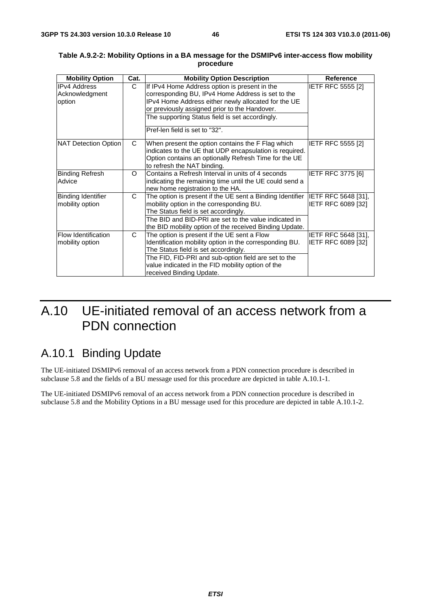| <b>Mobility Option</b>    | Cat.     | <b>Mobility Option Description</b>                                                                 | <b>Reference</b>         |
|---------------------------|----------|----------------------------------------------------------------------------------------------------|--------------------------|
| <b>IPv4 Address</b>       | C        | If IPv4 Home Address option is present in the<br>corresponding BU, IPv4 Home Address is set to the | <b>IETF RFC 5555 [2]</b> |
| Acknowledgment<br>option  |          | IPv4 Home Address either newly allocated for the UE                                                |                          |
|                           |          | or previously assigned prior to the Handover.                                                      |                          |
|                           |          | The supporting Status field is set accordingly.                                                    |                          |
|                           |          |                                                                                                    |                          |
|                           |          | Pref-len field is set to "32".                                                                     |                          |
| NAT Detection Option      | C.       | When present the option contains the F Flag which                                                  | <b>IETF RFC 5555 [2]</b> |
|                           |          | indicates to the UE that UDP encapsulation is required.                                            |                          |
|                           |          | Option contains an optionally Refresh Time for the UE                                              |                          |
|                           |          | to refresh the NAT binding.                                                                        |                          |
| <b>Binding Refresh</b>    | $\Omega$ | Contains a Refresh Interval in units of 4 seconds                                                  | <b>IETF RFC 3775 [6]</b> |
| Advice                    |          | indicating the remaining time until the UE could send a                                            |                          |
|                           |          | new home registration to the HA.                                                                   |                          |
| <b>Binding Identifier</b> | C.       | The option is present if the UE sent a Binding Identifier  IETF RFC 5648 [31],                     |                          |
| mobility option           |          | mobility option in the corresponding BU.                                                           | IETF RFC 6089 [32]       |
|                           |          | The Status field is set accordingly.                                                               |                          |
|                           |          | The BID and BID-PRI are set to the value indicated in                                              |                          |
|                           |          | the BID mobility option of the received Binding Update.                                            |                          |
| Flow Identification       | C        | The option is present if the UE sent a Flow                                                        | IETF RFC 5648 [31],      |
| mobility option           |          | Identification mobility option in the corresponding BU.                                            | IETF RFC 6089 [32]       |
|                           |          | The Status field is set accordingly.                                                               |                          |
|                           |          | The FID, FID-PRI and sub-option field are set to the                                               |                          |
|                           |          | value indicated in the FID mobility option of the                                                  |                          |
|                           |          | received Binding Update.                                                                           |                          |

#### **Table A.9.2-2: Mobility Options in a BA message for the DSMIPv6 inter-access flow mobility procedure**

## A.10 UE-initiated removal of an access network from a PDN connection

## A.10.1 Binding Update

The UE-initiated DSMIPv6 removal of an access network from a PDN connection procedure is described in subclause 5.8 and the fields of a BU message used for this procedure are depicted in table A.10.1-1.

The UE-initiated DSMIPv6 removal of an access network from a PDN connection procedure is described in subclause 5.8 and the Mobility Options in a BU message used for this procedure are depicted in table A.10.1-2.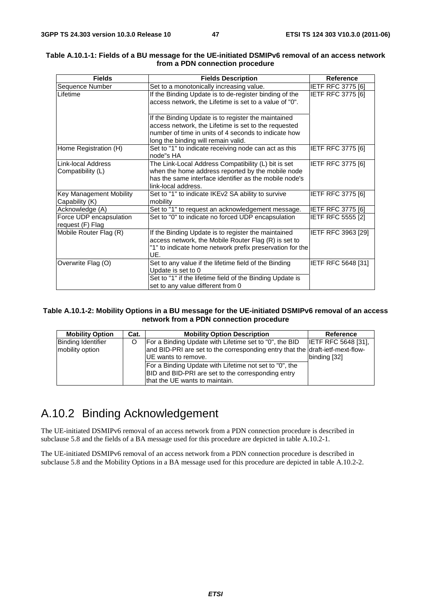| <b>Fields</b>                                    | <b>Fields Description</b>                                                                                                                                                                                  | <b>Reference</b>          |
|--------------------------------------------------|------------------------------------------------------------------------------------------------------------------------------------------------------------------------------------------------------------|---------------------------|
| Sequence Number                                  | Set to a monotonically increasing value.                                                                                                                                                                   | IETF RFC 3775 [6]         |
| Lifetime                                         | If the Binding Update is to de-register binding of the<br>access network, the Lifetime is set to a value of "0".                                                                                           | <b>IETF RFC 3775 [6]</b>  |
|                                                  | If the Binding Update is to register the maintained<br>access network, the Lifetime is set to the requested<br>number of time in units of 4 seconds to indicate how<br>long the binding will remain valid. |                           |
| Home Registration (H)                            | Set to "1" to indicate receiving node can act as this<br>node"s HA                                                                                                                                         | <b>IETF RFC 3775 [6]</b>  |
| Link-local Address<br>Compatibility (L)          | The Link-Local Address Compatibility (L) bit is set<br>when the home address reported by the mobile node<br>has the same interface identifier as the mobile node's<br>link-local address.                  | <b>IETF RFC 3775 [6]</b>  |
| <b>Key Management Mobility</b><br>Capability (K) | Set to "1" to indicate IKEv2 SA ability to survive<br>mobility                                                                                                                                             | <b>IETF RFC 3775 [6]</b>  |
| Acknowledge (A)                                  | Set to "1" to request an acknowledgement message.                                                                                                                                                          | <b>IETF RFC 3775 [6]</b>  |
| Force UDP encapsulation<br>request (F) Flag      | Set to "0" to indicate no forced UDP encapsulation                                                                                                                                                         | <b>IETF RFC 5555 [2]</b>  |
| Mobile Router Flag (R)                           | If the Binding Update is to register the maintained<br>access network, the Mobile Router Flag (R) is set to<br>"1" to indicate home network prefix preservation for the<br>UE.                             | <b>IETF RFC 3963 [29]</b> |
| Overwrite Flag (O)                               | Set to any value if the lifetime field of the Binding<br>Update is set to 0<br>Set to "1" if the lifetime field of the Binding Update is<br>set to any value different from 0                              | IETF RFC 5648 [31]        |

#### **Table A.10.1-1: Fields of a BU message for the UE-initiated DSMIPv6 removal of an access network from a PDN connection procedure**

#### **Table A.10.1-2: Mobility Options in a BU message for the UE-initiated DSMIPv6 removal of an access network from a PDN connection procedure**

| <b>Mobility Option</b>                       | Cat. | <b>Mobility Option Description</b>                                                                                                                                     | Reference                                  |
|----------------------------------------------|------|------------------------------------------------------------------------------------------------------------------------------------------------------------------------|--------------------------------------------|
| <b>Binding Identifier</b><br>mobility option |      | For a Binding Update with Lifetime set to "0", the BID<br>and BID-PRI are set to the corresponding entry that the draft-ietf-mext-flow-<br><b>IUE</b> wants to remove. | <b>IETF RFC 5648 [31].</b><br>binding [32] |
|                                              |      | For a Binding Update with Lifetime not set to "0", the<br>BID and BID-PRI are set to the corresponding entry<br>that the UE wants to maintain.                         |                                            |

## A.10.2 Binding Acknowledgement

The UE-initiated DSMIPv6 removal of an access network from a PDN connection procedure is described in subclause 5.8 and the fields of a BA message used for this procedure are depicted in table A.10.2-1.

The UE-initiated DSMIPv6 removal of an access network from a PDN connection procedure is described in subclause 5.8 and the Mobility Options in a BA message used for this procedure are depicted in table A.10.2-2.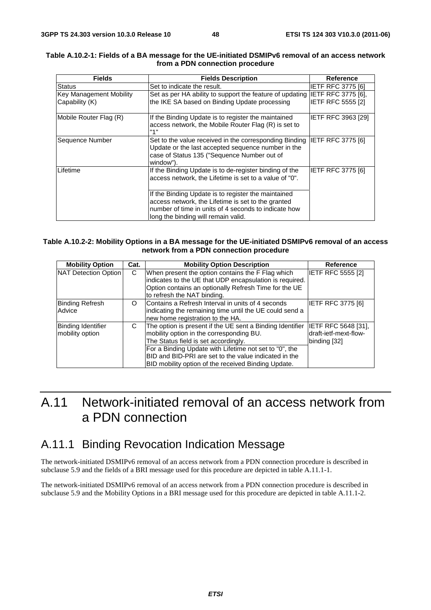| <b>Fields</b>                                    | <b>Fields Description</b>                                                                                                                                                                                | Reference                 |
|--------------------------------------------------|----------------------------------------------------------------------------------------------------------------------------------------------------------------------------------------------------------|---------------------------|
| <b>Status</b>                                    | Set to indicate the result.                                                                                                                                                                              | <b>IETF RFC 3775 [6]</b>  |
| <b>Key Management Mobility</b><br>Capability (K) | Set as per HA ability to support the feature of updating IETF RFC 3775 [6],<br>the IKE SA based on Binding Update processing                                                                             | <b>IETF RFC 5555 [2]</b>  |
| Mobile Router Flag (R)                           | If the Binding Update is to register the maintained<br>access network, the Mobile Router Flag (R) is set to<br>"1"                                                                                       | <b>IETF RFC 3963 [29]</b> |
| Sequence Number                                  | Set to the value received in the corresponding Binding IETF RFC 3775 [6]<br>Update or the last accepted sequence number in the<br>case of Status 135 ("Sequence Number out of<br>window").               |                           |
| Lifetime                                         | If the Binding Update is to de-register binding of the<br>access network, the Lifetime is set to a value of "0".                                                                                         | IETF RFC 3775 [6]         |
|                                                  | If the Binding Update is to register the maintained<br>access network, the Lifetime is set to the granted<br>number of time in units of 4 seconds to indicate how<br>long the binding will remain valid. |                           |

#### **Table A.10.2-1: Fields of a BA message for the UE-initiated DSMIPv6 removal of an access network from a PDN connection procedure**

#### **Table A.10.2-2: Mobility Options in a BA message for the UE-initiated DSMIPv6 removal of an access network from a PDN connection procedure**

| <b>Mobility Option</b>                       | Cat. | <b>Mobility Option Description</b>                                                                                                                                                                                                                                                                                      | <b>Reference</b>                                             |
|----------------------------------------------|------|-------------------------------------------------------------------------------------------------------------------------------------------------------------------------------------------------------------------------------------------------------------------------------------------------------------------------|--------------------------------------------------------------|
| NAT Detection Option                         | C    | When present the option contains the F Flag which<br>indicates to the UE that UDP encapsulation is required.<br>Option contains an optionally Refresh Time for the UE<br>to refresh the NAT binding.                                                                                                                    | <b>IETF RFC 5555 [2]</b>                                     |
| <b>Binding Refresh</b><br>Advice             | O    | Contains a Refresh Interval in units of 4 seconds<br>indicating the remaining time until the UE could send a<br>new home registration to the HA.                                                                                                                                                                        | <b>IETF RFC 3775 [6]</b>                                     |
| <b>Binding Identifier</b><br>mobility option | C    | The option is present if the UE sent a Binding Identifier<br>mobility option in the corresponding BU.<br>The Status field is set accordingly.<br>For a Binding Update with Lifetime not set to "0", the<br>BID and BID-PRI are set to the value indicated in the<br>BID mobility option of the received Binding Update. | IETF RFC 5648 [31],<br>draft-ietf-mext-flow-<br>binding [32] |

## A.11 Network-initiated removal of an access network from a PDN connection

### A.11.1 Binding Revocation Indication Message

The network-initiated DSMIPv6 removal of an access network from a PDN connection procedure is described in subclause 5.9 and the fields of a BRI message used for this procedure are depicted in table A.11.1-1.

The network-initiated DSMIPv6 removal of an access network from a PDN connection procedure is described in subclause 5.9 and the Mobility Options in a BRI message used for this procedure are depicted in table A.11.1-2.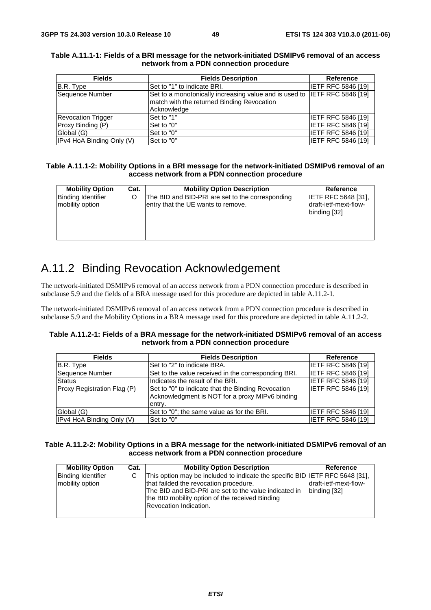| <b>Fields</b>             | <b>Fields Description</b>                                                 | Reference                  |
|---------------------------|---------------------------------------------------------------------------|----------------------------|
| B.R. Type                 | ISet to "1" to indicate BRI.                                              | <b>IIETF RFC 5846 [19]</b> |
| Sequence Number           | Set to a monotonically increasing value and is used to IETF RFC 5846 [19] |                            |
|                           | match with the returned Binding Revocation                                |                            |
|                           | Acknowledge                                                               |                            |
| <b>Revocation Trigger</b> | Set to "1"                                                                | <b>IIETF RFC 5846 [19]</b> |
| Proxy Binding (P)         | Set to "0"                                                                | <b>IETF RFC 5846 [19]</b>  |
| Global (G)                | Set to "0"                                                                | IETF RFC 5846 [19]         |
| IPv4 HoA Binding Only (V) | Set to "0"                                                                | <b>IETF RFC 5846 [19]</b>  |

#### **Table A.11.1-1: Fields of a BRI message for the network-initiated DSMIPv6 removal of an access network from a PDN connection procedure**

#### **Table A.11.1-2: Mobility Options in a BRI message for the network-initiated DSMIPv6 removal of an access network from a PDN connection procedure**

| <b>Mobility Option</b>                       | Cat. | <b>Mobility Option Description</b>                                                     | Reference                                                           |
|----------------------------------------------|------|----------------------------------------------------------------------------------------|---------------------------------------------------------------------|
| <b>Binding Identifier</b><br>mobility option | O    | The BID and BID-PRI are set to the corresponding<br>entry that the UE wants to remove. | <b>IETF RFC 5648 [31].</b><br>draft-ietf-mext-flow-<br>binding [32] |

## A.11.2 Binding Revocation Acknowledgement

The network-initiated DSMIPv6 removal of an access network from a PDN connection procedure is described in subclause 5.9 and the fields of a BRA message used for this procedure are depicted in table A.11.2-1.

The network-initiated DSMIPv6 removal of an access network from a PDN connection procedure is described in subclause 5.9 and the Mobility Options in a BRA message used for this procedure are depicted in table A.11.2-2.

#### **Table A.11.2-1: Fields of a BRA message for the network-initiated DSMIPv6 removal of an access network from a PDN connection procedure**

| <b>Fields</b>               | <b>Fields Description</b>                                                                                       | Reference                 |
|-----------------------------|-----------------------------------------------------------------------------------------------------------------|---------------------------|
| B.R. Type                   | Set to "2" to indicate BRA.                                                                                     | <b>IETF RFC 5846 [19]</b> |
| Sequence Number             | Set to the value received in the corresponding BRI.                                                             | <b>IETF RFC 5846 [19]</b> |
| <b>Status</b>               | Indicates the result of the BRI.                                                                                | <b>IETF RFC 5846 [19]</b> |
| Proxy Registration Flag (P) | Set to "0" to indicate that the Binding Revocation<br>Acknowledgment is NOT for a proxy MIPv6 binding<br>entry. | <b>IETF RFC 5846 [19]</b> |
| Global (G)                  | Set to "0"; the same value as for the BRI.                                                                      | <b>IETF RFC 5846 [19]</b> |
| IPv4 HoA Binding Only (V)   | Set to "0"                                                                                                      | <b>IETF RFC 5846 [19]</b> |

#### **Table A.11.2-2: Mobility Options in a BRA message for the network-initiated DSMIPv6 removal of an access network from a PDN connection procedure**

| <b>Mobility Option</b>                       | Cat. | <b>Mobility Option Description</b>                                                                                                                                                                                                                                  | <b>Reference</b>                       |
|----------------------------------------------|------|---------------------------------------------------------------------------------------------------------------------------------------------------------------------------------------------------------------------------------------------------------------------|----------------------------------------|
| <b>Binding Identifier</b><br>mobility option | C    | This option may be included to indicate the specific BID IETF RFC 5648 [31],<br>that failded the revocation procedure.<br>The BID and BID-PRI are set to the value indicated in<br>the BID mobility option of the received Binding<br><b>Revocation Indication.</b> | ldraft-ietf-mext-flow-<br>binding [32] |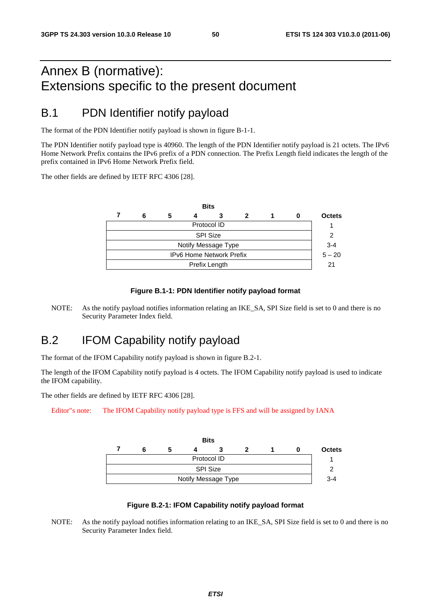## Annex B (normative): Extensions specific to the present document

### B.1 PDN Identifier notify payload

The format of the PDN Identifier notify payload is shown in figure B-1-1.

The PDN Identifier notify payload type is 40960. The length of the PDN Identifier notify payload is 21 octets. The IPv6 Home Network Prefix contains the IPv6 prefix of a PDN connection. The Prefix Length field indicates the length of the prefix contained in IPv6 Home Network Prefix field.

The other fields are defined by IETF RFC 4306 [28].



#### **Figure B.1-1: PDN Identifier notify payload format**

NOTE: As the notify payload notifies information relating an IKE\_SA, SPI Size field is set to 0 and there is no Security Parameter Index field.

### B.2 IFOM Capability notify payload

The format of the IFOM Capability notify payload is shown in figure B.2-1.

The length of the IFOM Capability notify payload is 4 octets. The IFOM Capability notify payload is used to indicate the IFOM capability.

The other fields are defined by IETF RFC 4306 [28].

Editor"s note: The IFOM Capability notify payload type is FFS and will be assigned by IANA



#### **Figure B.2-1: IFOM Capability notify payload format**

NOTE: As the notify payload notifies information relating to an IKE\_SA, SPI Size field is set to 0 and there is no Security Parameter Index field.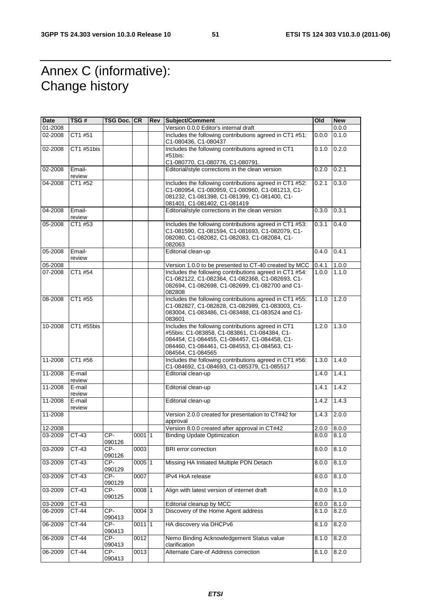## Annex C (informative): Change history

| Date    | TSG #            | TSG Doc. CR     |                     | <b>Rev Subject/Comment</b>                                                                                                                                                                                              | Old   | <b>New</b> |
|---------|------------------|-----------------|---------------------|-------------------------------------------------------------------------------------------------------------------------------------------------------------------------------------------------------------------------|-------|------------|
| 01-2008 |                  |                 |                     | Version 0.0.0 Editor's internal draft                                                                                                                                                                                   |       | 0.0.0      |
| 02-2008 | CT1 #51          |                 |                     | Includes the following contributions agreed in CT1 #51:<br>C1-080436, C1-080437                                                                                                                                         | 0.0.0 | 0.1.0      |
| 02-2008 | CT1 #51bis       |                 |                     | Includes the following contributions agreed in CT1<br>#51bis:                                                                                                                                                           | 0.1.0 | 0.2.0      |
|         |                  |                 |                     | C1-080770, C1-080776, C1-080791.                                                                                                                                                                                        |       |            |
| 02-2008 | Email-<br>review |                 |                     | Editorial/style corrections in the clean version                                                                                                                                                                        | 0.2.0 | 0.2.1      |
| 04-2008 | CT1 #52          |                 |                     | Includes the following contributions agreed in CT1 #52:                                                                                                                                                                 | 0.2.1 | 0.3.0      |
|         |                  |                 |                     | C1-080954, C1-080959, C1-080960, C1-081213, C1-<br>081232, C1-081398, C1-081399, C1-081400, C1-<br>081401, C1-081402, C1-081419                                                                                         |       |            |
| 04-2008 | Email-           |                 |                     | Editorial/style corrections in the clean version                                                                                                                                                                        | 0.3.0 | 0.3.1      |
|         | review           |                 |                     |                                                                                                                                                                                                                         |       |            |
| 05-2008 | CT1 #53          |                 |                     | Includes the following contributions agreed in CT1 #53:<br>C1-081590, C1-081594, C1-081693, C1-082079, C1-<br>082080, C1-082082, C1-082083, C1-082084, C1-<br>082063                                                    | 0.3.1 | 0.4.0      |
| 05-2008 | Email-<br>review |                 |                     | Editorial clean-up                                                                                                                                                                                                      | 0.4.0 | 0.4.1      |
| 05-2008 |                  |                 |                     | Version 1.0.0 to be presented to CT-40 created by MCC                                                                                                                                                                   | 0.4.1 | 1.0.0      |
| 07-2008 | CT1 #54          |                 |                     | Includes the following contributions agreed in CT1 #54:<br>C1-082122, C1-082364, C1-082368, C1-082693, C1-<br>082694, C1-082698, C1-082699, C1-082700 and C1-<br>082808                                                 | 1.0.0 | 1.1.0      |
| 08-2008 | CT1 #55          |                 |                     | Includes the following contributions agreed in CT1 #55:<br>C1-082827, C1-082828, C1-082989, C1-083003, C1-<br>083004, C1-083486, C1-083488, C1-083524 and C1-<br>083601                                                 | 1.1.0 | 1.2.0      |
| 10-2008 | CT1 #55bis       |                 |                     | Includes the following contributions agreed in CT1<br>#55bis: C1-083858, C1-083861, C1-084384, C1-<br>084454, C1-084455, C1-084457, C1-084458, C1-<br>084460, C1-084461, C1-084553, C1-084563, C1-<br>084564, C1-084565 | 1.2.0 | 1.3.0      |
| 11-2008 | CT1 #56          |                 |                     | Includes the following contributions agreed in CT1 #56:<br>C1-084692, C1-084693, C1-085379, C1-085517                                                                                                                   | 1.3.0 | 1.4.0      |
| 11-2008 | E-mail<br>review |                 |                     | Editorial clean-up                                                                                                                                                                                                      | 1.4.0 | 1.4.1      |
| 11-2008 | E-mail<br>review |                 |                     | Editorial clean-up                                                                                                                                                                                                      | 1.4.1 | 1.4.2      |
| 11-2008 | E-mail<br>review |                 |                     | Editorial clean-up                                                                                                                                                                                                      | 1.4.2 | 1.4.3      |
| 11-2008 |                  |                 |                     | Version 2.0.0 created for presentation to CT#42 for<br>approval                                                                                                                                                         | 1.4.3 | 2.0.0      |
| 12-2008 |                  |                 |                     | Version 8.0.0 created after approval in CT#42                                                                                                                                                                           | 2.0.0 | 8.0.0      |
| 03-2009 | CT-43            | CP-<br>090126   | 00011               | <b>Binding Update Optimization</b>                                                                                                                                                                                      | 8.0.0 | 8.1.0      |
| 03-2009 | $CT-43$          | CP-<br>090126   | 0003                | <b>BRI</b> error correction                                                                                                                                                                                             | 8.0.0 | 8.1.0      |
| 03-2009 | $CT-43$          | $CP-$<br>090129 | 0005 1              | Missing HA Initiated Multiple PDN Detach                                                                                                                                                                                | 8.0.0 | 8.1.0      |
| 03-2009 | $CT-43$          | CP-<br>090129   | 0007                | IPv4 HoA release                                                                                                                                                                                                        | 8.0.0 | 8.1.0      |
| 03-2009 | CT-43            | CP-<br>090125   | 0008 1              | Align with latest version of internet draft                                                                                                                                                                             | 8.0.0 | 8.1.0      |
| 03-2009 | CT-43            |                 |                     | Editorial cleanup by MCC                                                                                                                                                                                                | 8.0.0 | 8.1.0      |
| 06-2009 | CT-44            | CP-<br>090413   | $0004 \overline{3}$ | Discovery of the Home Agent address                                                                                                                                                                                     | 8.1.0 | 8.2.0      |
| 06-2009 | $CT-44$          | $CP-$<br>090413 | 0011 1              | HA discovery via DHCPv6                                                                                                                                                                                                 | 8.1.0 | 8.2.0      |
| 06-2009 | $CT-44$          | $CP-$<br>090413 | 0012                | Nemo Binding Acknowledgement Status value<br>clarification                                                                                                                                                              | 8.1.0 | 8.2.0      |
| 06-2009 | CT-44            | CP-<br>090413   | 0013                | Alternate Care-of Address correction                                                                                                                                                                                    | 8.1.0 | 8.2.0      |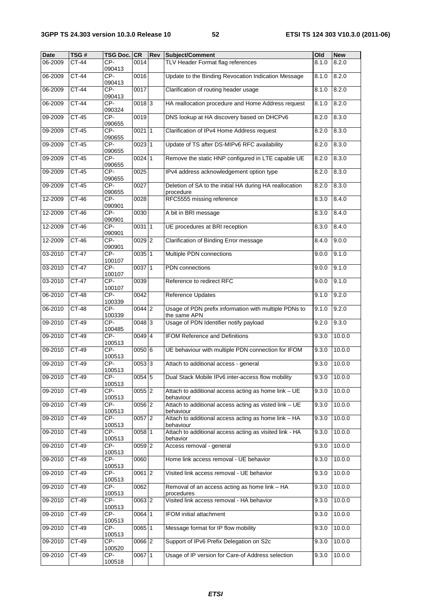| <b>Date</b> | TSG#    | TSG Doc. CR     |                     | Rev            | Subject/Comment                                                       | Old   | <b>New</b> |
|-------------|---------|-----------------|---------------------|----------------|-----------------------------------------------------------------------|-------|------------|
| $06 - 2009$ | CT-44   | CP-<br>090413   | 0014                |                | TLV Header Format flag references                                     | 8.1.0 | 8.2.0      |
| 06-2009     | CT-44   | CP-<br>090413   | 0016                |                | Update to the Binding Revocation Indication Message                   | 8.1.0 | 8.2.0      |
| 06-2009     | $CT-44$ | $CP-$<br>090413 | 0017                |                | Clarification of routing header usage                                 | 8.1.0 | 8.2.0      |
| 06-2009     | $CT-44$ | CP-<br>090324   | 00183               |                | HA reallocation procedure and Home Address request                    | 8.1.0 | 8.2.0      |
| 09-2009     | CT-45   | CP-<br>090655   | 0019                |                | DNS lookup at HA discovery based on DHCPv6                            | 8.2.0 | 8.3.0      |
| 09-2009     | $CT-45$ | $CP-$<br>090655 | 0021                | $\overline{1}$ | Clarification of IPv4 Home Address request                            | 8.2.0 | 8.3.0      |
| 09-2009     | $CT-45$ | $CP-$<br>090655 | 0023 1              |                | Update of TS after DS-MIPv6 RFC availability                          | 8.2.0 | 8.3.0      |
| 09-2009     | $CT-45$ | CP-<br>090655   | 0024 1              |                | Remove the static HNP configured in LTE capable UE                    | 8.2.0 | 8.3.0      |
| 09-2009     | CT-45   | CP-<br>090655   | 0025                |                | IPv4 address acknowledgement option type                              | 8.2.0 | 8.3.0      |
| 09-2009     | $CT-45$ | $CP-$<br>090655 | 0027                |                | Deletion of SA to the initial HA during HA reallocation<br>procedure  | 8.2.0 | 8.3.0      |
| 12-2009     | $CT-46$ | $CP-$<br>090901 | 0028                |                | RFC5555 missing reference                                             | 8.3.0 | 8.4.0      |
| 12-2009     | $CT-46$ | $CP-$<br>090901 | 0030                |                | A bit in BRI message                                                  | 8.3.0 | 8.4.0      |
| 12-2009     | $CT-46$ | CP-<br>090901   | 00311               |                | UE procedures at BRI reception                                        | 8.3.0 | 8.4.0      |
| 12-2009     | CT-46   | CP-<br>090901   | $0029$ 2            |                | Clarification of Binding Error message                                | 8.4.0 | 9.0.0      |
| 03-2010     | $CT-47$ | $CP-$<br>100107 | $0035$ 1            |                | Multiple PDN connections                                              | 9.0.0 | 9.1.0      |
| 03-2010     | $CT-47$ | $CP-$<br>100107 | 0037 1              |                | <b>PDN</b> connections                                                | 9.0.0 | 9.1.0      |
| 03-2010     | $CT-47$ | CP-<br>100107   | 0039                |                | Reference to redirect RFC                                             | 9.0.0 | 9.1.0      |
| 06-2010     | $CT-48$ | CP-<br>100339   | 0042                |                | Reference Updates                                                     | 9.1.0 | 9.2.0      |
| 06-2010     | $CT-48$ | CP-<br>100339   | 0044 2              |                | Usage of PDN prefix information with multiple PDNs to<br>the same APN | 9.1.0 | 9.2.0      |
| 09-2010     | CT-49   | $CP-$<br>100485 | $0048$ <sub>3</sub> |                | Usage of PDN Identifier notify payload                                | 9.2.0 | 9.3.0      |
| 09-2010     | $CT-49$ | CP-<br>100513   | $0049$ 4            |                | <b>IFOM Reference and Definitions</b>                                 | 9.3.0 | 10.0.0     |
| 09-2010     | $CT-49$ | CP-<br>100513   | 0050 6              |                | UE behaviour with multiple PDN connection for IFOM                    | 9.3.0 | 10.0.0     |
| 09-2010     | $CT-49$ | CP-<br>100513   | 0053 3              |                | Attach to additional access - general                                 | 9.3.0 | 10.0.0     |
| 09-2010     | CT-49   | CP-<br>100513   | $0054$ 5            |                | Dual Stack Mobile IPv6 inter-access flow mobility                     | 9.3.0 | 10.0.0     |
| 09-2010     | $CT-49$ | CP-<br>100513   | $0055$ <sup>2</sup> |                | Attach to additional access acting as home link - UE<br>behaviour     | 9.3.0 | 10.0.0     |
| 09-2010     | $CT-49$ | CP-<br>100513   | 0056 2              |                | Attach to additional access acting as visted link - UE<br>behaviour   | 9.3.0 | 10.0.0     |
| 09-2010     | $CT-49$ | CP-<br>100513   | $0057$ 2            |                | Attach to additional access acting as home link - HA<br>behaviour     | 9.3.0 | 10.0.0     |
| 09-2010     | $CT-49$ | CP-<br>100513   | 0058 1              |                | Attach to additional access acting as visited link - HA<br>behavior   | 9.3.0 | 10.0.0     |
| 09-2010     | CT-49   | CP-<br>100513   | 0059 2              |                | Access removal - general                                              | 9.3.0 | 10.0.0     |
| 09-2010     | $CT-49$ | CP-<br>100513   | 0060                |                | Home link access removal - UE behavior                                | 9.3.0 | 10.0.0     |
| 09-2010     | $CT-49$ | CP-<br>100513   | 0061 2              |                | Visited link access removal - UE behavior                             | 9.3.0 | 10.0.0     |
| 09-2010     | $CT-49$ | CP-<br>100513   | 0062                |                | Removal of an access acting as home link - HA<br>procedures           | 9.3.0 | 10.0.0     |
| 09-2010     | $CT-49$ | CP-<br>100513   | 0063 2              |                | Visited link access removal - HA behavior                             | 9.3.0 | 10.0.0     |
| 09-2010     | CT-49   | CP-<br>100513   | 0064 1              |                | IFOM initial attachment                                               | 9.3.0 | 10.0.0     |
| 09-2010     | $CT-49$ | CP-<br>100513   | 0065 1              |                | Message format for IP flow mobility                                   | 9.3.0 | 10.0.0     |
| 09-2010     | CT-49   | CP-<br>100520   | $0066$ <sup>2</sup> |                | Support of IPv6 Prefix Delegation on S2c                              | 9.3.0 | 10.0.0     |
| 09-2010     | $CT-49$ | CP-<br>100518   | 0067 1              |                | Usage of IP version for Care-of Address selection                     | 9.3.0 | 10.0.0     |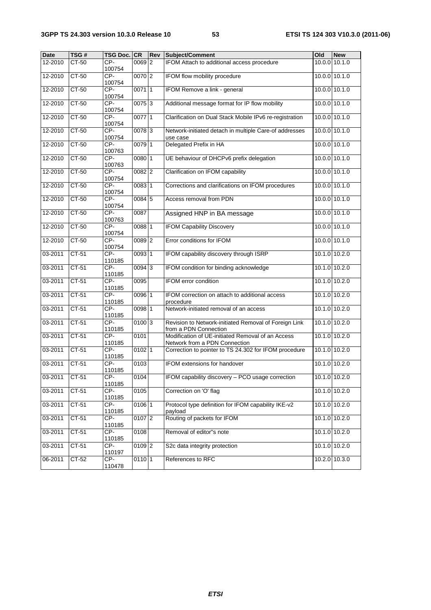| <b>Date</b> | TSG#    | <b>TSG Doc. CR</b> |                     | Rev | Subject/Comment                                                                    | Old | <b>New</b>                              |
|-------------|---------|--------------------|---------------------|-----|------------------------------------------------------------------------------------|-----|-----------------------------------------|
| 12-2010     | CT-50   | CP-<br>100754      | 0069 2              |     | IFOM Attach to additional access procedure                                         |     | 10.0.0 10.1.0                           |
| 12-2010     | $CT-50$ | CP-<br>100754      | $0070$ 2            |     | IFOM flow mobility procedure                                                       |     | 10.0.0 10.1.0                           |
| 12-2010     | $CT-50$ | CP-<br>100754      | 00711               |     | IFOM Remove a link - general                                                       |     | $10.0.0$ 10.1.0                         |
| 12-2010     | $CT-50$ | $CP-$<br>100754    | 0075 3              |     | Additional message format for IP flow mobility                                     |     | $10.0.0$ 10.1.0                         |
| 12-2010     | $CT-50$ | CP-<br>100754      | 00771               |     | Clarification on Dual Stack Mobile IPv6 re-registration                            |     | $10.0.0$ 10.1.0                         |
| 12-2010     | $CT-50$ | $CP-$<br>100754    | $0078$ <sub>3</sub> |     | Network-initiated detach in multiple Care-of addresses<br>use case                 |     | 10.0.0 10.1.0                           |
| 12-2010     | $CT-50$ | CP-<br>100763      | 0079 1              |     | Delegated Prefix in HA                                                             |     | 10.0.0 10.1.0                           |
| 12-2010     | $CT-50$ | $CP-$<br>100763    | $0080$ 1            |     | UE behaviour of DHCPv6 prefix delegation                                           |     | $10.0.0$ 10.1.0                         |
| 12-2010     | $CT-50$ | CP-<br>100754      | 0082 2              |     | Clarification on IFOM capability                                                   |     | 10.0.0 10.1.0                           |
| 12-2010     | $CT-50$ | $CP-$<br>100754    | $0083$ 1            |     | Corrections and clarifications on IFOM procedures                                  |     | 10.0.0 10.1.0                           |
| 12-2010     | $CT-50$ | $CP-$<br>100754    | $0084$ 5            |     | Access removal from PDN                                                            |     | 10.0.0 10.1.0                           |
| 12-2010     | $CT-50$ | $CP-$<br>100763    | 0087                |     | Assigned HNP in BA message                                                         |     | $10.0.0$ 10.1.0                         |
| 12-2010     | $CT-50$ | CP-<br>100754      | $0088$ 1            |     | <b>IFOM Capability Discovery</b>                                                   |     | $10.0.0$ 10.1.0                         |
| 12-2010     | CT-50   | CP-<br>100754      | 0089 2              |     | Error conditions for IFOM                                                          |     | 10.0.0 10.1.0                           |
| 03-2011     | $CT-51$ | $CP-$<br>110185    | $0093$ 1            |     | IFOM capability discovery through ISRP                                             |     | 10.1.0 10.2.0                           |
| 03-2011     | $CT-51$ | $CP-$<br>110185    | $0094$ 3            |     | IFOM condition for binding acknowledge                                             |     | 10.1.0 10.2.0                           |
| 03-2011     | $CT-51$ | CP-<br>110185      | 0095                |     | IFOM error condition                                                               |     | 10.1.0 10.2.0                           |
| 03-2011     | $CT-51$ | CP-<br>110185      | 0096 1              |     | IFOM correction on attach to additional access<br>procedure                        |     | 10.1.0 10.2.0                           |
| 03-2011     | $CT-51$ | $CP-$<br>110185    | 0098 1              |     | Network-initiated removal of an access                                             |     | $10.1.0$ 10.2.0                         |
| 03-2011     | $CT-51$ | CP-<br>110185      | 01003               |     | Revision to Network-initiated Removal of Foreign Link<br>from a PDN Connection     |     | 10.1.0 10.2.0                           |
| 03-2011     | $CT-51$ | CP-<br>110185      | 0101                |     | Modification of UE-initiated Removal of an Access<br>Network from a PDN Connection |     | 10.1.0 10.2.0                           |
| 03-2011     | $CT-51$ | $CP-$<br>110185    | 0102 1              |     | Correction to pointer to TS 24.302 for IFOM procedure                              |     | 10.1.0 10.2.0                           |
| 03-2011     | $CT-51$ | CP-<br>110185      | 0103                |     | IFOM extensions for handover                                                       |     | $10.\overline{1.0}$ $10.\overline{2.0}$ |
| 03-2011     | CT-51   | CP-<br>110185      | 0104                |     | IFOM capability discovery – PCO usage correction                                   |     | 10.1.0 10.2.0                           |
| 03-2011     | $CT-51$ | $CP-$<br>110185    | 0105                |     | Correction on 'O' flag                                                             |     | 10.1.0 10.2.0                           |
| 03-2011     | CT-51   | CP-<br>110185      | 0106 1              |     | Protocol type definition for IFOM capability IKE-v2<br>payload                     |     | 10.1.0 10.2.0                           |
| 03-2011     | $CT-51$ | CP-<br>110185      | $0107$ 2            |     | Routing of packets for IFOM                                                        |     | $10.1.0$ 10.2.0                         |
| 03-2011     | CT-51   | CP-<br>110185      | 0108                |     | Removal of editor"s note                                                           |     | 10.1.0 10.2.0                           |
| 03-2011     | CT-51   | CP-<br>110197      | $0109$ 2            |     | S2c data integrity protection                                                      |     | 10.1.0 10.2.0                           |
| 06-2011     | CT-52   | $CP-$<br>110478    | 0110 1              |     | References to RFC                                                                  |     | 10.2.0 10.3.0                           |